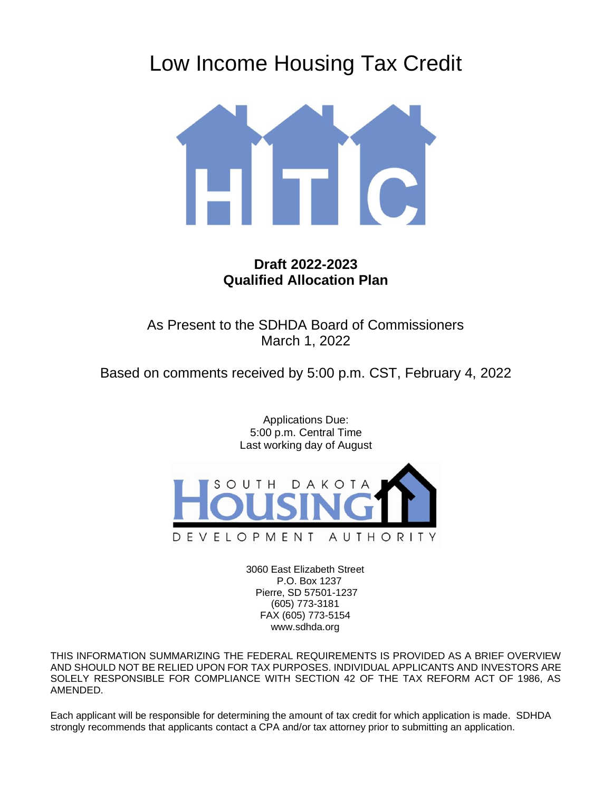# Low Income Housing Tax Credit



## **Draft 2022-2023 Qualified Allocation Plan**

As Present to the SDHDA Board of Commissioners March 1, 2022

Based on comments received by 5:00 p.m. CST, February 4, 2022

Applications Due: 5:00 p.m. Central Time Last working day of August



3060 East Elizabeth Street P.O. Box 1237 Pierre, SD 57501-1237 (605) 773-3181 FAX (605) 773-5154 www.sdhda.org

THIS INFORMATION SUMMARIZING THE FEDERAL REQUIREMENTS IS PROVIDED AS A BRIEF OVERVIEW AND SHOULD NOT BE RELIED UPON FOR TAX PURPOSES. INDIVIDUAL APPLICANTS AND INVESTORS ARE SOLELY RESPONSIBLE FOR COMPLIANCE WITH SECTION 42 OF THE TAX REFORM ACT OF 1986, AS AMENDED.

Each applicant will be responsible for determining the amount of tax credit for which application is made. SDHDA strongly recommends that applicants contact a CPA and/or tax attorney prior to submitting an application.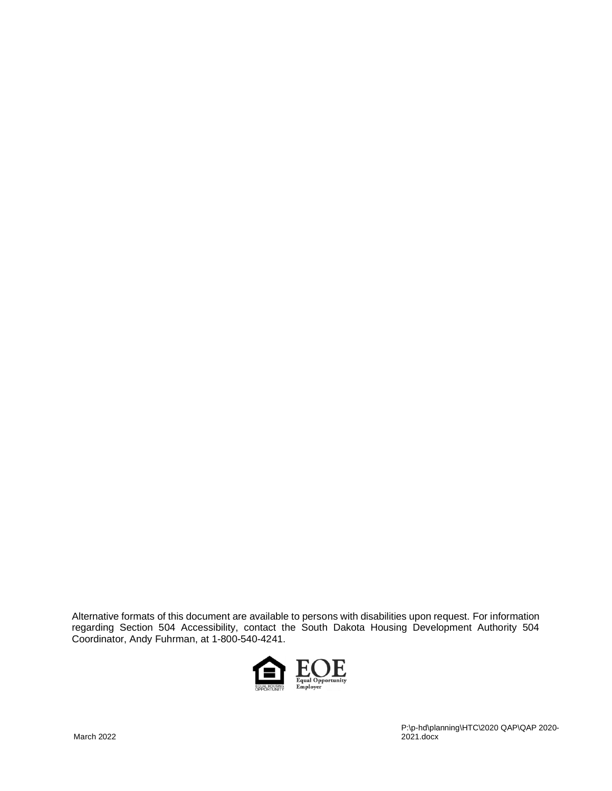Alternative formats of this document are available to persons with disabilities upon request. For information regarding Section 504 Accessibility, contact the South Dakota Housing Development Authority 504 Coordinator, Andy Fuhrman, at 1-800-540-4241.

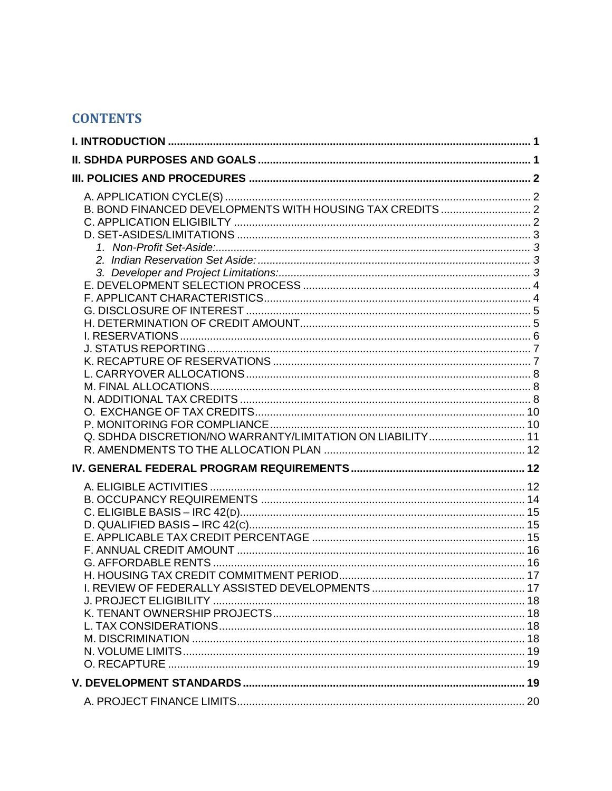# **CONTENTS**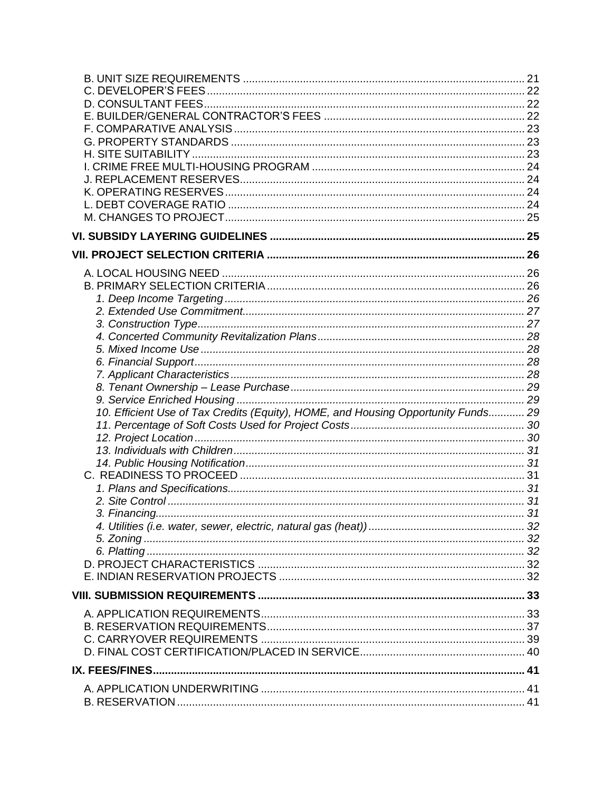| 10. Efficient Use of Tax Credits (Equity), HOME, and Housing Opportunity Funds 29 |  |
|-----------------------------------------------------------------------------------|--|
|                                                                                   |  |
|                                                                                   |  |
|                                                                                   |  |
|                                                                                   |  |
|                                                                                   |  |
|                                                                                   |  |
|                                                                                   |  |
|                                                                                   |  |
|                                                                                   |  |
|                                                                                   |  |
|                                                                                   |  |
|                                                                                   |  |
|                                                                                   |  |
|                                                                                   |  |
|                                                                                   |  |
|                                                                                   |  |
|                                                                                   |  |
|                                                                                   |  |
| IX. FEES/FINES                                                                    |  |
|                                                                                   |  |
|                                                                                   |  |
|                                                                                   |  |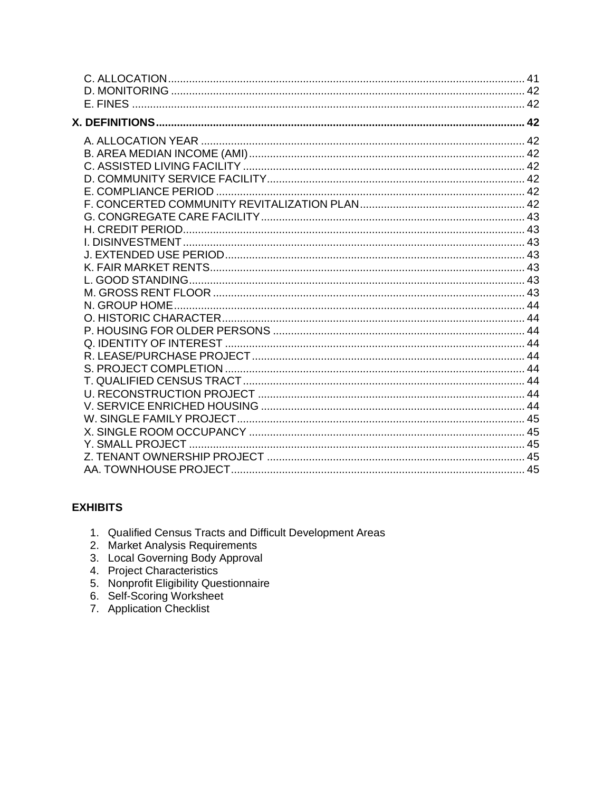## **EXHIBITS**

- 1. Qualified Census Tracts and Difficult Development Areas
- 
- 2. Market Analysis Requirements<br>3. Local Governing Body Approval<br>4. Project Characteristics
- 
- 5. Nonprofit Eligibility Questionnaire
- 6. Self-Scoring Worksheet<br>7. Application Checklist
-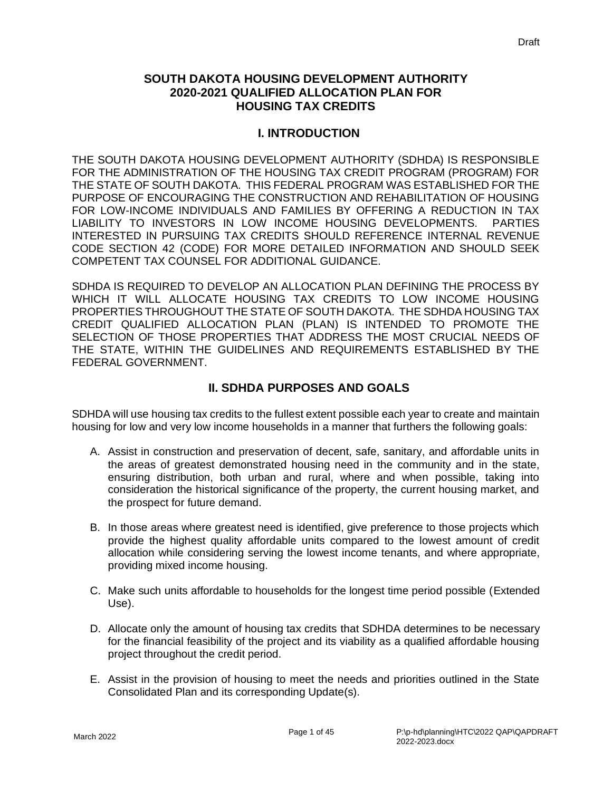## **SOUTH DAKOTA HOUSING DEVELOPMENT AUTHORITY 2020-2021 QUALIFIED ALLOCATION PLAN FOR HOUSING TAX CREDITS**

#### **I. INTRODUCTION**

<span id="page-5-0"></span>THE SOUTH DAKOTA HOUSING DEVELOPMENT AUTHORITY (SDHDA) IS RESPONSIBLE FOR THE ADMINISTRATION OF THE HOUSING TAX CREDIT PROGRAM (PROGRAM) FOR THE STATE OF SOUTH DAKOTA. THIS FEDERAL PROGRAM WAS ESTABLISHED FOR THE PURPOSE OF ENCOURAGING THE CONSTRUCTION AND REHABILITATION OF HOUSING FOR LOW-INCOME INDIVIDUALS AND FAMILIES BY OFFERING A REDUCTION IN TAX LIABILITY TO INVESTORS IN LOW INCOME HOUSING DEVELOPMENTS. PARTIES INTERESTED IN PURSUING TAX CREDITS SHOULD REFERENCE INTERNAL REVENUE CODE SECTION 42 (CODE) FOR MORE DETAILED INFORMATION AND SHOULD SEEK COMPETENT TAX COUNSEL FOR ADDITIONAL GUIDANCE.

SDHDA IS REQUIRED TO DEVELOP AN ALLOCATION PLAN DEFINING THE PROCESS BY WHICH IT WILL ALLOCATE HOUSING TAX CREDITS TO LOW INCOME HOUSING PROPERTIES THROUGHOUT THE STATE OF SOUTH DAKOTA. THE SDHDA HOUSING TAX CREDIT QUALIFIED ALLOCATION PLAN (PLAN) IS INTENDED TO PROMOTE THE SELECTION OF THOSE PROPERTIES THAT ADDRESS THE MOST CRUCIAL NEEDS OF THE STATE, WITHIN THE GUIDELINES AND REQUIREMENTS ESTABLISHED BY THE FEDERAL GOVERNMENT.

## **II. SDHDA PURPOSES AND GOALS**

<span id="page-5-1"></span>SDHDA will use housing tax credits to the fullest extent possible each year to create and maintain housing for low and very low income households in a manner that furthers the following goals:

- A. Assist in construction and preservation of decent, safe, sanitary, and affordable units in the areas of greatest demonstrated housing need in the community and in the state, ensuring distribution, both urban and rural, where and when possible, taking into consideration the historical significance of the property, the current housing market, and the prospect for future demand.
- B. In those areas where greatest need is identified, give preference to those projects which provide the highest quality affordable units compared to the lowest amount of credit allocation while considering serving the lowest income tenants, and where appropriate, providing mixed income housing.
- C. Make such units affordable to households for the longest time period possible (Extended Use).
- D. Allocate only the amount of housing tax credits that SDHDA determines to be necessary for the financial feasibility of the project and its viability as a qualified affordable housing project throughout the credit period.
- E. Assist in the provision of housing to meet the needs and priorities outlined in the State Consolidated Plan and its corresponding Update(s).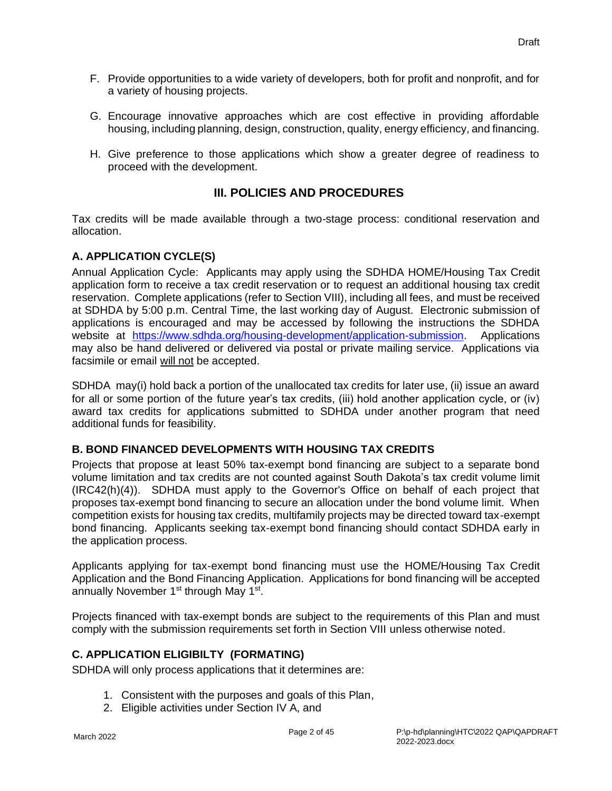- F. Provide opportunities to a wide variety of developers, both for profit and nonprofit, and for a variety of housing projects.
- G. Encourage innovative approaches which are cost effective in providing affordable housing, including planning, design, construction, quality, energy efficiency, and financing.
- H. Give preference to those applications which show a greater degree of readiness to proceed with the development.

## **III. POLICIES AND PROCEDURES**

<span id="page-6-0"></span>Tax credits will be made available through a two-stage process: conditional reservation and allocation.

## <span id="page-6-1"></span>**A. APPLICATION CYCLE(S)**

Annual Application Cycle: Applicants may apply using the SDHDA HOME/Housing Tax Credit application form to receive a tax credit reservation or to request an additional housing tax credit reservation. Complete applications (refer to Section VIII), including all fees, and must be received at SDHDA by 5:00 p.m. Central Time, the last working day of August. Electronic submission of applications is encouraged and may be accessed by following the instructions the SDHDA website at [https://www.sdhda.org/housing-development/application-submission.](https://www.sdhda.org/housing-development/application-submission) Applications may also be hand delivered or delivered via postal or private mailing service. Applications via facsimile or email will not be accepted.

SDHDA may(i) hold back a portion of the unallocated tax credits for later use, (ii) issue an award for all or some portion of the future year's tax credits, (iii) hold another application cycle, or (iv) award tax credits for applications submitted to SDHDA under another program that need additional funds for feasibility.

## <span id="page-6-2"></span>**B. BOND FINANCED DEVELOPMENTS WITH HOUSING TAX CREDITS**

Projects that propose at least 50% tax-exempt bond financing are subject to a separate bond volume limitation and tax credits are not counted against South Dakota's tax credit volume limit (IRC42(h)(4)). SDHDA must apply to the Governor's Office on behalf of each project that proposes tax-exempt bond financing to secure an allocation under the bond volume limit. When competition exists for housing tax credits, multifamily projects may be directed toward tax-exempt bond financing. Applicants seeking tax-exempt bond financing should contact SDHDA early in the application process.

Applicants applying for tax-exempt bond financing must use the HOME/Housing Tax Credit Application and the Bond Financing Application. Applications for bond financing will be accepted annually November 1<sup>st</sup> through May 1<sup>st</sup>.

Projects financed with tax-exempt bonds are subject to the requirements of this Plan and must comply with the submission requirements set forth in Section VIII unless otherwise noted.

## <span id="page-6-3"></span>**C. APPLICATION ELIGIBILTY (FORMATING)**

SDHDA will only process applications that it determines are:

- 1. Consistent with the purposes and goals of this Plan,
- 2. Eligible activities under Section IV A, and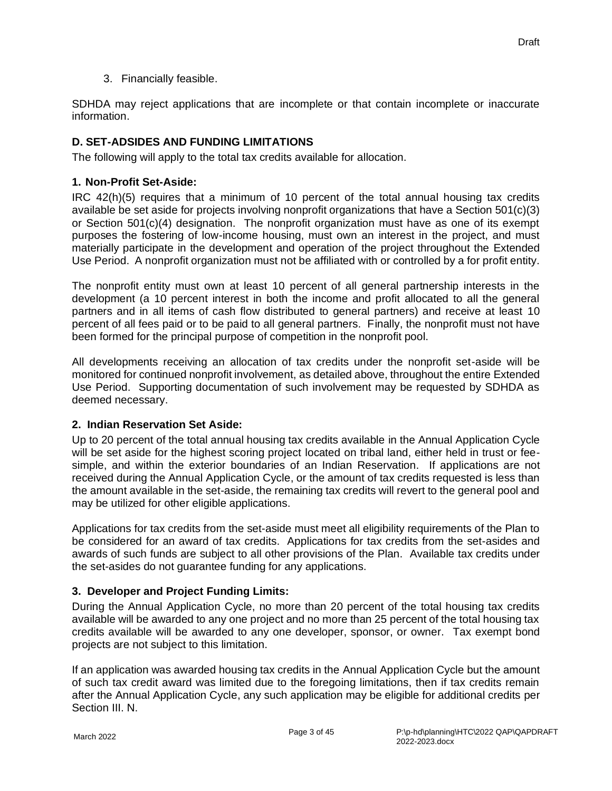3. Financially feasible.

SDHDA may reject applications that are incomplete or that contain incomplete or inaccurate information.

## <span id="page-7-0"></span>**D. SET-ADSIDES AND FUNDING LIMITATIONS**

<span id="page-7-1"></span>The following will apply to the total tax credits available for allocation.

#### **1. Non-Profit Set-Aside:**

IRC 42(h)(5) requires that a minimum of 10 percent of the total annual housing tax credits available be set aside for projects involving nonprofit organizations that have a Section 501(c)(3) or Section 501(c)(4) designation. The nonprofit organization must have as one of its exempt purposes the fostering of low-income housing, must own an interest in the project, and must materially participate in the development and operation of the project throughout the Extended Use Period. A nonprofit organization must not be affiliated with or controlled by a for profit entity.

The nonprofit entity must own at least 10 percent of all general partnership interests in the development (a 10 percent interest in both the income and profit allocated to all the general partners and in all items of cash flow distributed to general partners) and receive at least 10 percent of all fees paid or to be paid to all general partners. Finally, the nonprofit must not have been formed for the principal purpose of competition in the nonprofit pool.

All developments receiving an allocation of tax credits under the nonprofit set-aside will be monitored for continued nonprofit involvement, as detailed above, throughout the entire Extended Use Period. Supporting documentation of such involvement may be requested by SDHDA as deemed necessary.

#### <span id="page-7-2"></span>**2. Indian Reservation Set Aside:**

Up to 20 percent of the total annual housing tax credits available in the Annual Application Cycle will be set aside for the highest scoring project located on tribal land, either held in trust or feesimple, and within the exterior boundaries of an Indian Reservation. If applications are not received during the Annual Application Cycle, or the amount of tax credits requested is less than the amount available in the set-aside, the remaining tax credits will revert to the general pool and may be utilized for other eligible applications.

Applications for tax credits from the set-aside must meet all eligibility requirements of the Plan to be considered for an award of tax credits. Applications for tax credits from the set-asides and awards of such funds are subject to all other provisions of the Plan. Available tax credits under the set-asides do not guarantee funding for any applications.

#### <span id="page-7-3"></span>**3. Developer and Project Funding Limits:**

During the Annual Application Cycle, no more than 20 percent of the total housing tax credits available will be awarded to any one project and no more than 25 percent of the total housing tax credits available will be awarded to any one developer, sponsor, or owner. Tax exempt bond projects are not subject to this limitation.

If an application was awarded housing tax credits in the Annual Application Cycle but the amount of such tax credit award was limited due to the foregoing limitations, then if tax credits remain after the Annual Application Cycle, any such application may be eligible for additional credits per Section III. N.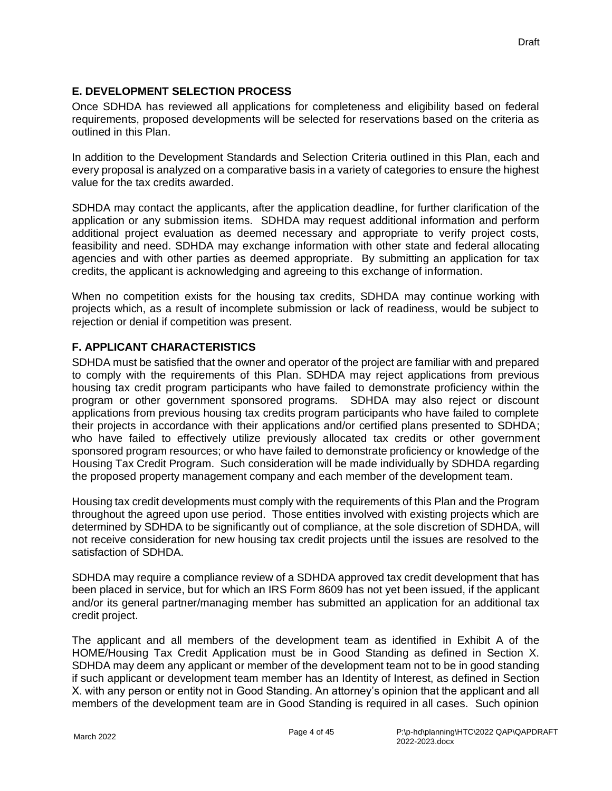#### <span id="page-8-0"></span>**E. DEVELOPMENT SELECTION PROCESS**

Once SDHDA has reviewed all applications for completeness and eligibility based on federal requirements, proposed developments will be selected for reservations based on the criteria as outlined in this Plan.

In addition to the Development Standards and Selection Criteria outlined in this Plan, each and every proposal is analyzed on a comparative basis in a variety of categories to ensure the highest value for the tax credits awarded.

SDHDA may contact the applicants, after the application deadline, for further clarification of the application or any submission items. SDHDA may request additional information and perform additional project evaluation as deemed necessary and appropriate to verify project costs, feasibility and need. SDHDA may exchange information with other state and federal allocating agencies and with other parties as deemed appropriate. By submitting an application for tax credits, the applicant is acknowledging and agreeing to this exchange of information.

When no competition exists for the housing tax credits, SDHDA may continue working with projects which, as a result of incomplete submission or lack of readiness, would be subject to rejection or denial if competition was present.

#### <span id="page-8-1"></span>**F. APPLICANT CHARACTERISTICS**

SDHDA must be satisfied that the owner and operator of the project are familiar with and prepared to comply with the requirements of this Plan. SDHDA may reject applications from previous housing tax credit program participants who have failed to demonstrate proficiency within the program or other government sponsored programs. SDHDA may also reject or discount applications from previous housing tax credits program participants who have failed to complete their projects in accordance with their applications and/or certified plans presented to SDHDA; who have failed to effectively utilize previously allocated tax credits or other government sponsored program resources; or who have failed to demonstrate proficiency or knowledge of the Housing Tax Credit Program. Such consideration will be made individually by SDHDA regarding the proposed property management company and each member of the development team.

Housing tax credit developments must comply with the requirements of this Plan and the Program throughout the agreed upon use period. Those entities involved with existing projects which are determined by SDHDA to be significantly out of compliance, at the sole discretion of SDHDA, will not receive consideration for new housing tax credit projects until the issues are resolved to the satisfaction of SDHDA.

SDHDA may require a compliance review of a SDHDA approved tax credit development that has been placed in service, but for which an IRS Form 8609 has not yet been issued, if the applicant and/or its general partner/managing member has submitted an application for an additional tax credit project.

The applicant and all members of the development team as identified in Exhibit A of the HOME/Housing Tax Credit Application must be in Good Standing as defined in Section X. SDHDA may deem any applicant or member of the development team not to be in good standing if such applicant or development team member has an Identity of Interest, as defined in Section X. with any person or entity not in Good Standing. An attorney's opinion that the applicant and all members of the development team are in Good Standing is required in all cases. Such opinion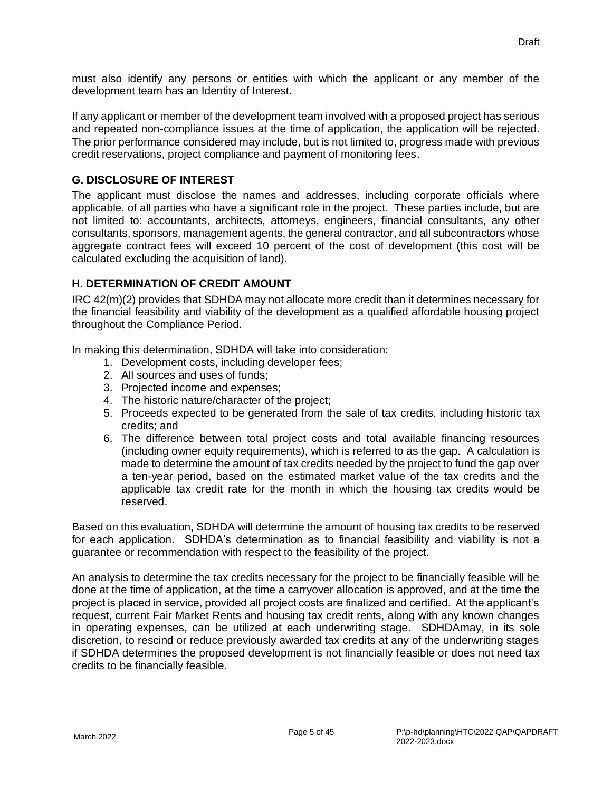must also identify any persons or entities with which the applicant or any member of the development team has an Identity of Interest.

If any applicant or member of the development team involved with a proposed project has serious and repeated non-compliance issues at the time of application, the application will be rejected. The prior performance considered may include, but is not limited to, progress made with previous credit reservations, project compliance and payment of monitoring fees.

#### <span id="page-9-0"></span>**G. DISCLOSURE OF INTEREST**

The applicant must disclose the names and addresses, including corporate officials where applicable, of all parties who have a significant role in the project. These parties include, but are not limited to: accountants, architects, attorneys, engineers, financial consultants, any other consultants, sponsors, management agents, the general contractor, and all subcontractors whose aggregate contract fees will exceed 10 percent of the cost of development (this cost will be calculated excluding the acquisition of land).

#### <span id="page-9-1"></span>**H. DETERMINATION OF CREDIT AMOUNT**

IRC 42(m)(2) provides that SDHDA may not allocate more credit than it determines necessary for the financial feasibility and viability of the development as a qualified affordable housing project throughout the Compliance Period.

In making this determination, SDHDA will take into consideration:

- 1. Development costs, including developer fees;
- 2. All sources and uses of funds;
- 3. Projected income and expenses;
- 4. The historic nature/character of the project;
- 5. Proceeds expected to be generated from the sale of tax credits, including historic tax credits; and
- 6. The difference between total project costs and total available financing resources (including owner equity requirements), which is referred to as the gap. A calculation is made to determine the amount of tax credits needed by the project to fund the gap over a ten-year period, based on the estimated market value of the tax credits and the applicable tax credit rate for the month in which the housing tax credits would be reserved.

Based on this evaluation, SDHDA will determine the amount of housing tax credits to be reserved for each application. SDHDA's determination as to financial feasibility and viability is not a guarantee or recommendation with respect to the feasibility of the project.

An analysis to determine the tax credits necessary for the project to be financially feasible will be done at the time of application, at the time a carryover allocation is approved, and at the time the project is placed in service, provided all project costs are finalized and certified. At the applicant's request, current Fair Market Rents and housing tax credit rents, along with any known changes in operating expenses, can be utilized at each underwriting stage. SDHDAmay, in its sole discretion, to rescind or reduce previously awarded tax credits at any of the underwriting stages if SDHDA determines the proposed development is not financially feasible or does not need tax credits to be financially feasible.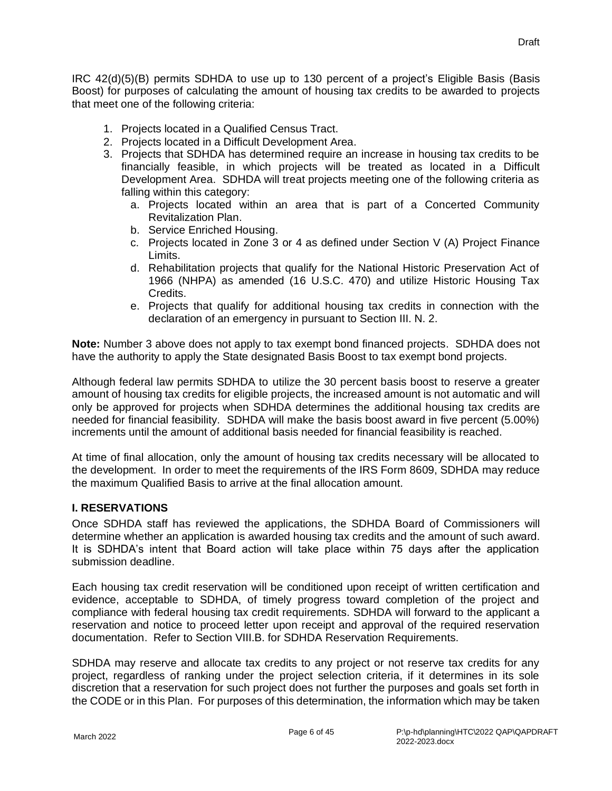IRC 42(d)(5)(B) permits SDHDA to use up to 130 percent of a project's Eligible Basis (Basis Boost) for purposes of calculating the amount of housing tax credits to be awarded to projects that meet one of the following criteria:

- 1. Projects located in a Qualified Census Tract.
- 2. Projects located in a Difficult Development Area.
- 3. Projects that SDHDA has determined require an increase in housing tax credits to be financially feasible, in which projects will be treated as located in a Difficult Development Area. SDHDA will treat projects meeting one of the following criteria as falling within this category:
	- a. Projects located within an area that is part of a Concerted Community Revitalization Plan.
	- b. Service Enriched Housing.
	- c. Projects located in Zone 3 or 4 as defined under Section V (A) Project Finance Limits.
	- d. Rehabilitation projects that qualify for the National Historic Preservation Act of 1966 (NHPA) as amended (16 U.S.C. 470) and utilize Historic Housing Tax Credits.
	- e. Projects that qualify for additional housing tax credits in connection with the declaration of an emergency in pursuant to Section III. N. 2.

**Note:** Number 3 above does not apply to tax exempt bond financed projects. SDHDA does not have the authority to apply the State designated Basis Boost to tax exempt bond projects.

Although federal law permits SDHDA to utilize the 30 percent basis boost to reserve a greater amount of housing tax credits for eligible projects, the increased amount is not automatic and will only be approved for projects when SDHDA determines the additional housing tax credits are needed for financial feasibility. SDHDA will make the basis boost award in five percent (5.00%) increments until the amount of additional basis needed for financial feasibility is reached.

At time of final allocation, only the amount of housing tax credits necessary will be allocated to the development. In order to meet the requirements of the IRS Form 8609, SDHDA may reduce the maximum Qualified Basis to arrive at the final allocation amount.

## <span id="page-10-0"></span>**I. RESERVATIONS**

Once SDHDA staff has reviewed the applications, the SDHDA Board of Commissioners will determine whether an application is awarded housing tax credits and the amount of such award. It is SDHDA's intent that Board action will take place within 75 days after the application submission deadline.

Each housing tax credit reservation will be conditioned upon receipt of written certification and evidence, acceptable to SDHDA, of timely progress toward completion of the project and compliance with federal housing tax credit requirements. SDHDA will forward to the applicant a reservation and notice to proceed letter upon receipt and approval of the required reservation documentation. Refer to Section VIII.B. for SDHDA Reservation Requirements.

SDHDA may reserve and allocate tax credits to any project or not reserve tax credits for any project, regardless of ranking under the project selection criteria, if it determines in its sole discretion that a reservation for such project does not further the purposes and goals set forth in the CODE or in this Plan. For purposes of this determination, the information which may be taken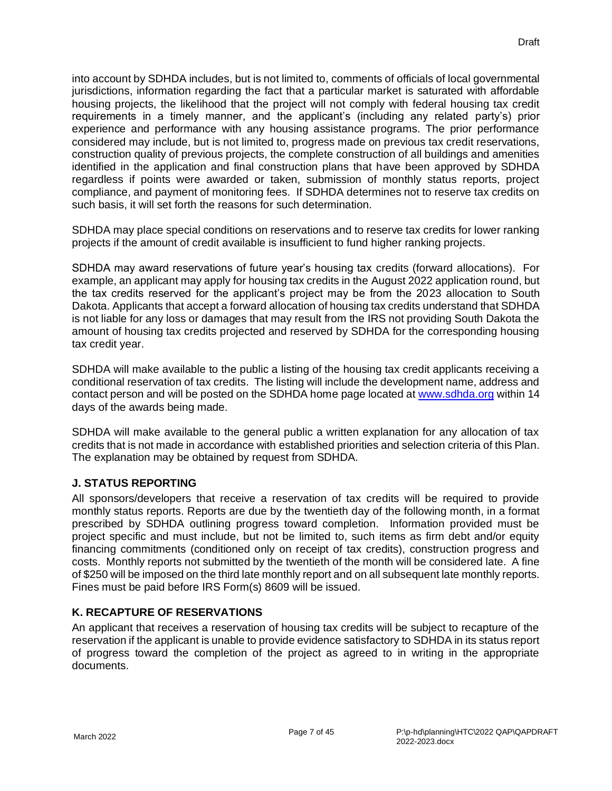into account by SDHDA includes, but is not limited to, comments of officials of local governmental jurisdictions, information regarding the fact that a particular market is saturated with affordable housing projects, the likelihood that the project will not comply with federal housing tax credit requirements in a timely manner, and the applicant's (including any related party's) prior experience and performance with any housing assistance programs. The prior performance considered may include, but is not limited to, progress made on previous tax credit reservations, construction quality of previous projects, the complete construction of all buildings and amenities identified in the application and final construction plans that have been approved by SDHDA regardless if points were awarded or taken, submission of monthly status reports, project compliance, and payment of monitoring fees. If SDHDA determines not to reserve tax credits on such basis, it will set forth the reasons for such determination.

SDHDA may place special conditions on reservations and to reserve tax credits for lower ranking projects if the amount of credit available is insufficient to fund higher ranking projects.

SDHDA may award reservations of future year's housing tax credits (forward allocations). For example, an applicant may apply for housing tax credits in the August 2022 application round, but the tax credits reserved for the applicant's project may be from the 2023 allocation to South Dakota. Applicants that accept a forward allocation of housing tax credits understand that SDHDA is not liable for any loss or damages that may result from the IRS not providing South Dakota the amount of housing tax credits projected and reserved by SDHDA for the corresponding housing tax credit year.

SDHDA will make available to the public a listing of the housing tax credit applicants receiving a conditional reservation of tax credits. The listing will include the development name, address and contact person and will be posted on the SDHDA home page located at [www.sdhda.org](http://www.sdhda.org/) within 14 days of the awards being made.

SDHDA will make available to the general public a written explanation for any allocation of tax credits that is not made in accordance with established priorities and selection criteria of this Plan. The explanation may be obtained by request from SDHDA.

## <span id="page-11-0"></span>**J. STATUS REPORTING**

All sponsors/developers that receive a reservation of tax credits will be required to provide monthly status reports. Reports are due by the twentieth day of the following month, in a format prescribed by SDHDA outlining progress toward completion. Information provided must be project specific and must include, but not be limited to, such items as firm debt and/or equity financing commitments (conditioned only on receipt of tax credits), construction progress and costs. Monthly reports not submitted by the twentieth of the month will be considered late. A fine of \$250 will be imposed on the third late monthly report and on all subsequent late monthly reports. Fines must be paid before IRS Form(s) 8609 will be issued.

## <span id="page-11-1"></span>**K. RECAPTURE OF RESERVATIONS**

An applicant that receives a reservation of housing tax credits will be subject to recapture of the reservation if the applicant is unable to provide evidence satisfactory to SDHDA in its status report of progress toward the completion of the project as agreed to in writing in the appropriate documents.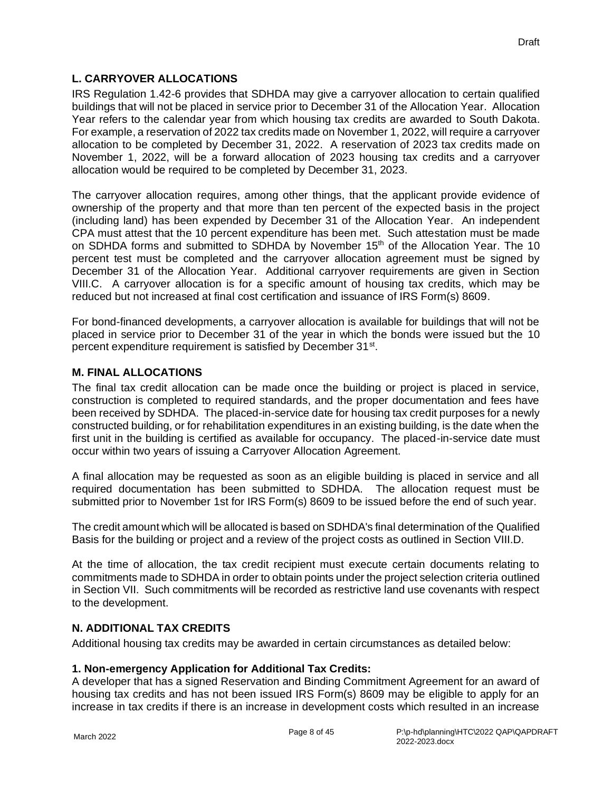#### <span id="page-12-0"></span>**L. CARRYOVER ALLOCATIONS**

IRS Regulation 1.42-6 provides that SDHDA may give a carryover allocation to certain qualified buildings that will not be placed in service prior to December 31 of the Allocation Year. Allocation Year refers to the calendar year from which housing tax credits are awarded to South Dakota. For example, a reservation of 2022 tax credits made on November 1, 2022, will require a carryover allocation to be completed by December 31, 2022. A reservation of 2023 tax credits made on November 1, 2022, will be a forward allocation of 2023 housing tax credits and a carryover allocation would be required to be completed by December 31, 2023.

The carryover allocation requires, among other things, that the applicant provide evidence of ownership of the property and that more than ten percent of the expected basis in the project (including land) has been expended by December 31 of the Allocation Year. An independent CPA must attest that the 10 percent expenditure has been met. Such attestation must be made on SDHDA forms and submitted to SDHDA by November 15<sup>th</sup> of the Allocation Year. The 10 percent test must be completed and the carryover allocation agreement must be signed by December 31 of the Allocation Year. Additional carryover requirements are given in Section VIII.C. A carryover allocation is for a specific amount of housing tax credits, which may be reduced but not increased at final cost certification and issuance of IRS Form(s) 8609.

For bond-financed developments, a carryover allocation is available for buildings that will not be placed in service prior to December 31 of the year in which the bonds were issued but the 10 percent expenditure requirement is satisfied by December 31<sup>st</sup>.

#### <span id="page-12-1"></span>**M. FINAL ALLOCATIONS**

The final tax credit allocation can be made once the building or project is placed in service, construction is completed to required standards, and the proper documentation and fees have been received by SDHDA. The placed-in-service date for housing tax credit purposes for a newly constructed building, or for rehabilitation expenditures in an existing building, is the date when the first unit in the building is certified as available for occupancy. The placed-in-service date must occur within two years of issuing a Carryover Allocation Agreement.

A final allocation may be requested as soon as an eligible building is placed in service and all required documentation has been submitted to SDHDA. The allocation request must be submitted prior to November 1st for IRS Form(s) 8609 to be issued before the end of such year.

The credit amount which will be allocated is based on SDHDA's final determination of the Qualified Basis for the building or project and a review of the project costs as outlined in Section VIII.D.

At the time of allocation, the tax credit recipient must execute certain documents relating to commitments made to SDHDA in order to obtain points under the project selection criteria outlined in Section VII. Such commitments will be recorded as restrictive land use covenants with respect to the development.

#### <span id="page-12-2"></span>**N. ADDITIONAL TAX CREDITS**

Additional housing tax credits may be awarded in certain circumstances as detailed below:

#### **1. Non-emergency Application for Additional Tax Credits:**

A developer that has a signed Reservation and Binding Commitment Agreement for an award of housing tax credits and has not been issued IRS Form(s) 8609 may be eligible to apply for an increase in tax credits if there is an increase in development costs which resulted in an increase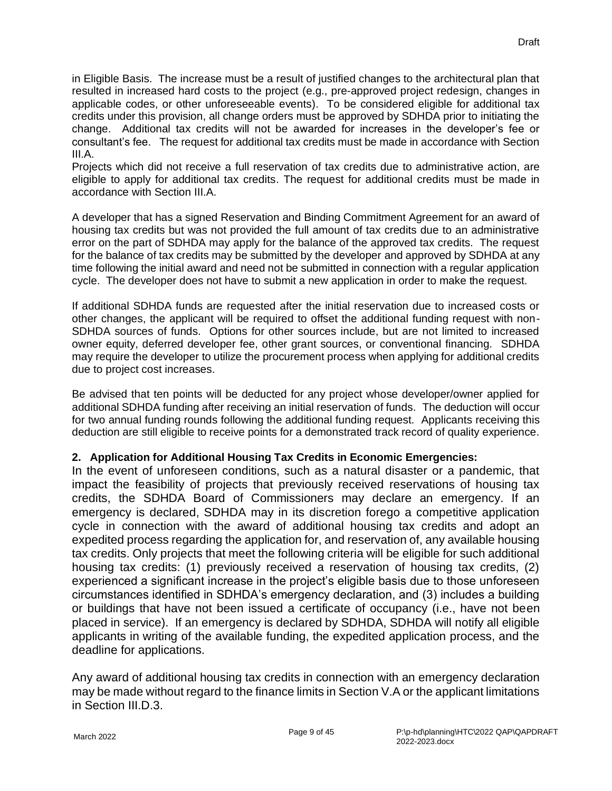in Eligible Basis. The increase must be a result of justified changes to the architectural plan that resulted in increased hard costs to the project (e.g., pre-approved project redesign, changes in applicable codes, or other unforeseeable events). To be considered eligible for additional tax credits under this provision, all change orders must be approved by SDHDA prior to initiating the change. Additional tax credits will not be awarded for increases in the developer's fee or consultant's fee. The request for additional tax credits must be made in accordance with Section III.A.

Projects which did not receive a full reservation of tax credits due to administrative action, are eligible to apply for additional tax credits. The request for additional credits must be made in accordance with Section III.A.

A developer that has a signed Reservation and Binding Commitment Agreement for an award of housing tax credits but was not provided the full amount of tax credits due to an administrative error on the part of SDHDA may apply for the balance of the approved tax credits. The request for the balance of tax credits may be submitted by the developer and approved by SDHDA at any time following the initial award and need not be submitted in connection with a regular application cycle. The developer does not have to submit a new application in order to make the request.

If additional SDHDA funds are requested after the initial reservation due to increased costs or other changes, the applicant will be required to offset the additional funding request with non-SDHDA sources of funds. Options for other sources include, but are not limited to increased owner equity, deferred developer fee, other grant sources, or conventional financing. SDHDA may require the developer to utilize the procurement process when applying for additional credits due to project cost increases.

Be advised that ten points will be deducted for any project whose developer/owner applied for additional SDHDA funding after receiving an initial reservation of funds. The deduction will occur for two annual funding rounds following the additional funding request. Applicants receiving this deduction are still eligible to receive points for a demonstrated track record of quality experience.

## **2. Application for Additional Housing Tax Credits in Economic Emergencies:**

In the event of unforeseen conditions, such as a natural disaster or a pandemic, that impact the feasibility of projects that previously received reservations of housing tax credits, the SDHDA Board of Commissioners may declare an emergency. If an emergency is declared, SDHDA may in its discretion forego a competitive application cycle in connection with the award of additional housing tax credits and adopt an expedited process regarding the application for, and reservation of, any available housing tax credits. Only projects that meet the following criteria will be eligible for such additional housing tax credits: (1) previously received a reservation of housing tax credits, (2) experienced a significant increase in the project's eligible basis due to those unforeseen circumstances identified in SDHDA's emergency declaration, and (3) includes a building or buildings that have not been issued a certificate of occupancy (i.e., have not been placed in service). If an emergency is declared by SDHDA, SDHDA will notify all eligible applicants in writing of the available funding, the expedited application process, and the deadline for applications.

Any award of additional housing tax credits in connection with an emergency declaration may be made without regard to the finance limits in Section V.A or the applicant limitations in Section III.D.3.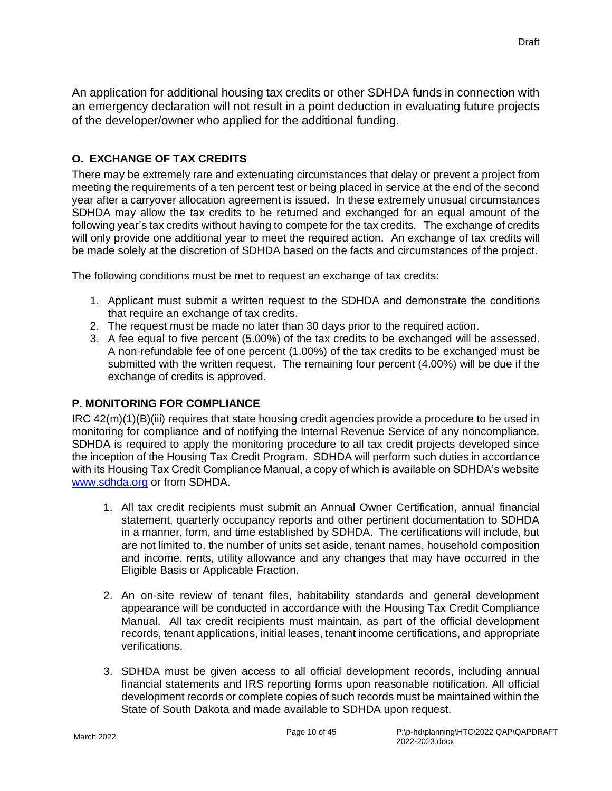An application for additional housing tax credits or other SDHDA funds in connection with an emergency declaration will not result in a point deduction in evaluating future projects of the developer/owner who applied for the additional funding.

## <span id="page-14-0"></span>**O. EXCHANGE OF TAX CREDITS**

There may be extremely rare and extenuating circumstances that delay or prevent a project from meeting the requirements of a ten percent test or being placed in service at the end of the second year after a carryover allocation agreement is issued. In these extremely unusual circumstances SDHDA may allow the tax credits to be returned and exchanged for an equal amount of the following year's tax credits without having to compete for the tax credits. The exchange of credits will only provide one additional year to meet the required action. An exchange of tax credits will be made solely at the discretion of SDHDA based on the facts and circumstances of the project.

The following conditions must be met to request an exchange of tax credits:

- 1. Applicant must submit a written request to the SDHDA and demonstrate the conditions that require an exchange of tax credits.
- 2. The request must be made no later than 30 days prior to the required action.
- 3. A fee equal to five percent (5.00%) of the tax credits to be exchanged will be assessed. A non-refundable fee of one percent (1.00%) of the tax credits to be exchanged must be submitted with the written request. The remaining four percent (4.00%) will be due if the exchange of credits is approved.

## <span id="page-14-1"></span>**P. MONITORING FOR COMPLIANCE**

IRC 42(m)(1)(B)(iii) requires that state housing credit agencies provide a procedure to be used in monitoring for compliance and of notifying the Internal Revenue Service of any noncompliance. SDHDA is required to apply the monitoring procedure to all tax credit projects developed since the inception of the Housing Tax Credit Program. SDHDA will perform such duties in accordance with its Housing Tax Credit Compliance Manual, a copy of which is available on SDHDA's website [www.sdhda.org](http://www.sdhda.org/) or from SDHDA.

- 1. All tax credit recipients must submit an Annual Owner Certification, annual financial statement, quarterly occupancy reports and other pertinent documentation to SDHDA in a manner, form, and time established by SDHDA. The certifications will include, but are not limited to, the number of units set aside, tenant names, household composition and income, rents, utility allowance and any changes that may have occurred in the Eligible Basis or Applicable Fraction.
- 2. An on-site review of tenant files, habitability standards and general development appearance will be conducted in accordance with the Housing Tax Credit Compliance Manual. All tax credit recipients must maintain, as part of the official development records, tenant applications, initial leases, tenant income certifications, and appropriate verifications.
- 3. SDHDA must be given access to all official development records, including annual financial statements and IRS reporting forms upon reasonable notification. All official development records or complete copies of such records must be maintained within the State of South Dakota and made available to SDHDA upon request.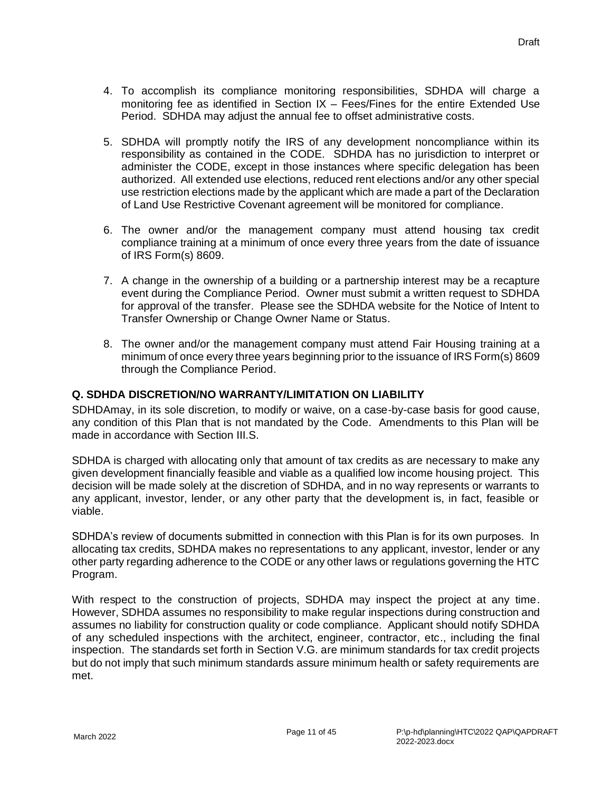- 4. To accomplish its compliance monitoring responsibilities, SDHDA will charge a monitoring fee as identified in Section IX – Fees/Fines for the entire Extended Use Period. SDHDA may adjust the annual fee to offset administrative costs.
- 5. SDHDA will promptly notify the IRS of any development noncompliance within its responsibility as contained in the CODE. SDHDA has no jurisdiction to interpret or administer the CODE, except in those instances where specific delegation has been authorized. All extended use elections, reduced rent elections and/or any other special use restriction elections made by the applicant which are made a part of the Declaration of Land Use Restrictive Covenant agreement will be monitored for compliance.
- 6. The owner and/or the management company must attend housing tax credit compliance training at a minimum of once every three years from the date of issuance of IRS Form(s) 8609.
- 7. A change in the ownership of a building or a partnership interest may be a recapture event during the Compliance Period. Owner must submit a written request to SDHDA for approval of the transfer. Please see the SDHDA website for the Notice of Intent to Transfer Ownership or Change Owner Name or Status.
- 8. The owner and/or the management company must attend Fair Housing training at a minimum of once every three years beginning prior to the issuance of IRS Form(s) 8609 through the Compliance Period.

#### <span id="page-15-0"></span>**Q. SDHDA DISCRETION/NO WARRANTY/LIMITATION ON LIABILITY**

SDHDAmay, in its sole discretion, to modify or waive, on a case-by-case basis for good cause, any condition of this Plan that is not mandated by the Code. Amendments to this Plan will be made in accordance with Section III.S.

SDHDA is charged with allocating only that amount of tax credits as are necessary to make any given development financially feasible and viable as a qualified low income housing project. This decision will be made solely at the discretion of SDHDA, and in no way represents or warrants to any applicant, investor, lender, or any other party that the development is, in fact, feasible or viable.

SDHDA's review of documents submitted in connection with this Plan is for its own purposes. In allocating tax credits, SDHDA makes no representations to any applicant, investor, lender or any other party regarding adherence to the CODE or any other laws or regulations governing the HTC Program.

With respect to the construction of projects, SDHDA may inspect the project at any time. However, SDHDA assumes no responsibility to make regular inspections during construction and assumes no liability for construction quality or code compliance. Applicant should notify SDHDA of any scheduled inspections with the architect, engineer, contractor, etc., including the final inspection. The standards set forth in Section V.G. are minimum standards for tax credit projects but do not imply that such minimum standards assure minimum health or safety requirements are met.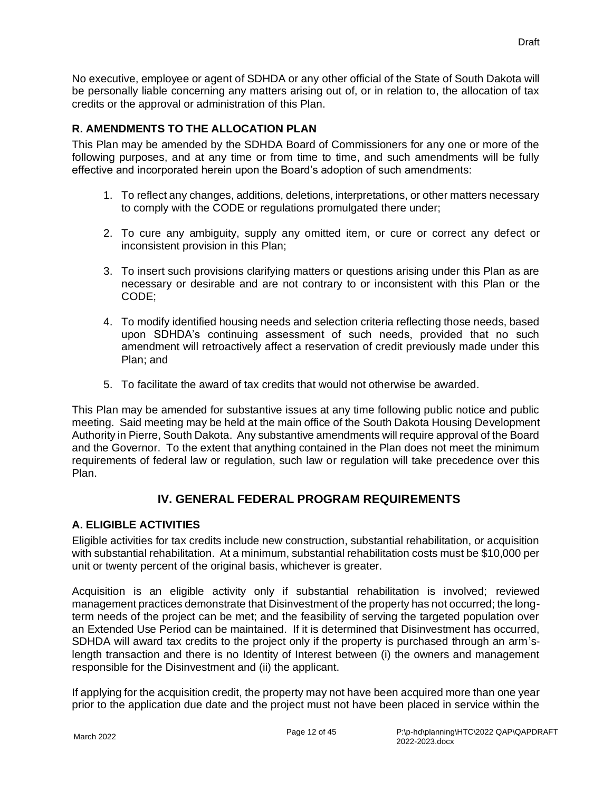No executive, employee or agent of SDHDA or any other official of the State of South Dakota will be personally liable concerning any matters arising out of, or in relation to, the allocation of tax credits or the approval or administration of this Plan.

## <span id="page-16-0"></span>**R. AMENDMENTS TO THE ALLOCATION PLAN**

This Plan may be amended by the SDHDA Board of Commissioners for any one or more of the following purposes, and at any time or from time to time, and such amendments will be fully effective and incorporated herein upon the Board's adoption of such amendments:

- 1. To reflect any changes, additions, deletions, interpretations, or other matters necessary to comply with the CODE or regulations promulgated there under;
- 2. To cure any ambiguity, supply any omitted item, or cure or correct any defect or inconsistent provision in this Plan;
- 3. To insert such provisions clarifying matters or questions arising under this Plan as are necessary or desirable and are not contrary to or inconsistent with this Plan or the CODE;
- 4. To modify identified housing needs and selection criteria reflecting those needs, based upon SDHDA's continuing assessment of such needs, provided that no such amendment will retroactively affect a reservation of credit previously made under this Plan; and
- 5. To facilitate the award of tax credits that would not otherwise be awarded.

This Plan may be amended for substantive issues at any time following public notice and public meeting. Said meeting may be held at the main office of the South Dakota Housing Development Authority in Pierre, South Dakota. Any substantive amendments will require approval of the Board and the Governor. To the extent that anything contained in the Plan does not meet the minimum requirements of federal law or regulation, such law or regulation will take precedence over this Plan.

## **IV. GENERAL FEDERAL PROGRAM REQUIREMENTS**

## <span id="page-16-2"></span><span id="page-16-1"></span>**A. ELIGIBLE ACTIVITIES**

Eligible activities for tax credits include new construction, substantial rehabilitation, or acquisition with substantial rehabilitation. At a minimum, substantial rehabilitation costs must be \$10,000 per unit or twenty percent of the original basis, whichever is greater.

Acquisition is an eligible activity only if substantial rehabilitation is involved; reviewed management practices demonstrate that Disinvestment of the property has not occurred; the longterm needs of the project can be met; and the feasibility of serving the targeted population over an Extended Use Period can be maintained. If it is determined that Disinvestment has occurred, SDHDA will award tax credits to the project only if the property is purchased through an arm'slength transaction and there is no Identity of Interest between (i) the owners and management responsible for the Disinvestment and (ii) the applicant.

If applying for the acquisition credit, the property may not have been acquired more than one year prior to the application due date and the project must not have been placed in service within the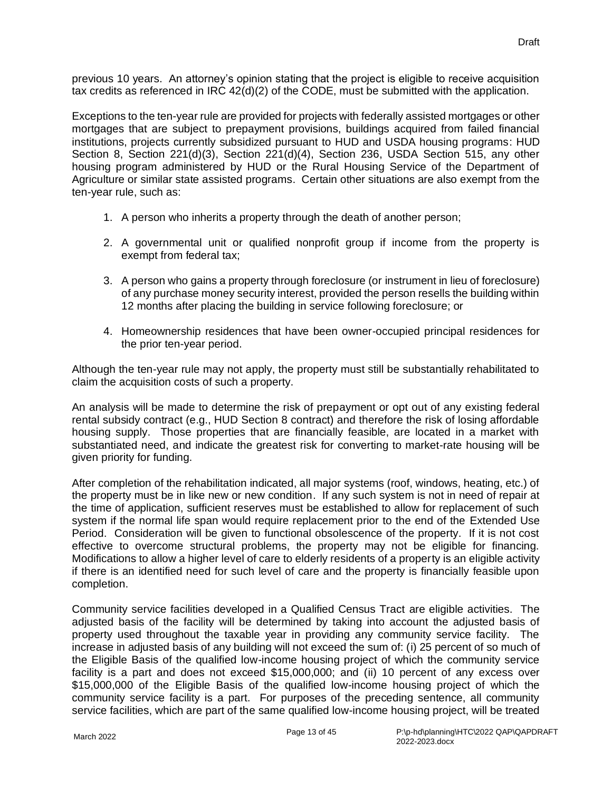previous 10 years. An attorney's opinion stating that the project is eligible to receive acquisition tax credits as referenced in IRC  $42(d)(2)$  of the CODE, must be submitted with the application.

Exceptions to the ten-year rule are provided for projects with federally assisted mortgages or other mortgages that are subject to prepayment provisions, buildings acquired from failed financial institutions, projects currently subsidized pursuant to HUD and USDA housing programs: HUD Section 8, Section 221(d)(3), Section 221(d)(4), Section 236, USDA Section 515, any other housing program administered by HUD or the Rural Housing Service of the Department of Agriculture or similar state assisted programs. Certain other situations are also exempt from the ten-year rule, such as:

- 1. A person who inherits a property through the death of another person;
- 2. A governmental unit or qualified nonprofit group if income from the property is exempt from federal tax;
- 3. A person who gains a property through foreclosure (or instrument in lieu of foreclosure) of any purchase money security interest, provided the person resells the building within 12 months after placing the building in service following foreclosure; or
- 4. Homeownership residences that have been owner-occupied principal residences for the prior ten-year period.

Although the ten-year rule may not apply, the property must still be substantially rehabilitated to claim the acquisition costs of such a property.

An analysis will be made to determine the risk of prepayment or opt out of any existing federal rental subsidy contract (e.g., HUD Section 8 contract) and therefore the risk of losing affordable housing supply. Those properties that are financially feasible, are located in a market with substantiated need, and indicate the greatest risk for converting to market-rate housing will be given priority for funding.

After completion of the rehabilitation indicated, all major systems (roof, windows, heating, etc.) of the property must be in like new or new condition. If any such system is not in need of repair at the time of application, sufficient reserves must be established to allow for replacement of such system if the normal life span would require replacement prior to the end of the Extended Use Period. Consideration will be given to functional obsolescence of the property. If it is not cost effective to overcome structural problems, the property may not be eligible for financing. Modifications to allow a higher level of care to elderly residents of a property is an eligible activity if there is an identified need for such level of care and the property is financially feasible upon completion.

Community service facilities developed in a Qualified Census Tract are eligible activities. The adjusted basis of the facility will be determined by taking into account the adjusted basis of property used throughout the taxable year in providing any community service facility. The increase in adjusted basis of any building will not exceed the sum of: (i) 25 percent of so much of the Eligible Basis of the qualified low-income housing project of which the community service facility is a part and does not exceed \$15,000,000; and (ii) 10 percent of any excess over \$15,000,000 of the Eligible Basis of the qualified low-income housing project of which the community service facility is a part. For purposes of the preceding sentence, all community service facilities, which are part of the same qualified low-income housing project, will be treated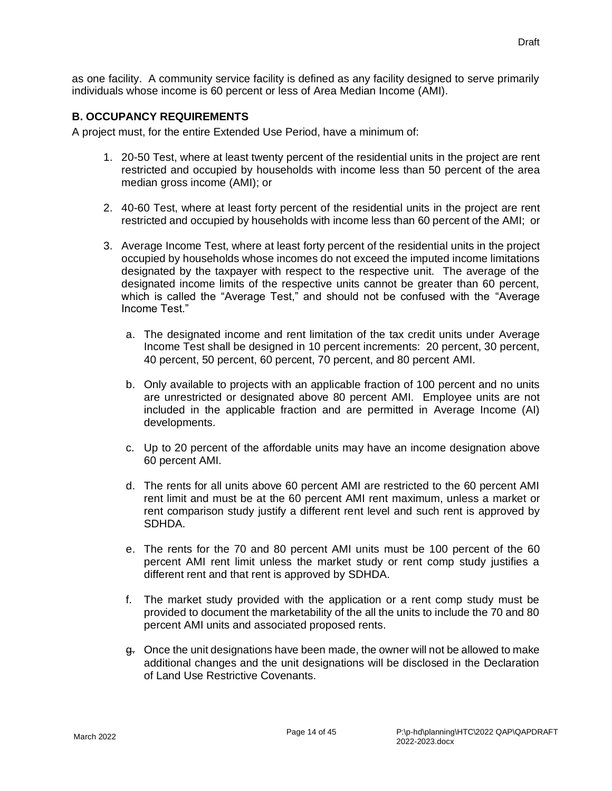as one facility. A community service facility is defined as any facility designed to serve primarily individuals whose income is 60 percent or less of Area Median Income (AMI).

#### <span id="page-18-0"></span>**B. OCCUPANCY REQUIREMENTS**

A project must, for the entire Extended Use Period, have a minimum of:

- 1. 20-50 Test, where at least twenty percent of the residential units in the project are rent restricted and occupied by households with income less than 50 percent of the area median gross income (AMI); or
- 2. 40-60 Test, where at least forty percent of the residential units in the project are rent restricted and occupied by households with income less than 60 percent of the AMI; or
- 3. Average Income Test, where at least forty percent of the residential units in the project occupied by households whose incomes do not exceed the imputed income limitations designated by the taxpayer with respect to the respective unit. The average of the designated income limits of the respective units cannot be greater than 60 percent, which is called the "Average Test," and should not be confused with the "Average Income Test."
	- a. The designated income and rent limitation of the tax credit units under Average Income Test shall be designed in 10 percent increments: 20 percent, 30 percent, 40 percent, 50 percent, 60 percent, 70 percent, and 80 percent AMI.
	- b. Only available to projects with an applicable fraction of 100 percent and no units are unrestricted or designated above 80 percent AMI. Employee units are not included in the applicable fraction and are permitted in Average Income (AI) developments.
	- c. Up to 20 percent of the affordable units may have an income designation above 60 percent AMI.
	- d. The rents for all units above 60 percent AMI are restricted to the 60 percent AMI rent limit and must be at the 60 percent AMI rent maximum, unless a market or rent comparison study justify a different rent level and such rent is approved by SDHDA.
	- e. The rents for the 70 and 80 percent AMI units must be 100 percent of the 60 percent AMI rent limit unless the market study or rent comp study justifies a different rent and that rent is approved by SDHDA.
	- f. The market study provided with the application or a rent comp study must be provided to document the marketability of the all the units to include the 70 and 80 percent AMI units and associated proposed rents.
	- g. Once the unit designations have been made, the owner will not be allowed to make additional changes and the unit designations will be disclosed in the Declaration of Land Use Restrictive Covenants.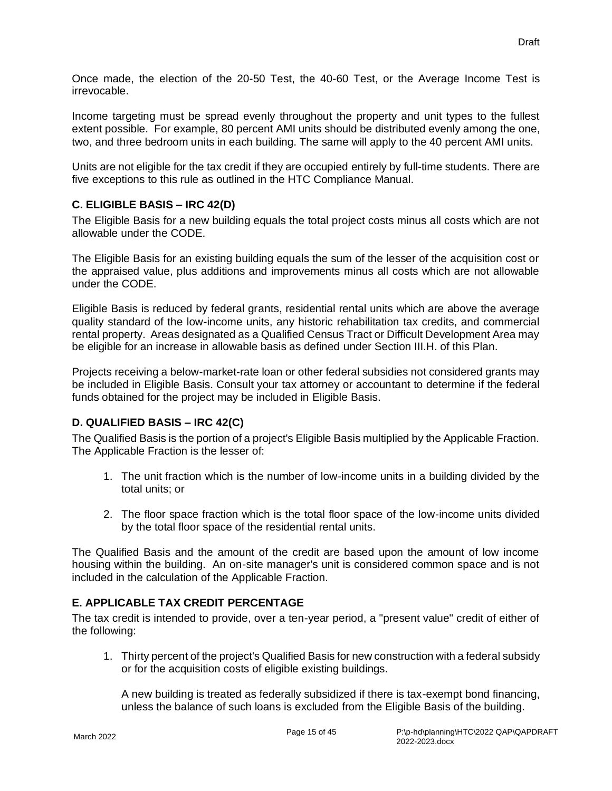Once made, the election of the 20-50 Test, the 40-60 Test, or the Average Income Test is irrevocable.

Income targeting must be spread evenly throughout the property and unit types to the fullest extent possible. For example, 80 percent AMI units should be distributed evenly among the one, two, and three bedroom units in each building. The same will apply to the 40 percent AMI units.

Units are not eligible for the tax credit if they are occupied entirely by full-time students. There are five exceptions to this rule as outlined in the HTC Compliance Manual.

## <span id="page-19-0"></span>**C. ELIGIBLE BASIS – IRC 42(D)**

The Eligible Basis for a new building equals the total project costs minus all costs which are not allowable under the CODE.

The Eligible Basis for an existing building equals the sum of the lesser of the acquisition cost or the appraised value, plus additions and improvements minus all costs which are not allowable under the CODE.

Eligible Basis is reduced by federal grants, residential rental units which are above the average quality standard of the low-income units, any historic rehabilitation tax credits, and commercial rental property. Areas designated as a Qualified Census Tract or Difficult Development Area may be eligible for an increase in allowable basis as defined under Section III.H. of this Plan.

Projects receiving a below-market-rate loan or other federal subsidies not considered grants may be included in Eligible Basis. Consult your tax attorney or accountant to determine if the federal funds obtained for the project may be included in Eligible Basis.

## <span id="page-19-1"></span>**D. QUALIFIED BASIS – IRC 42(C)**

The Qualified Basis is the portion of a project's Eligible Basis multiplied by the Applicable Fraction. The Applicable Fraction is the lesser of:

- 1. The unit fraction which is the number of low-income units in a building divided by the total units; or
- 2. The floor space fraction which is the total floor space of the low-income units divided by the total floor space of the residential rental units.

The Qualified Basis and the amount of the credit are based upon the amount of low income housing within the building. An on-site manager's unit is considered common space and is not included in the calculation of the Applicable Fraction.

## <span id="page-19-2"></span>**E. APPLICABLE TAX CREDIT PERCENTAGE**

The tax credit is intended to provide, over a ten-year period, a "present value" credit of either of the following:

1. Thirty percent of the project's Qualified Basis for new construction with a federal subsidy or for the acquisition costs of eligible existing buildings.

A new building is treated as federally subsidized if there is tax-exempt bond financing, unless the balance of such loans is excluded from the Eligible Basis of the building.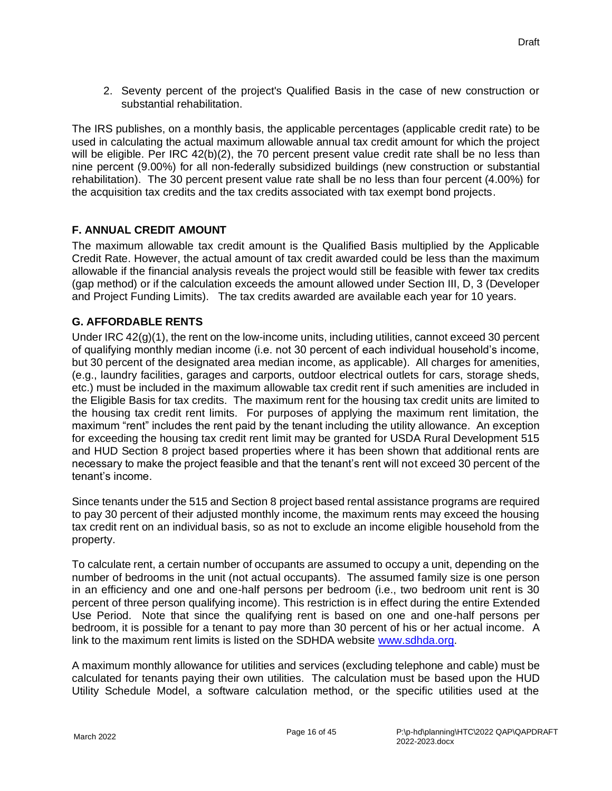2. Seventy percent of the project's Qualified Basis in the case of new construction or substantial rehabilitation.

The IRS publishes, on a monthly basis, the applicable percentages (applicable credit rate) to be used in calculating the actual maximum allowable annual tax credit amount for which the project will be eligible. Per IRC 42(b)(2), the 70 percent present value credit rate shall be no less than nine percent (9.00%) for all non-federally subsidized buildings (new construction or substantial rehabilitation). The 30 percent present value rate shall be no less than four percent (4.00%) for the acquisition tax credits and the tax credits associated with tax exempt bond projects.

## <span id="page-20-0"></span>**F. ANNUAL CREDIT AMOUNT**

The maximum allowable tax credit amount is the Qualified Basis multiplied by the Applicable Credit Rate. However, the actual amount of tax credit awarded could be less than the maximum allowable if the financial analysis reveals the project would still be feasible with fewer tax credits (gap method) or if the calculation exceeds the amount allowed under Section III, D, 3 (Developer and Project Funding Limits). The tax credits awarded are available each year for 10 years.

## <span id="page-20-1"></span>**G. AFFORDABLE RENTS**

Under IRC 42(g)(1), the rent on the low-income units, including utilities, cannot exceed 30 percent of qualifying monthly median income (i.e. not 30 percent of each individual household's income, but 30 percent of the designated area median income, as applicable). All charges for amenities, (e.g., laundry facilities, garages and carports, outdoor electrical outlets for cars, storage sheds, etc.) must be included in the maximum allowable tax credit rent if such amenities are included in the Eligible Basis for tax credits. The maximum rent for the housing tax credit units are limited to the housing tax credit rent limits. For purposes of applying the maximum rent limitation, the maximum "rent" includes the rent paid by the tenant including the utility allowance. An exception for exceeding the housing tax credit rent limit may be granted for USDA Rural Development 515 and HUD Section 8 project based properties where it has been shown that additional rents are necessary to make the project feasible and that the tenant's rent will not exceed 30 percent of the tenant's income.

Since tenants under the 515 and Section 8 project based rental assistance programs are required to pay 30 percent of their adjusted monthly income, the maximum rents may exceed the housing tax credit rent on an individual basis, so as not to exclude an income eligible household from the property.

To calculate rent, a certain number of occupants are assumed to occupy a unit, depending on the number of bedrooms in the unit (not actual occupants). The assumed family size is one person in an efficiency and one and one-half persons per bedroom (i.e., two bedroom unit rent is 30 percent of three person qualifying income). This restriction is in effect during the entire Extended Use Period. Note that since the qualifying rent is based on one and one-half persons per bedroom, it is possible for a tenant to pay more than 30 percent of his or her actual income. A link to the maximum rent limits is listed on the SDHDA website [www.sdhda.org.](file://///sdhda-fs01/Volumes/Shared/p-hd/planning/HTC/2018%20QAP/www.sdhda.org)

A maximum monthly allowance for utilities and services (excluding telephone and cable) must be calculated for tenants paying their own utilities. The calculation must be based upon the HUD Utility Schedule Model, a software calculation method, or the specific utilities used at the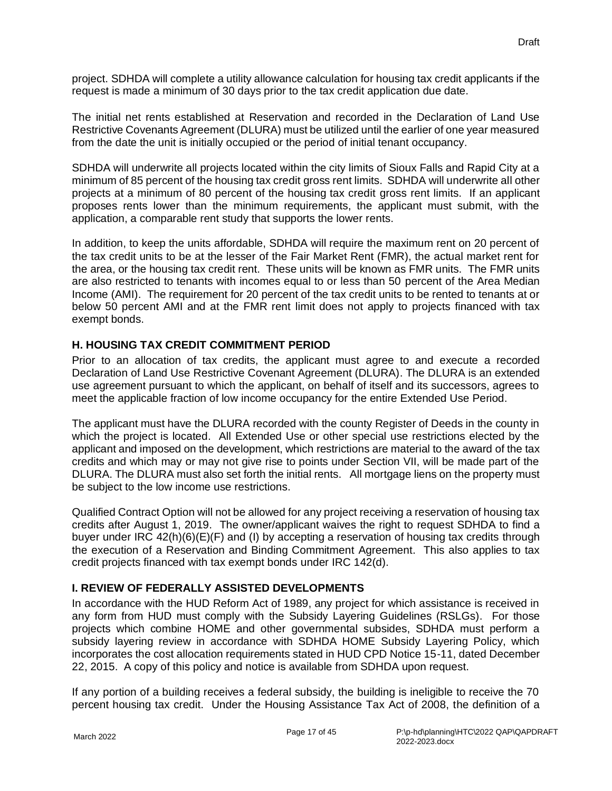project. SDHDA will complete a utility allowance calculation for housing tax credit applicants if the request is made a minimum of 30 days prior to the tax credit application due date.

The initial net rents established at Reservation and recorded in the Declaration of Land Use Restrictive Covenants Agreement (DLURA) must be utilized until the earlier of one year measured from the date the unit is initially occupied or the period of initial tenant occupancy.

SDHDA will underwrite all projects located within the city limits of Sioux Falls and Rapid City at a minimum of 85 percent of the housing tax credit gross rent limits. SDHDA will underwrite all other projects at a minimum of 80 percent of the housing tax credit gross rent limits. If an applicant proposes rents lower than the minimum requirements, the applicant must submit, with the application, a comparable rent study that supports the lower rents.

In addition, to keep the units affordable, SDHDA will require the maximum rent on 20 percent of the tax credit units to be at the lesser of the Fair Market Rent (FMR), the actual market rent for the area, or the housing tax credit rent. These units will be known as FMR units. The FMR units are also restricted to tenants with incomes equal to or less than 50 percent of the Area Median Income (AMI). The requirement for 20 percent of the tax credit units to be rented to tenants at or below 50 percent AMI and at the FMR rent limit does not apply to projects financed with tax exempt bonds.

## <span id="page-21-0"></span>**H. HOUSING TAX CREDIT COMMITMENT PERIOD**

Prior to an allocation of tax credits, the applicant must agree to and execute a recorded Declaration of Land Use Restrictive Covenant Agreement (DLURA). The DLURA is an extended use agreement pursuant to which the applicant, on behalf of itself and its successors, agrees to meet the applicable fraction of low income occupancy for the entire Extended Use Period.

The applicant must have the DLURA recorded with the county Register of Deeds in the county in which the project is located. All Extended Use or other special use restrictions elected by the applicant and imposed on the development, which restrictions are material to the award of the tax credits and which may or may not give rise to points under Section VII, will be made part of the DLURA. The DLURA must also set forth the initial rents. All mortgage liens on the property must be subject to the low income use restrictions.

Qualified Contract Option will not be allowed for any project receiving a reservation of housing tax credits after August 1, 2019. The owner/applicant waives the right to request SDHDA to find a buyer under IRC 42(h)(6)(E)(F) and (I) by accepting a reservation of housing tax credits through the execution of a Reservation and Binding Commitment Agreement. This also applies to tax credit projects financed with tax exempt bonds under IRC 142(d).

## <span id="page-21-1"></span>**I. REVIEW OF FEDERALLY ASSISTED DEVELOPMENTS**

In accordance with the HUD Reform Act of 1989, any project for which assistance is received in any form from HUD must comply with the Subsidy Layering Guidelines (RSLGs). For those projects which combine HOME and other governmental subsides, SDHDA must perform a subsidy layering review in accordance with SDHDA HOME Subsidy Layering Policy, which incorporates the cost allocation requirements stated in HUD CPD Notice 15-11, dated December 22, 2015. A copy of this policy and notice is available from SDHDA upon request.

If any portion of a building receives a federal subsidy, the building is ineligible to receive the 70 percent housing tax credit. Under the Housing Assistance Tax Act of 2008, the definition of a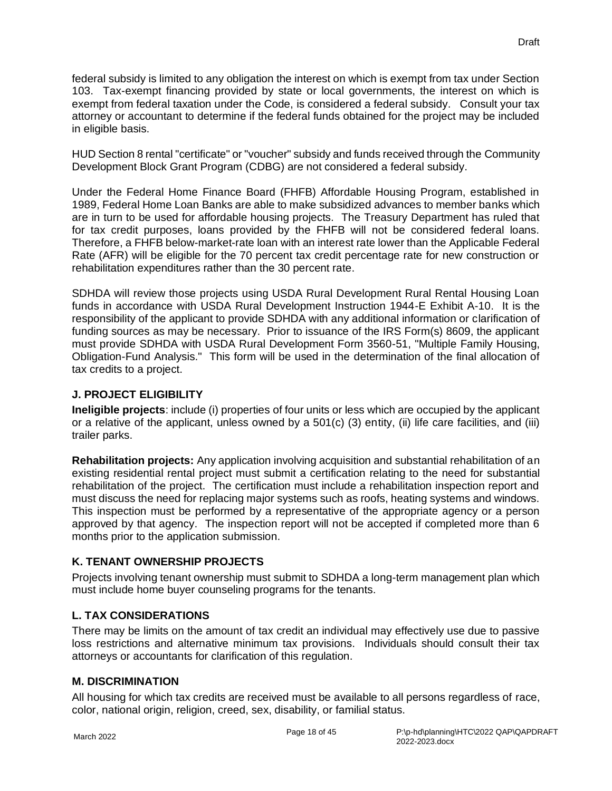federal subsidy is limited to any obligation the interest on which is exempt from tax under Section 103. Tax-exempt financing provided by state or local governments, the interest on which is exempt from federal taxation under the Code, is considered a federal subsidy. Consult your tax attorney or accountant to determine if the federal funds obtained for the project may be included in eligible basis.

HUD Section 8 rental "certificate" or "voucher" subsidy and funds received through the Community Development Block Grant Program (CDBG) are not considered a federal subsidy.

Under the Federal Home Finance Board (FHFB) Affordable Housing Program, established in 1989, Federal Home Loan Banks are able to make subsidized advances to member banks which are in turn to be used for affordable housing projects. The Treasury Department has ruled that for tax credit purposes, loans provided by the FHFB will not be considered federal loans. Therefore, a FHFB below-market-rate loan with an interest rate lower than the Applicable Federal Rate (AFR) will be eligible for the 70 percent tax credit percentage rate for new construction or rehabilitation expenditures rather than the 30 percent rate.

SDHDA will review those projects using USDA Rural Development Rural Rental Housing Loan funds in accordance with USDA Rural Development Instruction 1944-E Exhibit A-10. It is the responsibility of the applicant to provide SDHDA with any additional information or clarification of funding sources as may be necessary. Prior to issuance of the IRS Form(s) 8609, the applicant must provide SDHDA with USDA Rural Development Form 3560-51, "Multiple Family Housing, Obligation-Fund Analysis." This form will be used in the determination of the final allocation of tax credits to a project.

#### <span id="page-22-0"></span>**J. PROJECT ELIGIBILITY**

**Ineligible projects**: include (i) properties of four units or less which are occupied by the applicant or a relative of the applicant, unless owned by a 501(c) (3) entity, (ii) life care facilities, and (iii) trailer parks.

**Rehabilitation projects:** Any application involving acquisition and substantial rehabilitation of an existing residential rental project must submit a certification relating to the need for substantial rehabilitation of the project. The certification must include a rehabilitation inspection report and must discuss the need for replacing major systems such as roofs, heating systems and windows. This inspection must be performed by a representative of the appropriate agency or a person approved by that agency. The inspection report will not be accepted if completed more than 6 months prior to the application submission.

## <span id="page-22-1"></span>**K. TENANT OWNERSHIP PROJECTS**

Projects involving tenant ownership must submit to SDHDA a long-term management plan which must include home buyer counseling programs for the tenants.

## <span id="page-22-2"></span>**L. TAX CONSIDERATIONS**

There may be limits on the amount of tax credit an individual may effectively use due to passive loss restrictions and alternative minimum tax provisions. Individuals should consult their tax attorneys or accountants for clarification of this regulation.

## <span id="page-22-3"></span>**M. DISCRIMINATION**

All housing for which tax credits are received must be available to all persons regardless of race, color, national origin, religion, creed, sex, disability, or familial status.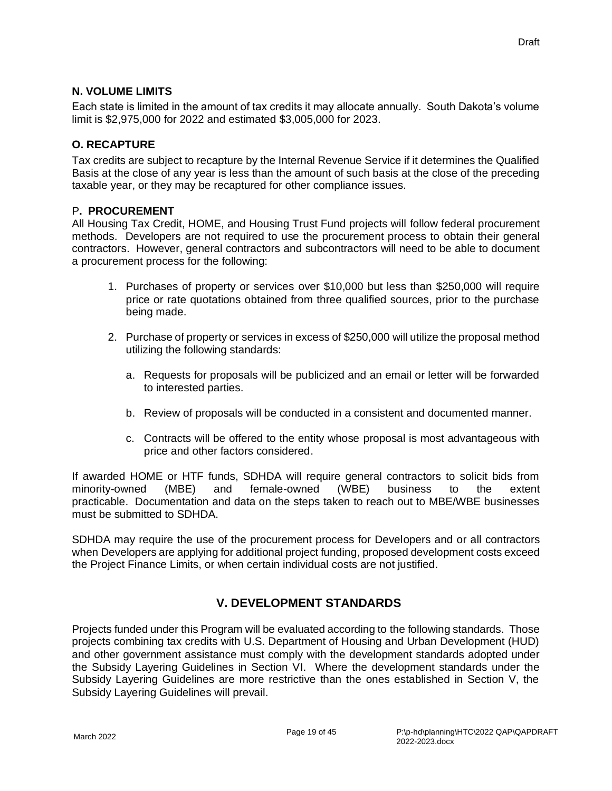#### <span id="page-23-0"></span>**N. VOLUME LIMITS**

Each state is limited in the amount of tax credits it may allocate annually. South Dakota's volume limit is \$2,975,000 for 2022 and estimated \$3,005,000 for 2023.

#### <span id="page-23-1"></span>**O. RECAPTURE**

Tax credits are subject to recapture by the Internal Revenue Service if it determines the Qualified Basis at the close of any year is less than the amount of such basis at the close of the preceding taxable year, or they may be recaptured for other compliance issues.

#### P**. PROCUREMENT**

All Housing Tax Credit, HOME, and Housing Trust Fund projects will follow federal procurement methods. Developers are not required to use the procurement process to obtain their general contractors. However, general contractors and subcontractors will need to be able to document a procurement process for the following:

- 1. Purchases of property or services over \$10,000 but less than \$250,000 will require price or rate quotations obtained from three qualified sources, prior to the purchase being made.
- 2. Purchase of property or services in excess of \$250,000 will utilize the proposal method utilizing the following standards:
	- a. Requests for proposals will be publicized and an email or letter will be forwarded to interested parties.
	- b. Review of proposals will be conducted in a consistent and documented manner.
	- c. Contracts will be offered to the entity whose proposal is most advantageous with price and other factors considered.

If awarded HOME or HTF funds, SDHDA will require general contractors to solicit bids from minority-owned (MBE) and female-owned (WBE) business to the extent practicable. Documentation and data on the steps taken to reach out to MBE/WBE businesses must be submitted to SDHDA.

SDHDA may require the use of the procurement process for Developers and or all contractors when Developers are applying for additional project funding, proposed development costs exceed the Project Finance Limits, or when certain individual costs are not justified.

## **V. DEVELOPMENT STANDARDS**

<span id="page-23-2"></span>Projects funded under this Program will be evaluated according to the following standards. Those projects combining tax credits with U.S. Department of Housing and Urban Development (HUD) and other government assistance must comply with the development standards adopted under the Subsidy Layering Guidelines in Section VI. Where the development standards under the Subsidy Layering Guidelines are more restrictive than the ones established in Section V, the Subsidy Layering Guidelines will prevail.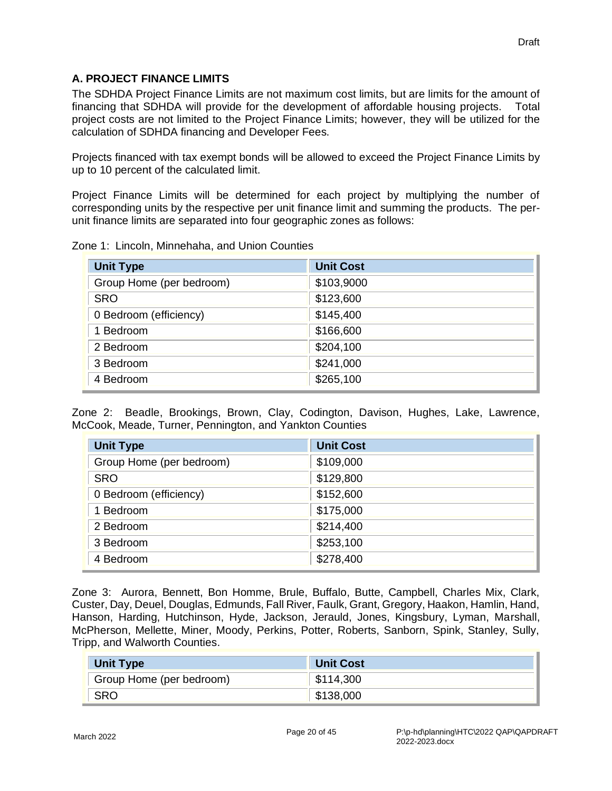#### <span id="page-24-0"></span>**A. PROJECT FINANCE LIMITS**

The SDHDA Project Finance Limits are not maximum cost limits, but are limits for the amount of financing that SDHDA will provide for the development of affordable housing projects. Total project costs are not limited to the Project Finance Limits; however, they will be utilized for the calculation of SDHDA financing and Developer Fees.

Projects financed with tax exempt bonds will be allowed to exceed the Project Finance Limits by up to 10 percent of the calculated limit.

Project Finance Limits will be determined for each project by multiplying the number of corresponding units by the respective per unit finance limit and summing the products. The perunit finance limits are separated into four geographic zones as follows:

|  |  | Zone 1: Lincoln, Minnehaha, and Union Counties |  |  |  |
|--|--|------------------------------------------------|--|--|--|
|--|--|------------------------------------------------|--|--|--|

| <b>Unit Type</b>         | <b>Unit Cost</b> |
|--------------------------|------------------|
| Group Home (per bedroom) | \$103,9000       |
| <b>SRO</b>               | \$123,600        |
| 0 Bedroom (efficiency)   | \$145,400        |
| 1 Bedroom                | \$166,600        |
| 2 Bedroom                | \$204,100        |
| 3 Bedroom                | \$241,000        |
| 4 Bedroom                | \$265,100        |

Zone 2: Beadle, Brookings, Brown, Clay, Codington, Davison, Hughes, Lake, Lawrence, McCook, Meade, Turner, Pennington, and Yankton Counties

| <b>Unit Type</b>         | <b>Unit Cost</b> |
|--------------------------|------------------|
| Group Home (per bedroom) | \$109,000        |
| <b>SRO</b>               | \$129,800        |
| 0 Bedroom (efficiency)   | \$152,600        |
| 1 Bedroom                | \$175,000        |
| 2 Bedroom                | \$214,400        |
| 3 Bedroom                | \$253,100        |
| 4 Bedroom                | \$278,400        |

Zone 3: Aurora, Bennett, Bon Homme, Brule, Buffalo, Butte, Campbell, Charles Mix, Clark, Custer, Day, Deuel, Douglas, Edmunds, Fall River, Faulk, Grant, Gregory, Haakon, Hamlin, Hand, Hanson, Harding, Hutchinson, Hyde, Jackson, Jerauld, Jones, Kingsbury, Lyman, Marshall, McPherson, Mellette, Miner, Moody, Perkins, Potter, Roberts, Sanborn, Spink, Stanley, Sully, Tripp, and Walworth Counties.

| <b>Unit Type</b>         | <b>Unit Cost</b> |
|--------------------------|------------------|
| Group Home (per bedroom) | \$114,300        |
| <b>SRO</b>               | \$138,000        |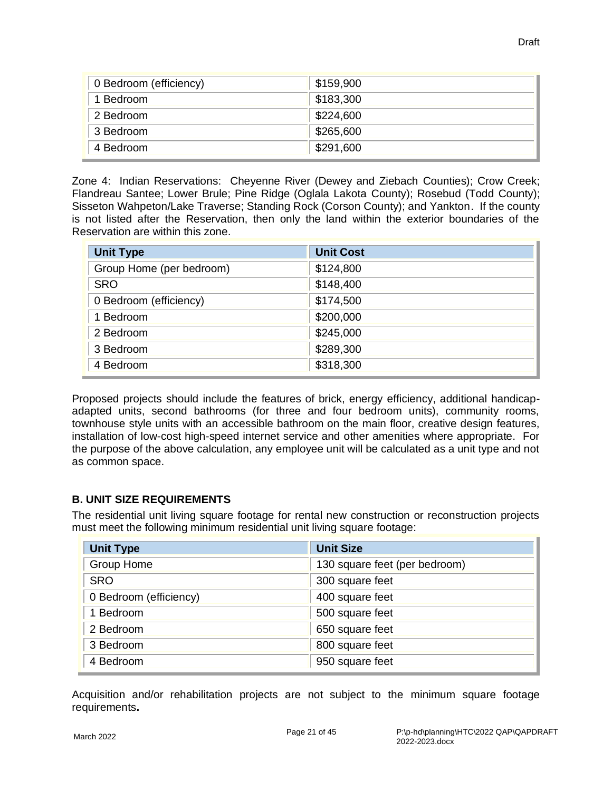| 0 Bedroom (efficiency) | \$159,900 |
|------------------------|-----------|
| 1 Bedroom              | \$183,300 |
| 2 Bedroom              | \$224,600 |
| 3 Bedroom              | \$265,600 |
| 4 Bedroom              | \$291,600 |

Zone 4: Indian Reservations: Cheyenne River (Dewey and Ziebach Counties); Crow Creek; Flandreau Santee; Lower Brule; Pine Ridge (Oglala Lakota County); Rosebud (Todd County); Sisseton Wahpeton/Lake Traverse; Standing Rock (Corson County); and Yankton. If the county is not listed after the Reservation, then only the land within the exterior boundaries of the Reservation are within this zone.

| <b>Unit Type</b>         | <b>Unit Cost</b> |
|--------------------------|------------------|
| Group Home (per bedroom) | \$124,800        |
| <b>SRO</b>               | \$148,400        |
| 0 Bedroom (efficiency)   | \$174,500        |
| 1 Bedroom                | \$200,000        |
| 2 Bedroom                | \$245,000        |
| 3 Bedroom                | \$289,300        |
| 4 Bedroom                | \$318,300        |

Proposed projects should include the features of brick, energy efficiency, additional handicapadapted units, second bathrooms (for three and four bedroom units), community rooms, townhouse style units with an accessible bathroom on the main floor, creative design features, installation of low-cost high-speed internet service and other amenities where appropriate. For the purpose of the above calculation, any employee unit will be calculated as a unit type and not as common space.

## <span id="page-25-0"></span>**B. UNIT SIZE REQUIREMENTS**

The residential unit living square footage for rental new construction or reconstruction projects must meet the following minimum residential unit living square footage:

| <b>Unit Type</b>       | <b>Unit Size</b>              |
|------------------------|-------------------------------|
| Group Home             | 130 square feet (per bedroom) |
| <b>SRO</b>             | 300 square feet               |
| 0 Bedroom (efficiency) | 400 square feet               |
| 1 Bedroom              | 500 square feet               |
| 2 Bedroom              | 650 square feet               |
| 3 Bedroom              | 800 square feet               |
| 4 Bedroom              | 950 square feet               |

Acquisition and/or rehabilitation projects are not subject to the minimum square footage requirements**.**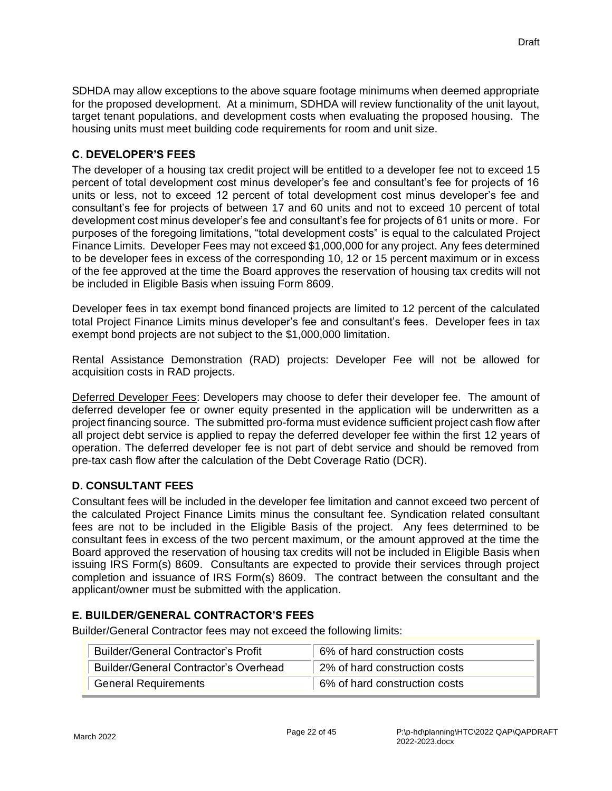SDHDA may allow exceptions to the above square footage minimums when deemed appropriate for the proposed development. At a minimum, SDHDA will review functionality of the unit layout, target tenant populations, and development costs when evaluating the proposed housing. The housing units must meet building code requirements for room and unit size.

## <span id="page-26-0"></span>**C. DEVELOPER'S FEES**

The developer of a housing tax credit project will be entitled to a developer fee not to exceed 15 percent of total development cost minus developer's fee and consultant's fee for projects of 16 units or less, not to exceed 12 percent of total development cost minus developer's fee and consultant's fee for projects of between 17 and 60 units and not to exceed 10 percent of total development cost minus developer's fee and consultant's fee for projects of 61 units or more. For purposes of the foregoing limitations, "total development costs" is equal to the calculated Project Finance Limits. Developer Fees may not exceed \$1,000,000 for any project. Any fees determined to be developer fees in excess of the corresponding 10, 12 or 15 percent maximum or in excess of the fee approved at the time the Board approves the reservation of housing tax credits will not be included in Eligible Basis when issuing Form 8609.

Developer fees in tax exempt bond financed projects are limited to 12 percent of the calculated total Project Finance Limits minus developer's fee and consultant's fees. Developer fees in tax exempt bond projects are not subject to the \$1,000,000 limitation.

Rental Assistance Demonstration (RAD) projects: Developer Fee will not be allowed for acquisition costs in RAD projects.

Deferred Developer Fees: Developers may choose to defer their developer fee. The amount of deferred developer fee or owner equity presented in the application will be underwritten as a project financing source. The submitted pro-forma must evidence sufficient project cash flow after all project debt service is applied to repay the deferred developer fee within the first 12 years of operation. The deferred developer fee is not part of debt service and should be removed from pre-tax cash flow after the calculation of the Debt Coverage Ratio (DCR).

## <span id="page-26-1"></span>**D. CONSULTANT FEES**

Consultant fees will be included in the developer fee limitation and cannot exceed two percent of the calculated Project Finance Limits minus the consultant fee. Syndication related consultant fees are not to be included in the Eligible Basis of the project. Any fees determined to be consultant fees in excess of the two percent maximum, or the amount approved at the time the Board approved the reservation of housing tax credits will not be included in Eligible Basis when issuing IRS Form(s) 8609. Consultants are expected to provide their services through project completion and issuance of IRS Form(s) 8609. The contract between the consultant and the applicant/owner must be submitted with the application.

## <span id="page-26-2"></span>**E. BUILDER/GENERAL CONTRACTOR'S FEES**

Builder/General Contractor fees may not exceed the following limits:

| <b>Builder/General Contractor's Profit</b>   | 6% of hard construction costs |
|----------------------------------------------|-------------------------------|
| <b>Builder/General Contractor's Overhead</b> | 2% of hard construction costs |
| <b>General Requirements</b>                  | 6% of hard construction costs |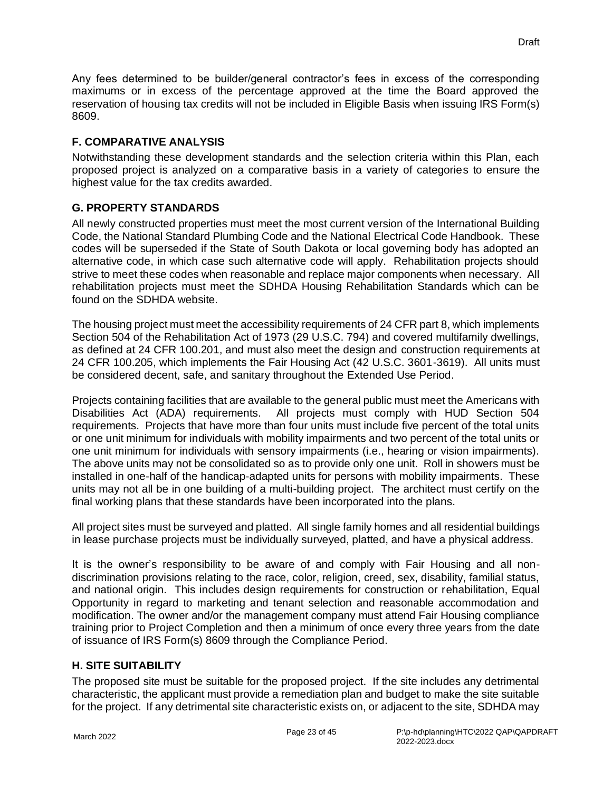Any fees determined to be builder/general contractor's fees in excess of the corresponding maximums or in excess of the percentage approved at the time the Board approved the reservation of housing tax credits will not be included in Eligible Basis when issuing IRS Form(s) 8609.

#### <span id="page-27-0"></span>**F. COMPARATIVE ANALYSIS**

Notwithstanding these development standards and the selection criteria within this Plan, each proposed project is analyzed on a comparative basis in a variety of categories to ensure the highest value for the tax credits awarded.

## <span id="page-27-1"></span>**G. PROPERTY STANDARDS**

All newly constructed properties must meet the most current version of the International Building Code, the National Standard Plumbing Code and the National Electrical Code Handbook. These codes will be superseded if the State of South Dakota or local governing body has adopted an alternative code, in which case such alternative code will apply. Rehabilitation projects should strive to meet these codes when reasonable and replace major components when necessary. All rehabilitation projects must meet the SDHDA Housing Rehabilitation Standards which can be found on the SDHDA website.

The housing project must meet the accessibility requirements of 24 CFR part 8, which implements Section 504 of the Rehabilitation Act of 1973 (29 U.S.C. 794) and covered multifamily dwellings, as defined at 24 CFR 100.201, and must also meet the design and construction requirements at 24 CFR 100.205, which implements the Fair Housing Act (42 U.S.C. 3601-3619). All units must be considered decent, safe, and sanitary throughout the Extended Use Period.

Projects containing facilities that are available to the general public must meet the Americans with Disabilities Act (ADA) requirements. All projects must comply with HUD Section 504 requirements. Projects that have more than four units must include five percent of the total units or one unit minimum for individuals with mobility impairments and two percent of the total units or one unit minimum for individuals with sensory impairments (i.e., hearing or vision impairments). The above units may not be consolidated so as to provide only one unit. Roll in showers must be installed in one-half of the handicap-adapted units for persons with mobility impairments. These units may not all be in one building of a multi-building project. The architect must certify on the final working plans that these standards have been incorporated into the plans.

All project sites must be surveyed and platted. All single family homes and all residential buildings in lease purchase projects must be individually surveyed, platted, and have a physical address.

It is the owner's responsibility to be aware of and comply with Fair Housing and all nondiscrimination provisions relating to the race, color, religion, creed, sex, disability, familial status, and national origin. This includes design requirements for construction or rehabilitation, Equal Opportunity in regard to marketing and tenant selection and reasonable accommodation and modification. The owner and/or the management company must attend Fair Housing compliance training prior to Project Completion and then a minimum of once every three years from the date of issuance of IRS Form(s) 8609 through the Compliance Period.

## <span id="page-27-2"></span>**H. SITE SUITABILITY**

The proposed site must be suitable for the proposed project. If the site includes any detrimental characteristic, the applicant must provide a remediation plan and budget to make the site suitable for the project. If any detrimental site characteristic exists on, or adjacent to the site, SDHDA may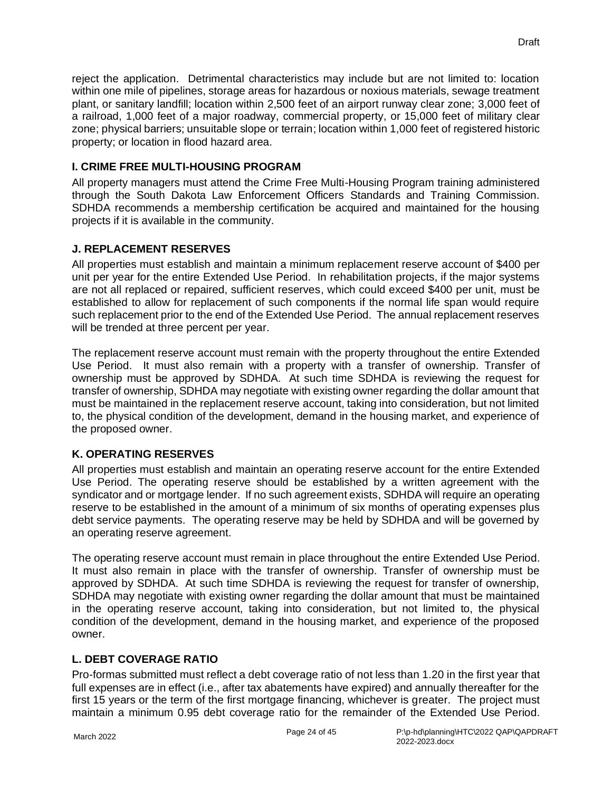reject the application. Detrimental characteristics may include but are not limited to: location within one mile of pipelines, storage areas for hazardous or noxious materials, sewage treatment plant, or sanitary landfill; location within 2,500 feet of an airport runway clear zone; 3,000 feet of a railroad, 1,000 feet of a major roadway, commercial property, or 15,000 feet of military clear zone; physical barriers; unsuitable slope or terrain; location within 1,000 feet of registered historic property; or location in flood hazard area.

## <span id="page-28-0"></span>**I. CRIME FREE MULTI-HOUSING PROGRAM**

All property managers must attend the Crime Free Multi-Housing Program training administered through the South Dakota Law Enforcement Officers Standards and Training Commission. SDHDA recommends a membership certification be acquired and maintained for the housing projects if it is available in the community.

## <span id="page-28-1"></span>**J. REPLACEMENT RESERVES**

All properties must establish and maintain a minimum replacement reserve account of \$400 per unit per year for the entire Extended Use Period. In rehabilitation projects, if the major systems are not all replaced or repaired, sufficient reserves, which could exceed \$400 per unit, must be established to allow for replacement of such components if the normal life span would require such replacement prior to the end of the Extended Use Period. The annual replacement reserves will be trended at three percent per year.

The replacement reserve account must remain with the property throughout the entire Extended Use Period. It must also remain with a property with a transfer of ownership. Transfer of ownership must be approved by SDHDA. At such time SDHDA is reviewing the request for transfer of ownership, SDHDA may negotiate with existing owner regarding the dollar amount that must be maintained in the replacement reserve account, taking into consideration, but not limited to, the physical condition of the development, demand in the housing market, and experience of the proposed owner.

## <span id="page-28-2"></span>**K. OPERATING RESERVES**

All properties must establish and maintain an operating reserve account for the entire Extended Use Period. The operating reserve should be established by a written agreement with the syndicator and or mortgage lender. If no such agreement exists, SDHDA will require an operating reserve to be established in the amount of a minimum of six months of operating expenses plus debt service payments. The operating reserve may be held by SDHDA and will be governed by an operating reserve agreement.

The operating reserve account must remain in place throughout the entire Extended Use Period. It must also remain in place with the transfer of ownership. Transfer of ownership must be approved by SDHDA. At such time SDHDA is reviewing the request for transfer of ownership, SDHDA may negotiate with existing owner regarding the dollar amount that must be maintained in the operating reserve account, taking into consideration, but not limited to, the physical condition of the development, demand in the housing market, and experience of the proposed owner.

## <span id="page-28-3"></span>**L. DEBT COVERAGE RATIO**

Pro-formas submitted must reflect a debt coverage ratio of not less than 1.20 in the first year that full expenses are in effect (i.e., after tax abatements have expired) and annually thereafter for the first 15 years or the term of the first mortgage financing, whichever is greater. The project must maintain a minimum 0.95 debt coverage ratio for the remainder of the Extended Use Period.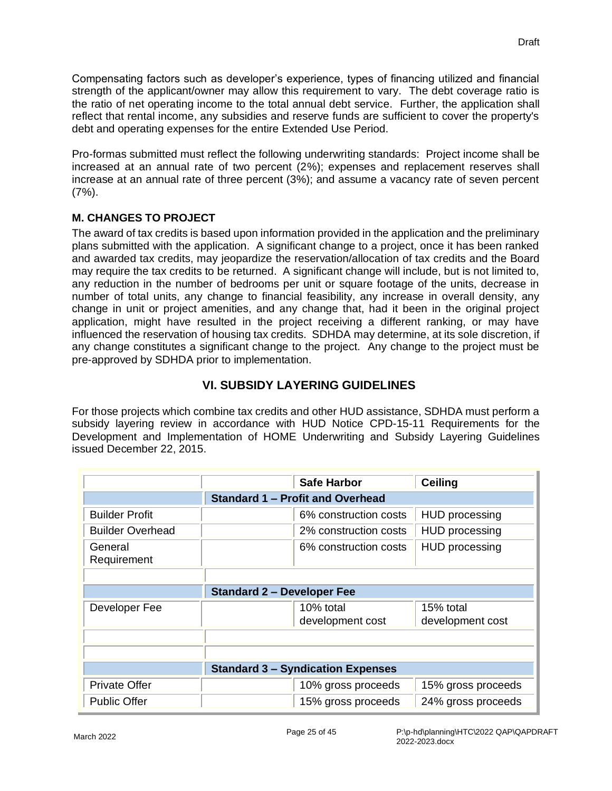Compensating factors such as developer's experience, types of financing utilized and financial strength of the applicant/owner may allow this requirement to vary. The debt coverage ratio is the ratio of net operating income to the total annual debt service. Further, the application shall reflect that rental income, any subsidies and reserve funds are sufficient to cover the property's debt and operating expenses for the entire Extended Use Period.

Pro-formas submitted must reflect the following underwriting standards: Project income shall be increased at an annual rate of two percent (2%); expenses and replacement reserves shall increase at an annual rate of three percent (3%); and assume a vacancy rate of seven percent (7%).

## <span id="page-29-0"></span>**M. CHANGES TO PROJECT**

The award of tax credits is based upon information provided in the application and the preliminary plans submitted with the application. A significant change to a project, once it has been ranked and awarded tax credits, may jeopardize the reservation/allocation of tax credits and the Board may require the tax credits to be returned. A significant change will include, but is not limited to, any reduction in the number of bedrooms per unit or square footage of the units, decrease in number of total units, any change to financial feasibility, any increase in overall density, any change in unit or project amenities, and any change that, had it been in the original project application, might have resulted in the project receiving a different ranking, or may have influenced the reservation of housing tax credits. SDHDA may determine, at its sole discretion, if any change constitutes a significant change to the project. Any change to the project must be pre-approved by SDHDA prior to implementation.

## **VI. SUBSIDY LAYERING GUIDELINES**

<span id="page-29-1"></span>For those projects which combine tax credits and other HUD assistance, SDHDA must perform a subsidy layering review in accordance with HUD Notice CPD-15-11 Requirements for the Development and Implementation of HOME Underwriting and Subsidy Layering Guidelines issued December 22, 2015.

|                         |                                          | <b>Safe Harbor</b>            | <b>Ceiling</b>                |  |
|-------------------------|------------------------------------------|-------------------------------|-------------------------------|--|
|                         | <b>Standard 1 - Profit and Overhead</b>  |                               |                               |  |
| <b>Builder Profit</b>   |                                          | 6% construction costs         | <b>HUD</b> processing         |  |
| <b>Builder Overhead</b> |                                          | 2% construction costs         | <b>HUD</b> processing         |  |
| General<br>Requirement  |                                          | 6% construction costs         | <b>HUD processing</b>         |  |
|                         |                                          |                               |                               |  |
|                         | <b>Standard 2 - Developer Fee</b>        |                               |                               |  |
| Developer Fee           |                                          | 10% total<br>development cost | 15% total<br>development cost |  |
|                         |                                          |                               |                               |  |
|                         |                                          |                               |                               |  |
|                         | <b>Standard 3 – Syndication Expenses</b> |                               |                               |  |
| Private Offer           |                                          | 10% gross proceeds            | 15% gross proceeds            |  |
| <b>Public Offer</b>     |                                          | 15% gross proceeds            | 24% gross proceeds            |  |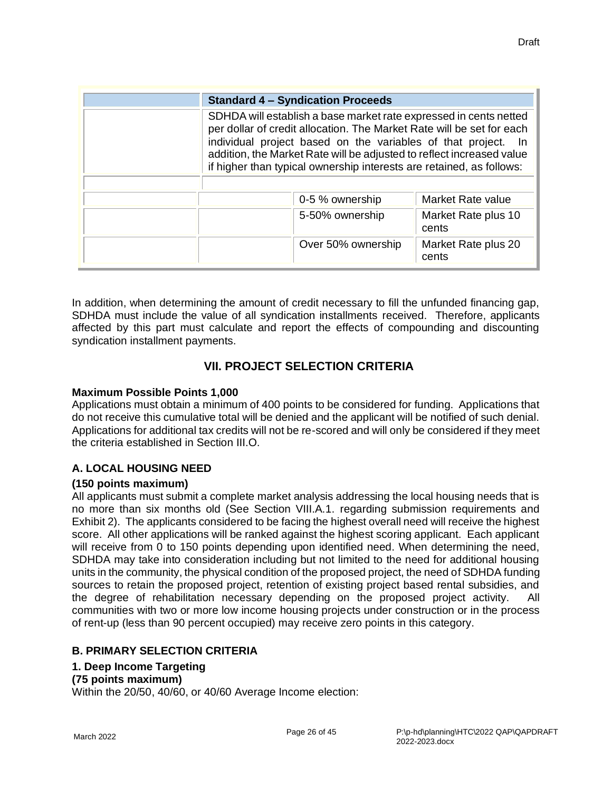|                                                                                                                                                                                                                                                                                                                                                                   | <b>Standard 4 – Syndication Proceeds</b> |                              |  |
|-------------------------------------------------------------------------------------------------------------------------------------------------------------------------------------------------------------------------------------------------------------------------------------------------------------------------------------------------------------------|------------------------------------------|------------------------------|--|
| SDHDA will establish a base market rate expressed in cents netted<br>per dollar of credit allocation. The Market Rate will be set for each<br>individual project based on the variables of that project.<br>- In<br>addition, the Market Rate will be adjusted to reflect increased value<br>if higher than typical ownership interests are retained, as follows: |                                          |                              |  |
|                                                                                                                                                                                                                                                                                                                                                                   | 0-5 % ownership                          | Market Rate value            |  |
|                                                                                                                                                                                                                                                                                                                                                                   | 5-50% ownership                          | Market Rate plus 10<br>cents |  |
|                                                                                                                                                                                                                                                                                                                                                                   | Over 50% ownership                       | Market Rate plus 20<br>cents |  |

In addition, when determining the amount of credit necessary to fill the unfunded financing gap, SDHDA must include the value of all syndication installments received. Therefore, applicants affected by this part must calculate and report the effects of compounding and discounting syndication installment payments.

## **VII. PROJECT SELECTION CRITERIA**

#### <span id="page-30-0"></span>**Maximum Possible Points 1,000**

Applications must obtain a minimum of 400 points to be considered for funding. Applications that do not receive this cumulative total will be denied and the applicant will be notified of such denial. Applications for additional tax credits will not be re-scored and will only be considered if they meet the criteria established in Section III.O.

## <span id="page-30-1"></span>**A. LOCAL HOUSING NEED**

#### **(150 points maximum)**

All applicants must submit a complete market analysis addressing the local housing needs that is no more than six months old (See Section VIII.A.1. regarding submission requirements and Exhibit 2). The applicants considered to be facing the highest overall need will receive the highest score. All other applications will be ranked against the highest scoring applicant. Each applicant will receive from 0 to 150 points depending upon identified need. When determining the need, SDHDA may take into consideration including but not limited to the need for additional housing units in the community, the physical condition of the proposed project, the need of SDHDA funding sources to retain the proposed project, retention of existing project based rental subsidies, and the degree of rehabilitation necessary depending on the proposed project activity. All communities with two or more low income housing projects under construction or in the process of rent-up (less than 90 percent occupied) may receive zero points in this category.

#### <span id="page-30-2"></span>**B. PRIMARY SELECTION CRITERIA**

#### <span id="page-30-3"></span>**1. Deep Income Targeting**

#### **(75 points maximum)**

Within the 20/50, 40/60, or 40/60 Average Income election: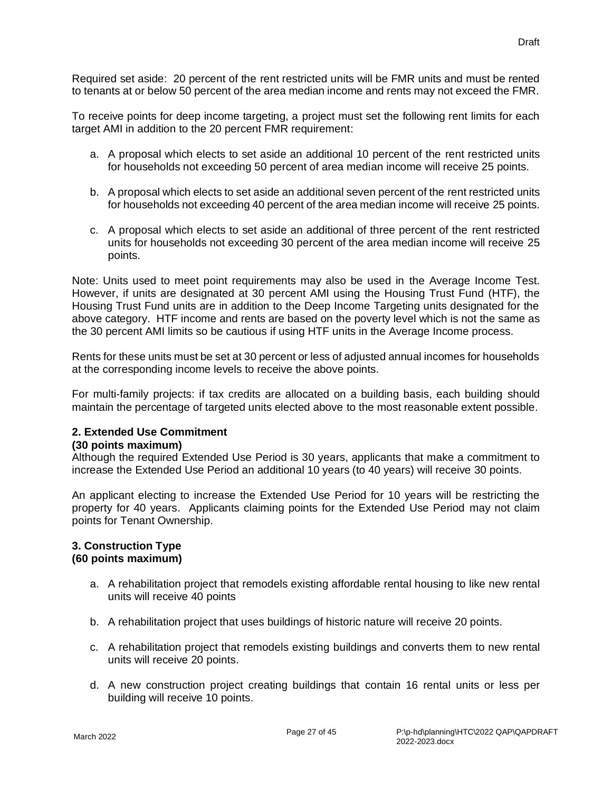Required set aside: 20 percent of the rent restricted units will be FMR units and must be rented to tenants at or below 50 percent of the area median income and rents may not exceed the FMR.

To receive points for deep income targeting, a project must set the following rent limits for each target AMI in addition to the 20 percent FMR requirement:

- a. A proposal which elects to set aside an additional 10 percent of the rent restricted units for households not exceeding 50 percent of area median income will receive 25 points.
- b. A proposal which elects to set aside an additional seven percent of the rent restricted units for households not exceeding 40 percent of the area median income will receive 25 points.
- c. A proposal which elects to set aside an additional of three percent of the rent restricted units for households not exceeding 30 percent of the area median income will receive 25 points.

Note: Units used to meet point requirements may also be used in the Average Income Test. However, if units are designated at 30 percent AMI using the Housing Trust Fund (HTF), the Housing Trust Fund units are in addition to the Deep Income Targeting units designated for the above category. HTF income and rents are based on the poverty level which is not the same as the 30 percent AMI limits so be cautious if using HTF units in the Average Income process.

Rents for these units must be set at 30 percent or less of adjusted annual incomes for households at the corresponding income levels to receive the above points.

For multi-family projects: if tax credits are allocated on a building basis, each building should maintain the percentage of targeted units elected above to the most reasonable extent possible.

#### <span id="page-31-0"></span>**2. Extended Use Commitment**

#### **(30 points maximum)**

Although the required Extended Use Period is 30 years, applicants that make a commitment to increase the Extended Use Period an additional 10 years (to 40 years) will receive 30 points.

An applicant electing to increase the Extended Use Period for 10 years will be restricting the property for 40 years. Applicants claiming points for the Extended Use Period may not claim points for Tenant Ownership.

#### <span id="page-31-1"></span>**3. Construction Type (60 points maximum)**

- a. A rehabilitation project that remodels existing affordable rental housing to like new rental units will receive 40 points
- b. A rehabilitation project that uses buildings of historic nature will receive 20 points.
- c. A rehabilitation project that remodels existing buildings and converts them to new rental units will receive 20 points.
- d. A new construction project creating buildings that contain 16 rental units or less per building will receive 10 points.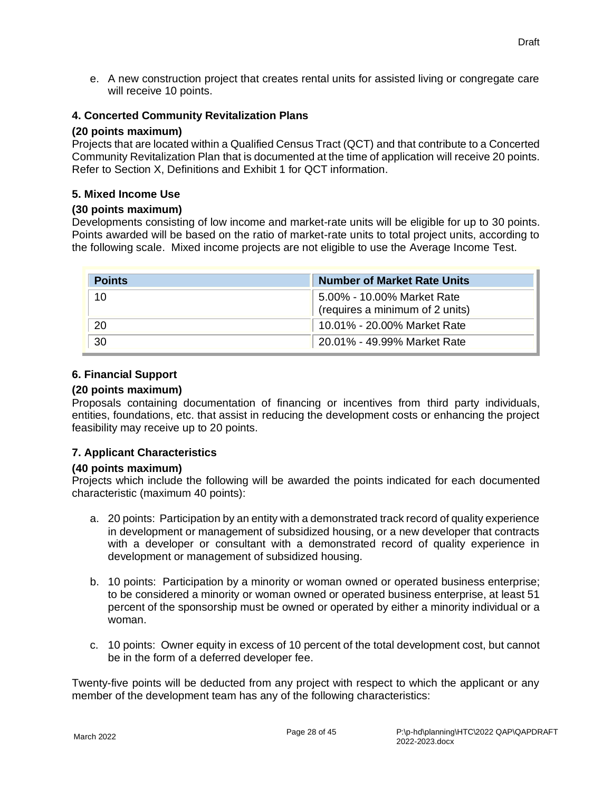e. A new construction project that creates rental units for assisted living or congregate care will receive 10 points.

#### <span id="page-32-0"></span>**4. Concerted Community Revitalization Plans**

#### **(20 points maximum)**

Projects that are located within a Qualified Census Tract (QCT) and that contribute to a Concerted Community Revitalization Plan that is documented at the time of application will receive 20 points. Refer to Section X, Definitions and Exhibit 1 for QCT information.

#### <span id="page-32-1"></span>**5. Mixed Income Use**

#### **(30 points maximum)**

Developments consisting of low income and market-rate units will be eligible for up to 30 points. Points awarded will be based on the ratio of market-rate units to total project units, according to the following scale. Mixed income projects are not eligible to use the Average Income Test.

| <b>Points</b> | <b>Number of Market Rate Units</b>                            |
|---------------|---------------------------------------------------------------|
| 10            | 5.00% - 10.00% Market Rate<br>(requires a minimum of 2 units) |
| 20            | 10.01% - 20.00% Market Rate                                   |
| 30            | 20.01% - 49.99% Market Rate                                   |

#### <span id="page-32-2"></span>**6. Financial Support**

#### **(20 points maximum)**

Proposals containing documentation of financing or incentives from third party individuals, entities, foundations, etc. that assist in reducing the development costs or enhancing the project feasibility may receive up to 20 points.

#### <span id="page-32-3"></span>**7. Applicant Characteristics**

#### **(40 points maximum)**

Projects which include the following will be awarded the points indicated for each documented characteristic (maximum 40 points):

- a. 20 points: Participation by an entity with a demonstrated track record of quality experience in development or management of subsidized housing, or a new developer that contracts with a developer or consultant with a demonstrated record of quality experience in development or management of subsidized housing.
- b. 10 points: Participation by a minority or woman owned or operated business enterprise; to be considered a minority or woman owned or operated business enterprise, at least 51 percent of the sponsorship must be owned or operated by either a minority individual or a woman.
- c. 10 points: Owner equity in excess of 10 percent of the total development cost, but cannot be in the form of a deferred developer fee.

Twenty-five points will be deducted from any project with respect to which the applicant or any member of the development team has any of the following characteristics: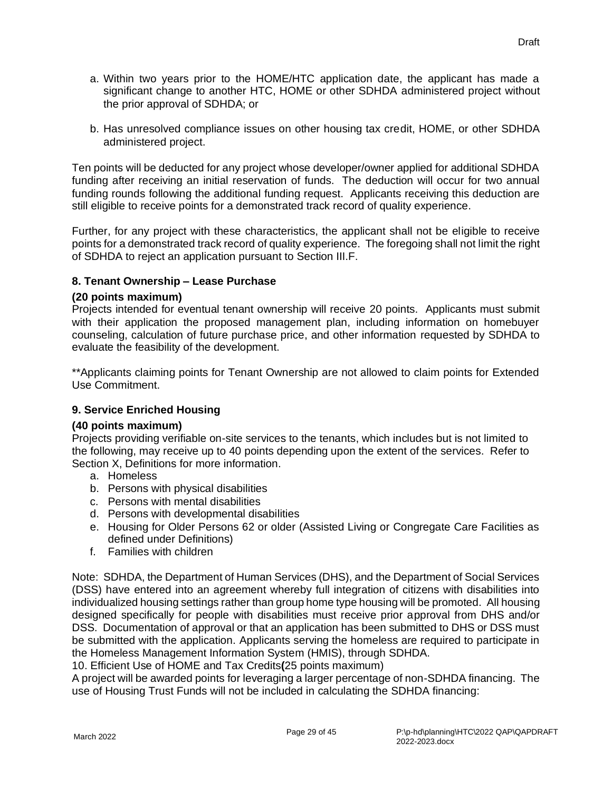- a. Within two years prior to the HOME/HTC application date, the applicant has made a significant change to another HTC, HOME or other SDHDA administered project without the prior approval of SDHDA; or
- b. Has unresolved compliance issues on other housing tax credit, HOME, or other SDHDA administered project.

Ten points will be deducted for any project whose developer/owner applied for additional SDHDA funding after receiving an initial reservation of funds. The deduction will occur for two annual funding rounds following the additional funding request. Applicants receiving this deduction are still eligible to receive points for a demonstrated track record of quality experience.

Further, for any project with these characteristics, the applicant shall not be eligible to receive points for a demonstrated track record of quality experience. The foregoing shall not limit the right of SDHDA to reject an application pursuant to Section III.F.

#### <span id="page-33-0"></span>**8. Tenant Ownership – Lease Purchase**

#### **(20 points maximum)**

Projects intended for eventual tenant ownership will receive 20 points. Applicants must submit with their application the proposed management plan, including information on homebuyer counseling, calculation of future purchase price, and other information requested by SDHDA to evaluate the feasibility of the development.

\*\*Applicants claiming points for Tenant Ownership are not allowed to claim points for Extended Use Commitment.

## <span id="page-33-1"></span>**9. Service Enriched Housing**

#### **(40 points maximum)**

Projects providing verifiable on-site services to the tenants, which includes but is not limited to the following, may receive up to 40 points depending upon the extent of the services. Refer to Section X, Definitions for more information.

- a. Homeless
- b. Persons with physical disabilities
- c. Persons with mental disabilities
- d. Persons with developmental disabilities
- e. Housing for Older Persons 62 or older (Assisted Living or Congregate Care Facilities as defined under Definitions)
- f. Families with children

Note: SDHDA, the Department of Human Services (DHS), and the Department of Social Services (DSS) have entered into an agreement whereby full integration of citizens with disabilities into individualized housing settings rather than group home type housing will be promoted. All housing designed specifically for people with disabilities must receive prior approval from DHS and/or DSS. Documentation of approval or that an application has been submitted to DHS or DSS must be submitted with the application. Applicants serving the homeless are required to participate in the Homeless Management Information System (HMIS), through SDHDA.

<span id="page-33-2"></span>10. Efficient Use of HOME and Tax Credits**(**25 points maximum)

A project will be awarded points for leveraging a larger percentage of non-SDHDA financing. The use of Housing Trust Funds will not be included in calculating the SDHDA financing: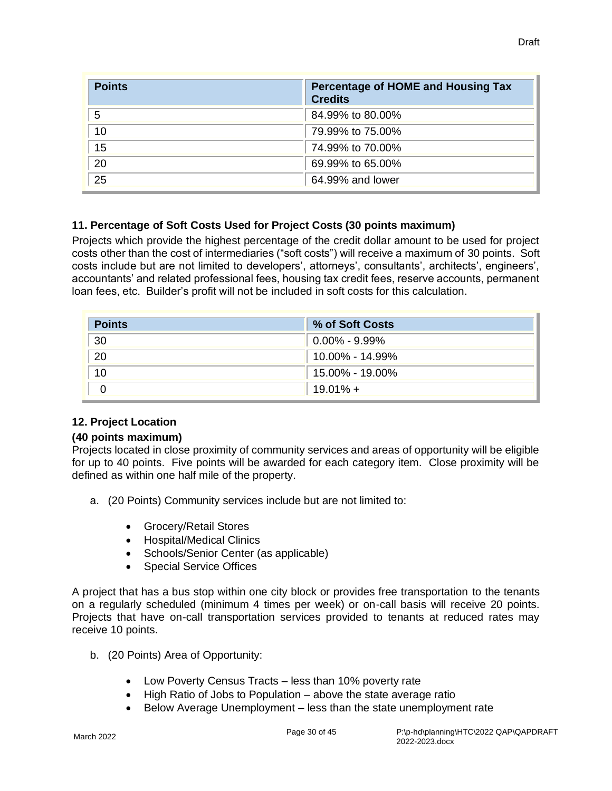| <b>Points</b>   | <b>Percentage of HOME and Housing Tax</b><br><b>Credits</b> |
|-----------------|-------------------------------------------------------------|
| 5               | 84.99% to 80.00%                                            |
| 10              | 79.99% to 75.00%                                            |
| 15              | 74.99% to 70.00%                                            |
| 20              | 69.99% to 65.00%                                            |
| $\overline{25}$ | 64.99% and lower                                            |

#### <span id="page-34-0"></span>**11. Percentage of Soft Costs Used for Project Costs (30 points maximum)**

Projects which provide the highest percentage of the credit dollar amount to be used for project costs other than the cost of intermediaries ("soft costs") will receive a maximum of 30 points. Soft costs include but are not limited to developers', attorneys', consultants', architects', engineers', accountants' and related professional fees, housing tax credit fees, reserve accounts, permanent loan fees, etc. Builder's profit will not be included in soft costs for this calculation.

| <b>Points</b> | % of Soft Costs          |
|---------------|--------------------------|
| 30            | $^{\circ}$ 0.00% - 9.99% |
| 20            | 10.00% - 14.99%          |
| 10            | 15.00% - 19.00%          |
|               | $19.01\% +$              |

#### <span id="page-34-1"></span>**12. Project Location**

#### **(40 points maximum)**

Projects located in close proximity of community services and areas of opportunity will be eligible for up to 40 points. Five points will be awarded for each category item. Close proximity will be defined as within one half mile of the property.

- a. (20 Points) Community services include but are not limited to:
	- Grocery/Retail Stores
	- Hospital/Medical Clinics
	- Schools/Senior Center (as applicable)
	- Special Service Offices

A project that has a bus stop within one city block or provides free transportation to the tenants on a regularly scheduled (minimum 4 times per week) or on-call basis will receive 20 points. Projects that have on-call transportation services provided to tenants at reduced rates may receive 10 points.

- b. (20 Points) Area of Opportunity:
	- Low Poverty Census Tracts less than 10% poverty rate
	- High Ratio of Jobs to Population above the state average ratio
	- Below Average Unemployment less than the state unemployment rate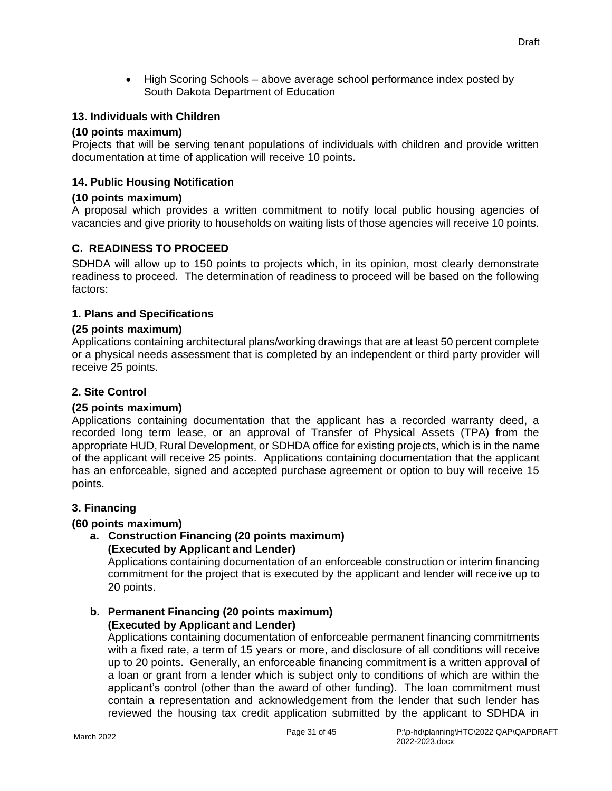• High Scoring Schools – above average school performance index posted by South Dakota Department of Education

#### <span id="page-35-0"></span>**13. Individuals with Children**

#### **(10 points maximum)**

Projects that will be serving tenant populations of individuals with children and provide written documentation at time of application will receive 10 points.

#### <span id="page-35-1"></span>**14. Public Housing Notification**

#### **(10 points maximum)**

A proposal which provides a written commitment to notify local public housing agencies of vacancies and give priority to households on waiting lists of those agencies will receive 10 points.

#### <span id="page-35-2"></span>**C. READINESS TO PROCEED**

SDHDA will allow up to 150 points to projects which, in its opinion, most clearly demonstrate readiness to proceed. The determination of readiness to proceed will be based on the following factors:

#### <span id="page-35-3"></span>**1. Plans and Specifications**

#### **(25 points maximum)**

Applications containing architectural plans/working drawings that are at least 50 percent complete or a physical needs assessment that is completed by an independent or third party provider will receive 25 points.

#### <span id="page-35-4"></span>**2. Site Control**

#### **(25 points maximum)**

Applications containing documentation that the applicant has a recorded warranty deed, a recorded long term lease, or an approval of Transfer of Physical Assets (TPA) from the appropriate HUD, Rural Development, or SDHDA office for existing projects, which is in the name of the applicant will receive 25 points. Applications containing documentation that the applicant has an enforceable, signed and accepted purchase agreement or option to buy will receive 15 points.

#### <span id="page-35-5"></span>**3. Financing**

#### **(60 points maximum)**

**a. Construction Financing (20 points maximum) (Executed by Applicant and Lender)**

Applications containing documentation of an enforceable construction or interim financing commitment for the project that is executed by the applicant and lender will receive up to 20 points.

#### **b. Permanent Financing (20 points maximum) (Executed by Applicant and Lender)**

Applications containing documentation of enforceable permanent financing commitments with a fixed rate, a term of 15 years or more, and disclosure of all conditions will receive up to 20 points. Generally, an enforceable financing commitment is a written approval of a loan or grant from a lender which is subject only to conditions of which are within the applicant's control (other than the award of other funding). The loan commitment must contain a representation and acknowledgement from the lender that such lender has reviewed the housing tax credit application submitted by the applicant to SDHDA in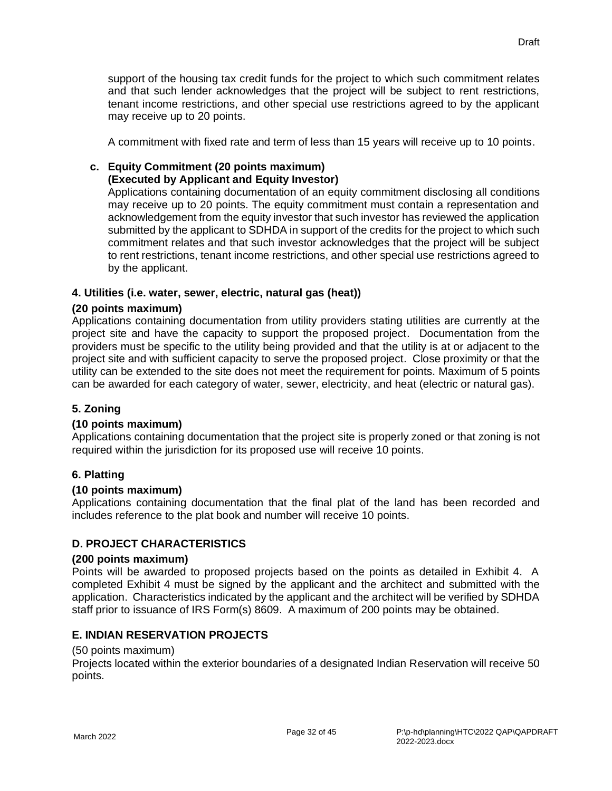A commitment with fixed rate and term of less than 15 years will receive up to 10 points.

# **c. Equity Commitment (20 points maximum)**

# **(Executed by Applicant and Equity Investor)**

Applications containing documentation of an equity commitment disclosing all conditions may receive up to 20 points. The equity commitment must contain a representation and acknowledgement from the equity investor that such investor has reviewed the application submitted by the applicant to SDHDA in support of the credits for the project to which such commitment relates and that such investor acknowledges that the project will be subject to rent restrictions, tenant income restrictions, and other special use restrictions agreed to by the applicant.

# **4. Utilities (i.e. water, sewer, electric, natural gas (heat))**

# **(20 points maximum)**

Applications containing documentation from utility providers stating utilities are currently at the project site and have the capacity to support the proposed project. Documentation from the providers must be specific to the utility being provided and that the utility is at or adjacent to the project site and with sufficient capacity to serve the proposed project. Close proximity or that the utility can be extended to the site does not meet the requirement for points. Maximum of 5 points can be awarded for each category of water, sewer, electricity, and heat (electric or natural gas).

# **5. Zoning**

## **(10 points maximum)**

Applications containing documentation that the project site is properly zoned or that zoning is not required within the jurisdiction for its proposed use will receive 10 points.

## **6. Platting**

## **(10 points maximum)**

Applications containing documentation that the final plat of the land has been recorded and includes reference to the plat book and number will receive 10 points.

# **D. PROJECT CHARACTERISTICS**

## **(200 points maximum)**

Points will be awarded to proposed projects based on the points as detailed in Exhibit 4. A completed Exhibit 4 must be signed by the applicant and the architect and submitted with the application. Characteristics indicated by the applicant and the architect will be verified by SDHDA staff prior to issuance of IRS Form(s) 8609. A maximum of 200 points may be obtained.

# **E. INDIAN RESERVATION PROJECTS**

## (50 points maximum)

Projects located within the exterior boundaries of a designated Indian Reservation will receive 50 points.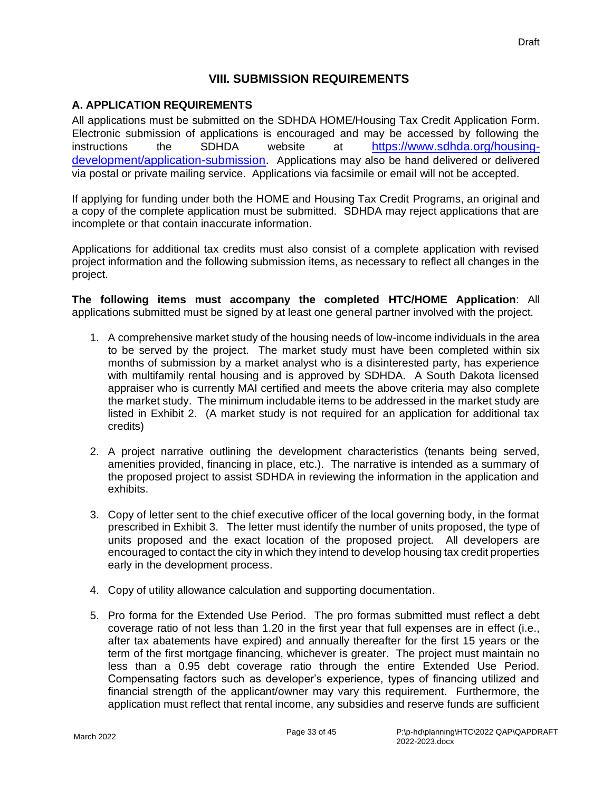## **VIII. SUBMISSION REQUIREMENTS**

## **A. APPLICATION REQUIREMENTS**

All applications must be submitted on the SDHDA HOME/Housing Tax Credit Application Form. Electronic submission of applications is encouraged and may be accessed by following the instructions the SDHDA website at [https://www.sdhda.org/housing](https://www.sdhda.org/housing-development/application-submission)[development/application-submission.](https://www.sdhda.org/housing-development/application-submission) Applications may also be hand delivered or delivered via postal or private mailing service. Applications via facsimile or email will not be accepted.

If applying for funding under both the HOME and Housing Tax Credit Programs, an original and a copy of the complete application must be submitted. SDHDA may reject applications that are incomplete or that contain inaccurate information.

Applications for additional tax credits must also consist of a complete application with revised project information and the following submission items, as necessary to reflect all changes in the project.

**The following items must accompany the completed HTC/HOME Application**: All applications submitted must be signed by at least one general partner involved with the project.

- 1. A comprehensive market study of the housing needs of low-income individuals in the area to be served by the project. The market study must have been completed within six months of submission by a market analyst who is a disinterested party, has experience with multifamily rental housing and is approved by SDHDA. A South Dakota licensed appraiser who is currently MAI certified and meets the above criteria may also complete the market study. The minimum includable items to be addressed in the market study are listed in Exhibit 2. (A market study is not required for an application for additional tax credits)
- 2. A project narrative outlining the development characteristics (tenants being served, amenities provided, financing in place, etc.). The narrative is intended as a summary of the proposed project to assist SDHDA in reviewing the information in the application and exhibits.
- 3. Copy of letter sent to the chief executive officer of the local governing body, in the format prescribed in Exhibit 3. The letter must identify the number of units proposed, the type of units proposed and the exact location of the proposed project. All developers are encouraged to contact the city in which they intend to develop housing tax credit properties early in the development process.
- 4. Copy of utility allowance calculation and supporting documentation.
- 5. Pro forma for the Extended Use Period. The pro formas submitted must reflect a debt coverage ratio of not less than 1.20 in the first year that full expenses are in effect (i.e., after tax abatements have expired) and annually thereafter for the first 15 years or the term of the first mortgage financing, whichever is greater. The project must maintain no less than a 0.95 debt coverage ratio through the entire Extended Use Period. Compensating factors such as developer's experience, types of financing utilized and financial strength of the applicant/owner may vary this requirement. Furthermore, the application must reflect that rental income, any subsidies and reserve funds are sufficient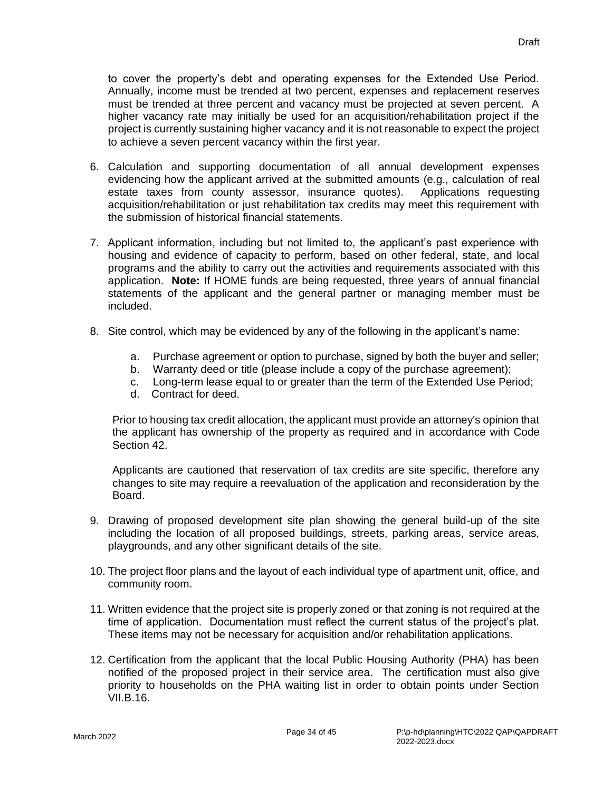to cover the property's debt and operating expenses for the Extended Use Period. Annually, income must be trended at two percent, expenses and replacement reserves must be trended at three percent and vacancy must be projected at seven percent. A higher vacancy rate may initially be used for an acquisition/rehabilitation project if the project is currently sustaining higher vacancy and it is not reasonable to expect the project to achieve a seven percent vacancy within the first year.

- 6. Calculation and supporting documentation of all annual development expenses evidencing how the applicant arrived at the submitted amounts (e.g., calculation of real estate taxes from county assessor, insurance quotes). Applications requesting acquisition/rehabilitation or just rehabilitation tax credits may meet this requirement with the submission of historical financial statements.
- 7. Applicant information, including but not limited to, the applicant's past experience with housing and evidence of capacity to perform, based on other federal, state, and local programs and the ability to carry out the activities and requirements associated with this application. **Note:** If HOME funds are being requested, three years of annual financial statements of the applicant and the general partner or managing member must be included.
- 8. Site control, which may be evidenced by any of the following in the applicant's name:
	- a. Purchase agreement or option to purchase, signed by both the buyer and seller;
	- b. Warranty deed or title (please include a copy of the purchase agreement);
	- c. Long-term lease equal to or greater than the term of the Extended Use Period;
	- d. Contract for deed.

Prior to housing tax credit allocation, the applicant must provide an attorney's opinion that the applicant has ownership of the property as required and in accordance with Code Section 42.

Applicants are cautioned that reservation of tax credits are site specific, therefore any changes to site may require a reevaluation of the application and reconsideration by the Board.

- 9. Drawing of proposed development site plan showing the general build-up of the site including the location of all proposed buildings, streets, parking areas, service areas, playgrounds, and any other significant details of the site.
- 10. The project floor plans and the layout of each individual type of apartment unit, office, and community room.
- 11. Written evidence that the project site is properly zoned or that zoning is not required at the time of application. Documentation must reflect the current status of the project's plat. These items may not be necessary for acquisition and/or rehabilitation applications.
- 12. Certification from the applicant that the local Public Housing Authority (PHA) has been notified of the proposed project in their service area. The certification must also give priority to households on the PHA waiting list in order to obtain points under Section VII.B.16.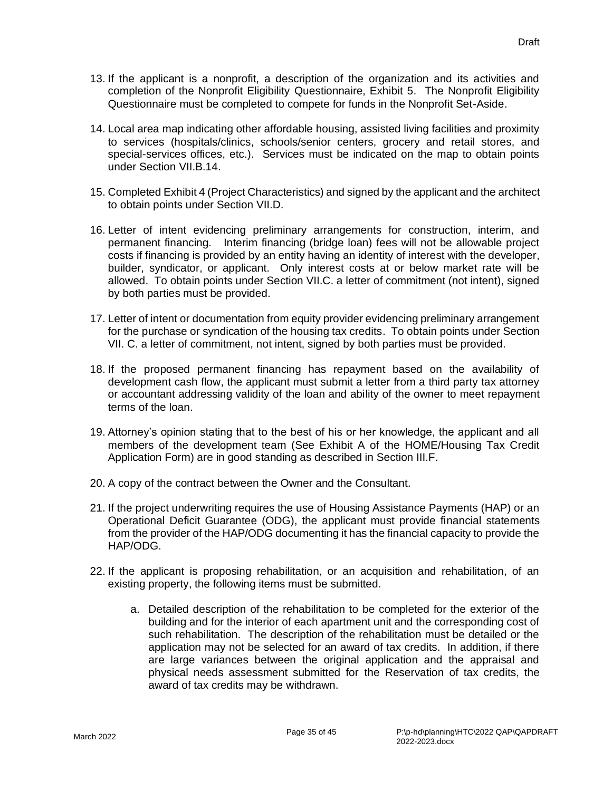- 13. If the applicant is a nonprofit, a description of the organization and its activities and completion of the Nonprofit Eligibility Questionnaire, Exhibit 5. The Nonprofit Eligibility Questionnaire must be completed to compete for funds in the Nonprofit Set-Aside.
- 14. Local area map indicating other affordable housing, assisted living facilities and proximity to services (hospitals/clinics, schools/senior centers, grocery and retail stores, and special-services offices, etc.). Services must be indicated on the map to obtain points under Section VII.B.14.
- 15. Completed Exhibit 4 (Project Characteristics) and signed by the applicant and the architect to obtain points under Section VII.D.
- 16. Letter of intent evidencing preliminary arrangements for construction, interim, and permanent financing. Interim financing (bridge loan) fees will not be allowable project costs if financing is provided by an entity having an identity of interest with the developer, builder, syndicator, or applicant. Only interest costs at or below market rate will be allowed. To obtain points under Section VII.C. a letter of commitment (not intent), signed by both parties must be provided.
- 17. Letter of intent or documentation from equity provider evidencing preliminary arrangement for the purchase or syndication of the housing tax credits. To obtain points under Section VII. C. a letter of commitment, not intent, signed by both parties must be provided.
- 18. If the proposed permanent financing has repayment based on the availability of development cash flow, the applicant must submit a letter from a third party tax attorney or accountant addressing validity of the loan and ability of the owner to meet repayment terms of the loan.
- 19. Attorney's opinion stating that to the best of his or her knowledge, the applicant and all members of the development team (See Exhibit A of the HOME/Housing Tax Credit Application Form) are in good standing as described in Section III.F.
- 20. A copy of the contract between the Owner and the Consultant.
- 21. If the project underwriting requires the use of Housing Assistance Payments (HAP) or an Operational Deficit Guarantee (ODG), the applicant must provide financial statements from the provider of the HAP/ODG documenting it has the financial capacity to provide the HAP/ODG.
- 22. If the applicant is proposing rehabilitation, or an acquisition and rehabilitation, of an existing property, the following items must be submitted.
	- a. Detailed description of the rehabilitation to be completed for the exterior of the building and for the interior of each apartment unit and the corresponding cost of such rehabilitation. The description of the rehabilitation must be detailed or the application may not be selected for an award of tax credits. In addition, if there are large variances between the original application and the appraisal and physical needs assessment submitted for the Reservation of tax credits, the award of tax credits may be withdrawn.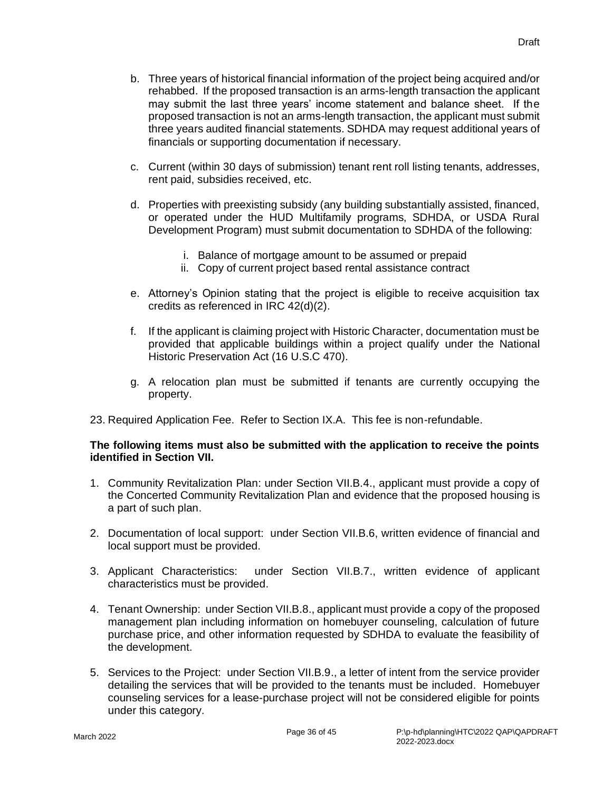- b. Three years of historical financial information of the project being acquired and/or rehabbed. If the proposed transaction is an arms-length transaction the applicant may submit the last three years' income statement and balance sheet. If the proposed transaction is not an arms-length transaction, the applicant must submit three years audited financial statements. SDHDA may request additional years of financials or supporting documentation if necessary.
- c. Current (within 30 days of submission) tenant rent roll listing tenants, addresses, rent paid, subsidies received, etc.
- d. Properties with preexisting subsidy (any building substantially assisted, financed, or operated under the HUD Multifamily programs, SDHDA, or USDA Rural Development Program) must submit documentation to SDHDA of the following:
	- i. Balance of mortgage amount to be assumed or prepaid
	- ii. Copy of current project based rental assistance contract
- e. Attorney's Opinion stating that the project is eligible to receive acquisition tax credits as referenced in IRC 42(d)(2).
- f. If the applicant is claiming project with Historic Character, documentation must be provided that applicable buildings within a project qualify under the National Historic Preservation Act (16 U.S.C 470).
- g. A relocation plan must be submitted if tenants are currently occupying the property.
- 23. Required Application Fee. Refer to Section IX.A. This fee is non-refundable.

#### **The following items must also be submitted with the application to receive the points identified in Section VII.**

- 1. Community Revitalization Plan: under Section VII.B.4., applicant must provide a copy of the Concerted Community Revitalization Plan and evidence that the proposed housing is a part of such plan.
- 2. Documentation of local support: under Section VII.B.6, written evidence of financial and local support must be provided.
- 3. Applicant Characteristics: under Section VII.B.7., written evidence of applicant characteristics must be provided.
- 4. Tenant Ownership: under Section VII.B.8., applicant must provide a copy of the proposed management plan including information on homebuyer counseling, calculation of future purchase price, and other information requested by SDHDA to evaluate the feasibility of the development.
- 5. Services to the Project: under Section VII.B.9., a letter of intent from the service provider detailing the services that will be provided to the tenants must be included. Homebuyer counseling services for a lease-purchase project will not be considered eligible for points under this category.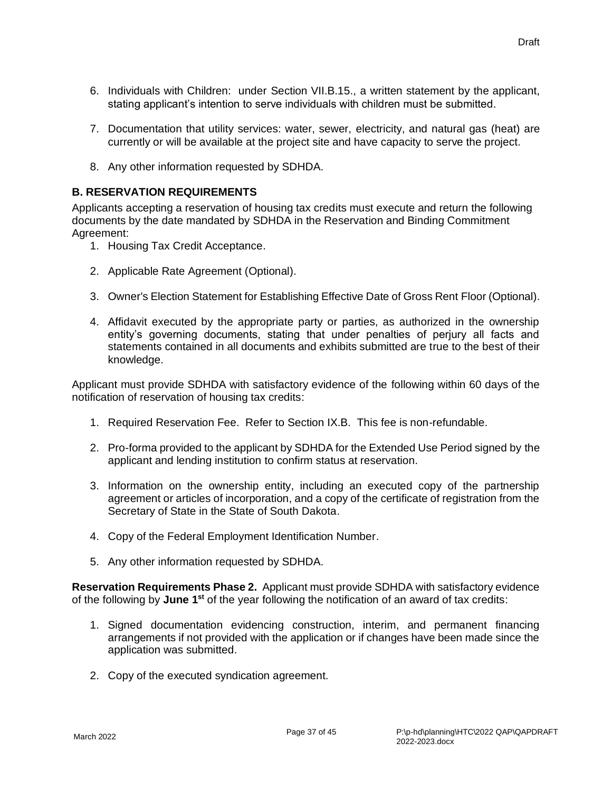- 6. Individuals with Children: under Section VII.B.15., a written statement by the applicant, stating applicant's intention to serve individuals with children must be submitted.
- 7. Documentation that utility services: water, sewer, electricity, and natural gas (heat) are currently or will be available at the project site and have capacity to serve the project.
- 8. Any other information requested by SDHDA.

## **B. RESERVATION REQUIREMENTS**

Applicants accepting a reservation of housing tax credits must execute and return the following documents by the date mandated by SDHDA in the Reservation and Binding Commitment Agreement:

- 1. Housing Tax Credit Acceptance.
- 2. Applicable Rate Agreement (Optional).
- 3. Owner's Election Statement for Establishing Effective Date of Gross Rent Floor (Optional).
- 4. Affidavit executed by the appropriate party or parties, as authorized in the ownership entity's governing documents, stating that under penalties of perjury all facts and statements contained in all documents and exhibits submitted are true to the best of their knowledge.

Applicant must provide SDHDA with satisfactory evidence of the following within 60 days of the notification of reservation of housing tax credits:

- 1. Required Reservation Fee. Refer to Section IX.B. This fee is non-refundable.
- 2. Pro-forma provided to the applicant by SDHDA for the Extended Use Period signed by the applicant and lending institution to confirm status at reservation.
- 3. Information on the ownership entity, including an executed copy of the partnership agreement or articles of incorporation, and a copy of the certificate of registration from the Secretary of State in the State of South Dakota.
- 4. Copy of the Federal Employment Identification Number.
- 5. Any other information requested by SDHDA.

**Reservation Requirements Phase 2.** Applicant must provide SDHDA with satisfactory evidence of the following by **June 1st** of the year following the notification of an award of tax credits:

- 1. Signed documentation evidencing construction, interim, and permanent financing arrangements if not provided with the application or if changes have been made since the application was submitted.
- 2. Copy of the executed syndication agreement.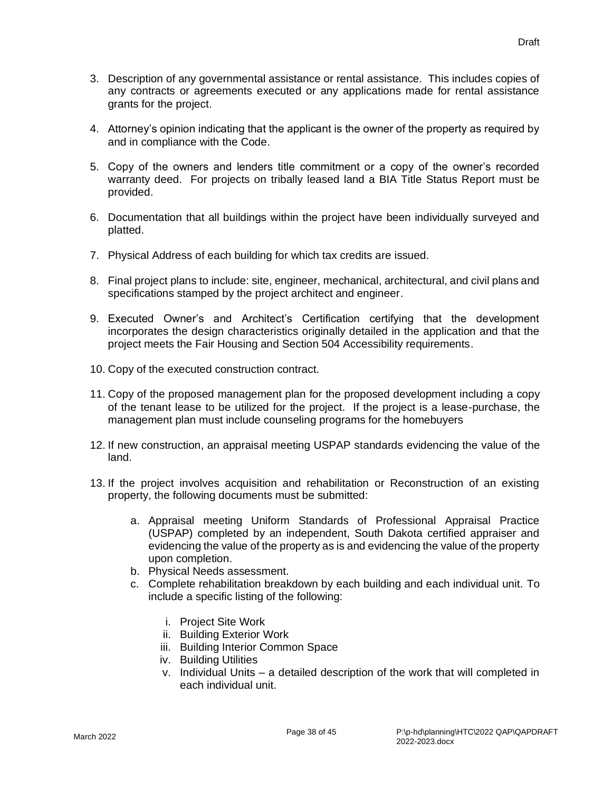- 3. Description of any governmental assistance or rental assistance. This includes copies of any contracts or agreements executed or any applications made for rental assistance grants for the project.
- 4. Attorney's opinion indicating that the applicant is the owner of the property as required by and in compliance with the Code.
- 5. Copy of the owners and lenders title commitment or a copy of the owner's recorded warranty deed. For projects on tribally leased land a BIA Title Status Report must be provided.
- 6. Documentation that all buildings within the project have been individually surveyed and platted.
- 7. Physical Address of each building for which tax credits are issued.
- 8. Final project plans to include: site, engineer, mechanical, architectural, and civil plans and specifications stamped by the project architect and engineer.
- 9. Executed Owner's and Architect's Certification certifying that the development incorporates the design characteristics originally detailed in the application and that the project meets the Fair Housing and Section 504 Accessibility requirements.
- 10. Copy of the executed construction contract.
- 11. Copy of the proposed management plan for the proposed development including a copy of the tenant lease to be utilized for the project. If the project is a lease-purchase, the management plan must include counseling programs for the homebuyers
- 12. If new construction, an appraisal meeting USPAP standards evidencing the value of the land.
- 13. If the project involves acquisition and rehabilitation or Reconstruction of an existing property, the following documents must be submitted:
	- a. Appraisal meeting Uniform Standards of Professional Appraisal Practice (USPAP) completed by an independent, South Dakota certified appraiser and evidencing the value of the property as is and evidencing the value of the property upon completion.
	- b. Physical Needs assessment.
	- c. Complete rehabilitation breakdown by each building and each individual unit. To include a specific listing of the following:
		- i. Project Site Work
		- ii. Building Exterior Work
		- iii. Building Interior Common Space
		- iv. Building Utilities
		- v. Individual Units a detailed description of the work that will completed in each individual unit.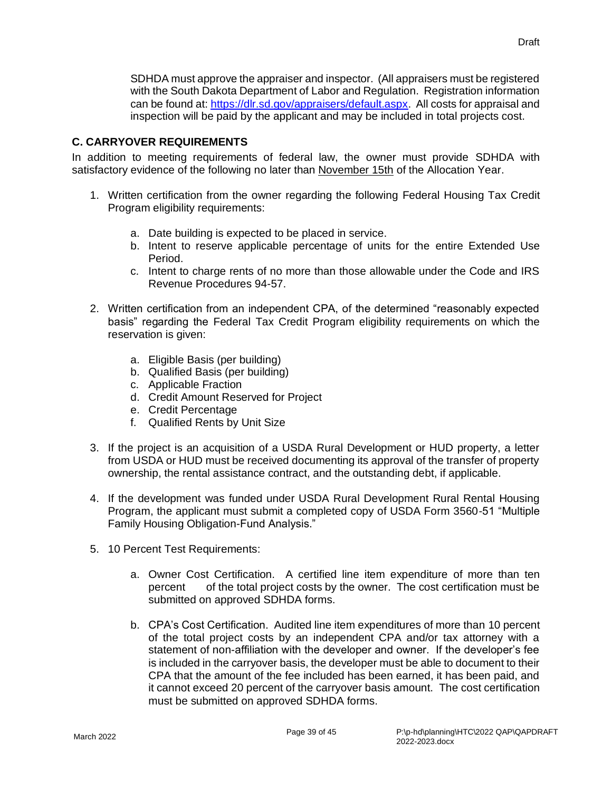SDHDA must approve the appraiser and inspector. (All appraisers must be registered with the South Dakota Department of Labor and Regulation. Registration information can be found at: [https://dlr.sd.gov/appraisers/default.aspx.](https://dlr.sd.gov/appraisers/default.aspx) All costs for appraisal and inspection will be paid by the applicant and may be included in total projects cost.

## **C. CARRYOVER REQUIREMENTS**

In addition to meeting requirements of federal law, the owner must provide SDHDA with satisfactory evidence of the following no later than November 15th of the Allocation Year.

- 1. Written certification from the owner regarding the following Federal Housing Tax Credit Program eligibility requirements:
	- a. Date building is expected to be placed in service.
	- b. Intent to reserve applicable percentage of units for the entire Extended Use Period.
	- c. Intent to charge rents of no more than those allowable under the Code and IRS Revenue Procedures 94-57.
- 2. Written certification from an independent CPA, of the determined "reasonably expected basis" regarding the Federal Tax Credit Program eligibility requirements on which the reservation is given:
	- a. Eligible Basis (per building)
	- b. Qualified Basis (per building)
	- c. Applicable Fraction
	- d. Credit Amount Reserved for Project
	- e. Credit Percentage
	- f. Qualified Rents by Unit Size
- 3. If the project is an acquisition of a USDA Rural Development or HUD property, a letter from USDA or HUD must be received documenting its approval of the transfer of property ownership, the rental assistance contract, and the outstanding debt, if applicable.
- 4. If the development was funded under USDA Rural Development Rural Rental Housing Program, the applicant must submit a completed copy of USDA Form 3560-51 "Multiple Family Housing Obligation-Fund Analysis."
- 5. 10 Percent Test Requirements:
	- a. Owner Cost Certification. A certified line item expenditure of more than ten percent of the total project costs by the owner. The cost certification must be submitted on approved SDHDA forms.
	- b. CPA's Cost Certification. Audited line item expenditures of more than 10 percent of the total project costs by an independent CPA and/or tax attorney with a statement of non-affiliation with the developer and owner. If the developer's fee is included in the carryover basis, the developer must be able to document to their CPA that the amount of the fee included has been earned, it has been paid, and it cannot exceed 20 percent of the carryover basis amount. The cost certification must be submitted on approved SDHDA forms.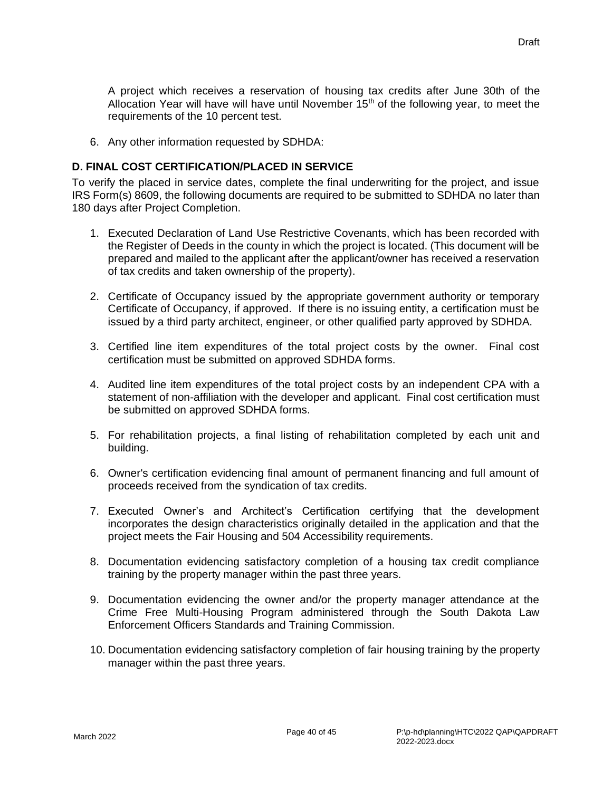A project which receives a reservation of housing tax credits after June 30th of the Allocation Year will have will have until November  $15<sup>th</sup>$  of the following year, to meet the requirements of the 10 percent test.

6. Any other information requested by SDHDA:

## **D. FINAL COST CERTIFICATION/PLACED IN SERVICE**

To verify the placed in service dates, complete the final underwriting for the project, and issue IRS Form(s) 8609, the following documents are required to be submitted to SDHDA no later than 180 days after Project Completion.

- 1. Executed Declaration of Land Use Restrictive Covenants, which has been recorded with the Register of Deeds in the county in which the project is located. (This document will be prepared and mailed to the applicant after the applicant/owner has received a reservation of tax credits and taken ownership of the property).
- 2. Certificate of Occupancy issued by the appropriate government authority or temporary Certificate of Occupancy, if approved. If there is no issuing entity, a certification must be issued by a third party architect, engineer, or other qualified party approved by SDHDA.
- 3. Certified line item expenditures of the total project costs by the owner. Final cost certification must be submitted on approved SDHDA forms.
- 4. Audited line item expenditures of the total project costs by an independent CPA with a statement of non-affiliation with the developer and applicant. Final cost certification must be submitted on approved SDHDA forms.
- 5. For rehabilitation projects, a final listing of rehabilitation completed by each unit and building.
- 6. Owner's certification evidencing final amount of permanent financing and full amount of proceeds received from the syndication of tax credits.
- 7. Executed Owner's and Architect's Certification certifying that the development incorporates the design characteristics originally detailed in the application and that the project meets the Fair Housing and 504 Accessibility requirements.
- 8. Documentation evidencing satisfactory completion of a housing tax credit compliance training by the property manager within the past three years.
- 9. Documentation evidencing the owner and/or the property manager attendance at the Crime Free Multi-Housing Program administered through the South Dakota Law Enforcement Officers Standards and Training Commission.
- 10. Documentation evidencing satisfactory completion of fair housing training by the property manager within the past three years.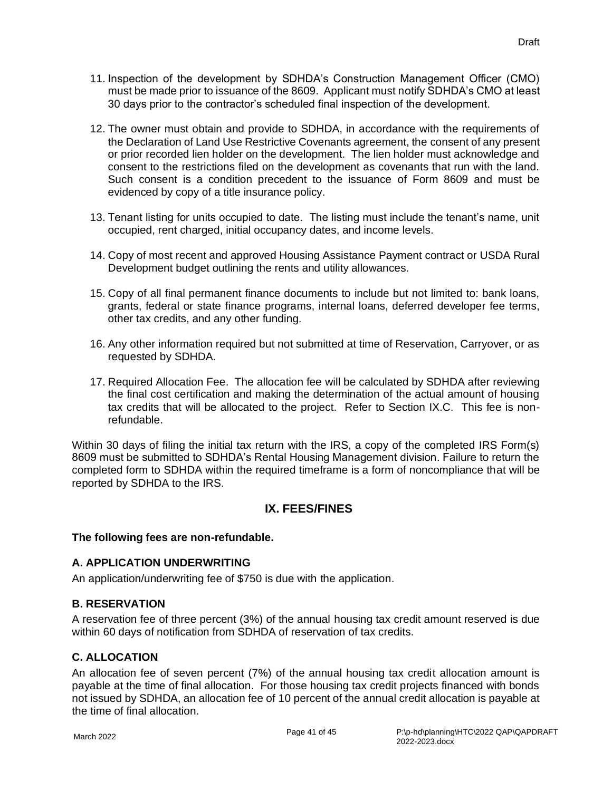- 11. Inspection of the development by SDHDA's Construction Management Officer (CMO) must be made prior to issuance of the 8609. Applicant must notify SDHDA's CMO at least 30 days prior to the contractor's scheduled final inspection of the development.
- 12. The owner must obtain and provide to SDHDA, in accordance with the requirements of the Declaration of Land Use Restrictive Covenants agreement, the consent of any present or prior recorded lien holder on the development. The lien holder must acknowledge and consent to the restrictions filed on the development as covenants that run with the land. Such consent is a condition precedent to the issuance of Form 8609 and must be evidenced by copy of a title insurance policy.
- 13. Tenant listing for units occupied to date. The listing must include the tenant's name, unit occupied, rent charged, initial occupancy dates, and income levels.
- 14. Copy of most recent and approved Housing Assistance Payment contract or USDA Rural Development budget outlining the rents and utility allowances.
- 15. Copy of all final permanent finance documents to include but not limited to: bank loans, grants, federal or state finance programs, internal loans, deferred developer fee terms, other tax credits, and any other funding.
- 16. Any other information required but not submitted at time of Reservation, Carryover, or as requested by SDHDA.
- 17. Required Allocation Fee. The allocation fee will be calculated by SDHDA after reviewing the final cost certification and making the determination of the actual amount of housing tax credits that will be allocated to the project. Refer to Section IX.C. This fee is nonrefundable.

Within 30 days of filing the initial tax return with the IRS, a copy of the completed IRS Form(s) 8609 must be submitted to SDHDA's Rental Housing Management division. Failure to return the completed form to SDHDA within the required timeframe is a form of noncompliance that will be reported by SDHDA to the IRS.

# **IX. FEES/FINES**

## **The following fees are non-refundable.**

## **A. APPLICATION UNDERWRITING**

An application/underwriting fee of \$750 is due with the application.

## **B. RESERVATION**

A reservation fee of three percent (3%) of the annual housing tax credit amount reserved is due within 60 days of notification from SDHDA of reservation of tax credits.

## **C. ALLOCATION**

An allocation fee of seven percent (7%) of the annual housing tax credit allocation amount is payable at the time of final allocation. For those housing tax credit projects financed with bonds not issued by SDHDA, an allocation fee of 10 percent of the annual credit allocation is payable at the time of final allocation.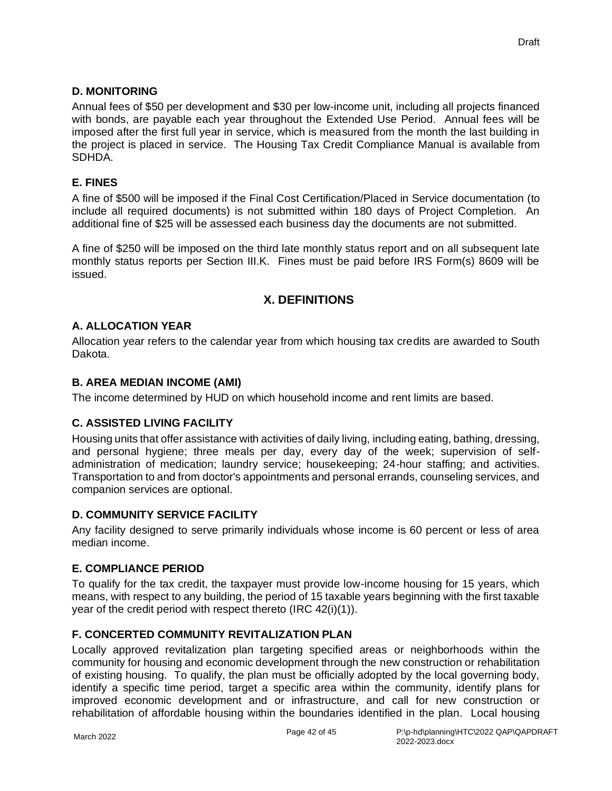## **D. MONITORING**

Annual fees of \$50 per development and \$30 per low-income unit, including all projects financed with bonds, are payable each year throughout the Extended Use Period. Annual fees will be imposed after the first full year in service, which is measured from the month the last building in the project is placed in service. The Housing Tax Credit Compliance Manual is available from SDHDA.

## **E. FINES**

A fine of \$500 will be imposed if the Final Cost Certification/Placed in Service documentation (to include all required documents) is not submitted within 180 days of Project Completion. An additional fine of \$25 will be assessed each business day the documents are not submitted.

A fine of \$250 will be imposed on the third late monthly status report and on all subsequent late monthly status reports per Section III.K. Fines must be paid before IRS Form(s) 8609 will be issued.

# **X. DEFINITIONS**

## **A. ALLOCATION YEAR**

Allocation year refers to the calendar year from which housing tax credits are awarded to South Dakota.

## **B. AREA MEDIAN INCOME (AMI)**

The income determined by HUD on which household income and rent limits are based.

## **C. ASSISTED LIVING FACILITY**

Housing units that offer assistance with activities of daily living, including eating, bathing, dressing, and personal hygiene; three meals per day, every day of the week; supervision of selfadministration of medication; laundry service; housekeeping; 24-hour staffing; and activities. Transportation to and from doctor's appointments and personal errands, counseling services, and companion services are optional.

## **D. COMMUNITY SERVICE FACILITY**

Any facility designed to serve primarily individuals whose income is 60 percent or less of area median income.

## **E. COMPLIANCE PERIOD**

To qualify for the tax credit, the taxpayer must provide low-income housing for 15 years, which means, with respect to any building, the period of 15 taxable years beginning with the first taxable year of the credit period with respect thereto (IRC 42(i)(1)).

## **F. CONCERTED COMMUNITY REVITALIZATION PLAN**

Locally approved revitalization plan targeting specified areas or neighborhoods within the community for housing and economic development through the new construction or rehabilitation of existing housing. To qualify, the plan must be officially adopted by the local governing body, identify a specific time period, target a specific area within the community, identify plans for improved economic development and or infrastructure, and call for new construction or rehabilitation of affordable housing within the boundaries identified in the plan. Local housing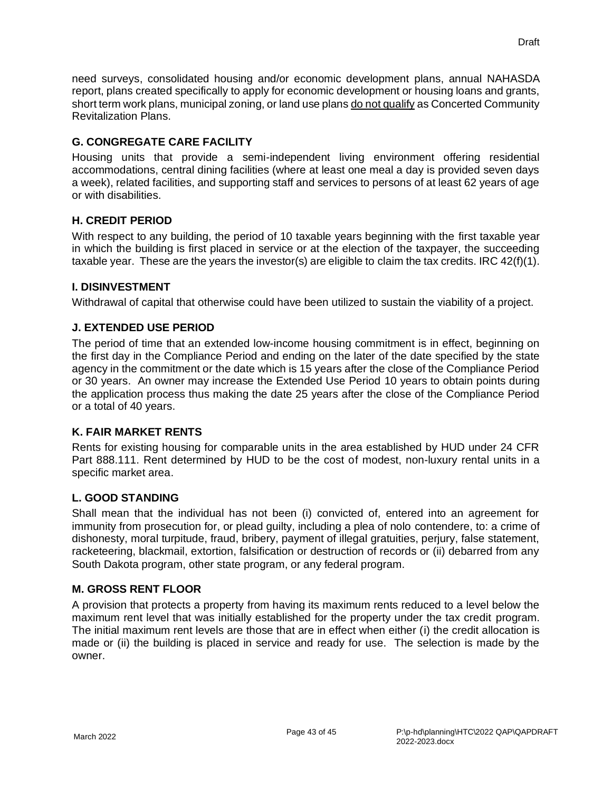need surveys, consolidated housing and/or economic development plans, annual NAHASDA report, plans created specifically to apply for economic development or housing loans and grants, short term work plans, municipal zoning, or land use plans do not qualify as Concerted Community Revitalization Plans.

# **G. CONGREGATE CARE FACILITY**

Housing units that provide a semi-independent living environment offering residential accommodations, central dining facilities (where at least one meal a day is provided seven days a week), related facilities, and supporting staff and services to persons of at least 62 years of age or with disabilities.

# **H. CREDIT PERIOD**

With respect to any building, the period of 10 taxable years beginning with the first taxable year in which the building is first placed in service or at the election of the taxpayer, the succeeding taxable year. These are the years the investor(s) are eligible to claim the tax credits. IRC 42(f)(1).

# **I. DISINVESTMENT**

Withdrawal of capital that otherwise could have been utilized to sustain the viability of a project.

# **J. EXTENDED USE PERIOD**

The period of time that an extended low-income housing commitment is in effect, beginning on the first day in the Compliance Period and ending on the later of the date specified by the state agency in the commitment or the date which is 15 years after the close of the Compliance Period or 30 years. An owner may increase the Extended Use Period 10 years to obtain points during the application process thus making the date 25 years after the close of the Compliance Period or a total of 40 years.

## **K. FAIR MARKET RENTS**

Rents for existing housing for comparable units in the area established by HUD under 24 CFR Part 888.111. Rent determined by HUD to be the cost of modest, non-luxury rental units in a specific market area.

## **L. GOOD STANDING**

Shall mean that the individual has not been (i) convicted of, entered into an agreement for immunity from prosecution for, or plead guilty, including a plea of nolo contendere, to: a crime of dishonesty, moral turpitude, fraud, bribery, payment of illegal gratuities, perjury, false statement, racketeering, blackmail, extortion, falsification or destruction of records or (ii) debarred from any South Dakota program, other state program, or any federal program.

## **M. GROSS RENT FLOOR**

A provision that protects a property from having its maximum rents reduced to a level below the maximum rent level that was initially established for the property under the tax credit program. The initial maximum rent levels are those that are in effect when either (i) the credit allocation is made or (ii) the building is placed in service and ready for use. The selection is made by the owner.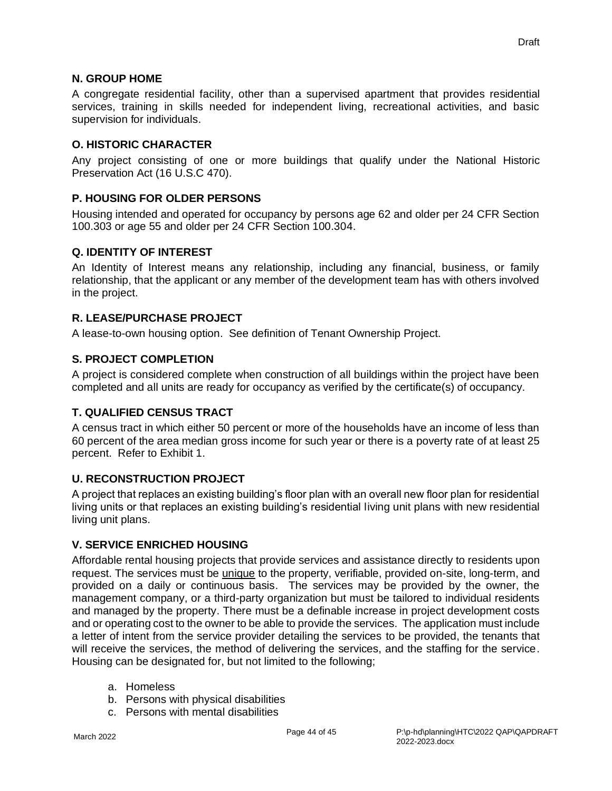## **N. GROUP HOME**

A congregate residential facility, other than a supervised apartment that provides residential services, training in skills needed for independent living, recreational activities, and basic supervision for individuals.

#### **O. HISTORIC CHARACTER**

Any project consisting of one or more buildings that qualify under the National Historic Preservation Act (16 U.S.C 470).

## **P. HOUSING FOR OLDER PERSONS**

Housing intended and operated for occupancy by persons age 62 and older per 24 CFR Section 100.303 or age 55 and older per 24 CFR Section 100.304.

#### **Q. IDENTITY OF INTEREST**

An Identity of Interest means any relationship, including any financial, business, or family relationship, that the applicant or any member of the development team has with others involved in the project.

## **R. LEASE/PURCHASE PROJECT**

A lease-to-own housing option. See definition of Tenant Ownership Project.

#### **S. PROJECT COMPLETION**

A project is considered complete when construction of all buildings within the project have been completed and all units are ready for occupancy as verified by the certificate(s) of occupancy.

## **T. QUALIFIED CENSUS TRACT**

A census tract in which either 50 percent or more of the households have an income of less than 60 percent of the area median gross income for such year or there is a poverty rate of at least 25 percent. Refer to Exhibit 1.

## **U. RECONSTRUCTION PROJECT**

A project that replaces an existing building's floor plan with an overall new floor plan for residential living units or that replaces an existing building's residential living unit plans with new residential living unit plans.

#### **V. SERVICE ENRICHED HOUSING**

Affordable rental housing projects that provide services and assistance directly to residents upon request. The services must be unique to the property, verifiable, provided on-site, long-term, and provided on a daily or continuous basis. The services may be provided by the owner, the management company, or a third-party organization but must be tailored to individual residents and managed by the property. There must be a definable increase in project development costs and or operating cost to the owner to be able to provide the services. The application must include a letter of intent from the service provider detailing the services to be provided, the tenants that will receive the services, the method of delivering the services, and the staffing for the service. Housing can be designated for, but not limited to the following;

- a. Homeless
- b. Persons with physical disabilities
- c. Persons with mental disabilities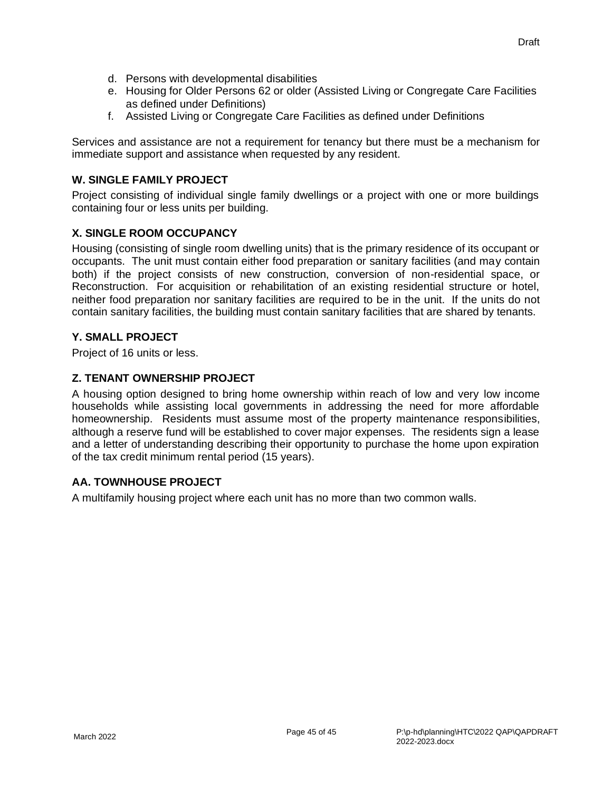- d. Persons with developmental disabilities
- e. Housing for Older Persons 62 or older (Assisted Living or Congregate Care Facilities as defined under Definitions)
- f. Assisted Living or Congregate Care Facilities as defined under Definitions

Services and assistance are not a requirement for tenancy but there must be a mechanism for immediate support and assistance when requested by any resident.

## **W. SINGLE FAMILY PROJECT**

Project consisting of individual single family dwellings or a project with one or more buildings containing four or less units per building.

## **X. SINGLE ROOM OCCUPANCY**

Housing (consisting of single room dwelling units) that is the primary residence of its occupant or occupants. The unit must contain either food preparation or sanitary facilities (and may contain both) if the project consists of new construction, conversion of non-residential space, or Reconstruction. For acquisition or rehabilitation of an existing residential structure or hotel, neither food preparation nor sanitary facilities are required to be in the unit. If the units do not contain sanitary facilities, the building must contain sanitary facilities that are shared by tenants.

## **Y. SMALL PROJECT**

Project of 16 units or less.

## **Z. TENANT OWNERSHIP PROJECT**

A housing option designed to bring home ownership within reach of low and very low income households while assisting local governments in addressing the need for more affordable homeownership. Residents must assume most of the property maintenance responsibilities, although a reserve fund will be established to cover major expenses. The residents sign a lease and a letter of understanding describing their opportunity to purchase the home upon expiration of the tax credit minimum rental period (15 years).

## **AA. TOWNHOUSE PROJECT**

A multifamily housing project where each unit has no more than two common walls.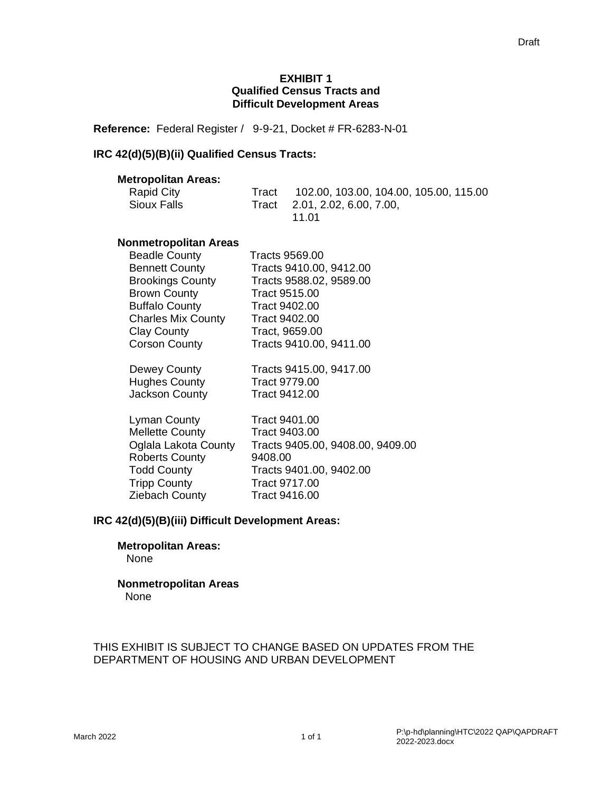#### **EXHIBIT 1 Qualified Census Tracts and Difficult Development Areas**

**Reference:** Federal Register / 9-9-21, Docket # FR-6283-N-01

## **IRC 42(d)(5)(B)(ii) Qualified Census Tracts:**

#### **Metropolitan Areas:**

| Rapid City  | Tract | 102.00, 103.00, 104.00, 105.00, 115.00 |
|-------------|-------|----------------------------------------|
| Sioux Falls |       | Tract 2.01, 2.02, 6.00, 7.00,          |
|             |       | 11 O1                                  |

## **Nonmetropolitan Areas**

| <b>Beadle County</b>      | Tracts 9569.00                   |
|---------------------------|----------------------------------|
| <b>Bennett County</b>     | Tracts 9410.00, 9412.00          |
| <b>Brookings County</b>   | Tracts 9588.02, 9589.00          |
| <b>Brown County</b>       | Tract 9515.00                    |
| <b>Buffalo County</b>     | Tract 9402.00                    |
| <b>Charles Mix County</b> | Tract 9402.00                    |
| <b>Clay County</b>        | Tract, 9659.00                   |
| <b>Corson County</b>      | Tracts 9410.00, 9411.00          |
| Dewey County              | Tracts 9415.00, 9417.00          |
| <b>Hughes County</b>      | Tract 9779.00                    |
| Jackson County            | Tract 9412.00                    |
| <b>Lyman County</b>       | Tract 9401.00                    |
| <b>Mellette County</b>    | Tract 9403.00                    |
| Oglala Lakota County      | Tracts 9405.00, 9408.00, 9409.00 |
| <b>Roberts County</b>     | 9408.00                          |
| <b>Todd County</b>        | Tracts 9401.00, 9402.00          |
| <b>Tripp County</b>       | Tract 9717.00                    |
| Ziebach County            | Tract 9416.00                    |
|                           |                                  |

#### **IRC 42(d)(5)(B)(iii) Difficult Development Areas:**

# **Metropolitan Areas:**

None

#### **Nonmetropolitan Areas** None

#### THIS EXHIBIT IS SUBJECT TO CHANGE BASED ON UPDATES FROM THE DEPARTMENT OF HOUSING AND URBAN DEVELOPMENT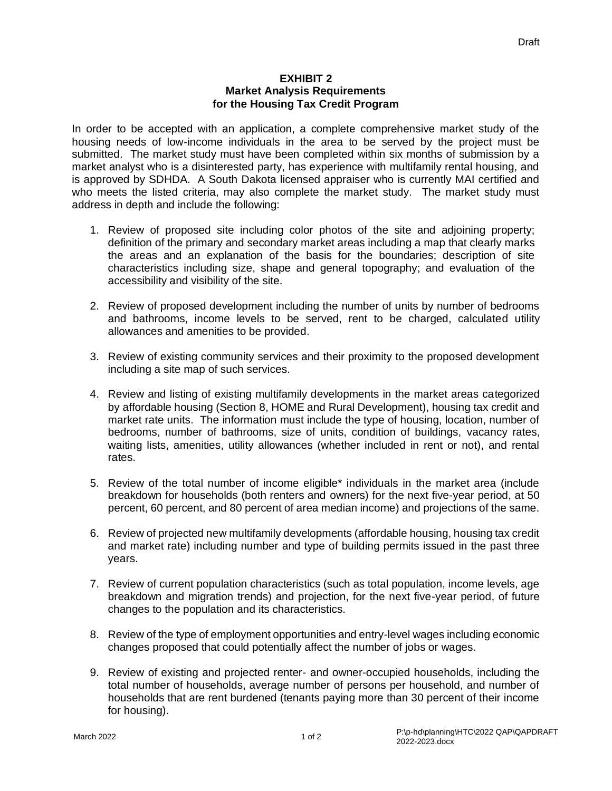#### **EXHIBIT 2 Market Analysis Requirements for the Housing Tax Credit Program**

In order to be accepted with an application, a complete comprehensive market study of the housing needs of low-income individuals in the area to be served by the project must be submitted. The market study must have been completed within six months of submission by a market analyst who is a disinterested party, has experience with multifamily rental housing, and is approved by SDHDA. A South Dakota licensed appraiser who is currently MAI certified and who meets the listed criteria, may also complete the market study. The market study must address in depth and include the following:

- 1. Review of proposed site including color photos of the site and adjoining property; definition of the primary and secondary market areas including a map that clearly marks the areas and an explanation of the basis for the boundaries; description of site characteristics including size, shape and general topography; and evaluation of the accessibility and visibility of the site.
- 2. Review of proposed development including the number of units by number of bedrooms and bathrooms, income levels to be served, rent to be charged, calculated utility allowances and amenities to be provided.
- 3. Review of existing community services and their proximity to the proposed development including a site map of such services.
- 4. Review and listing of existing multifamily developments in the market areas categorized by affordable housing (Section 8, HOME and Rural Development), housing tax credit and market rate units. The information must include the type of housing, location, number of bedrooms, number of bathrooms, size of units, condition of buildings, vacancy rates, waiting lists, amenities, utility allowances (whether included in rent or not), and rental rates.
- 5. Review of the total number of income eligible\* individuals in the market area (include breakdown for households (both renters and owners) for the next five-year period, at 50 percent, 60 percent, and 80 percent of area median income) and projections of the same.
- 6. Review of projected new multifamily developments (affordable housing, housing tax credit and market rate) including number and type of building permits issued in the past three years.
- 7. Review of current population characteristics (such as total population, income levels, age breakdown and migration trends) and projection, for the next five-year period, of future changes to the population and its characteristics.
- 8. Review of the type of employment opportunities and entry-level wages including economic changes proposed that could potentially affect the number of jobs or wages.
- 9. Review of existing and projected renter- and owner-occupied households, including the total number of households, average number of persons per household, and number of households that are rent burdened (tenants paying more than 30 percent of their income for housing).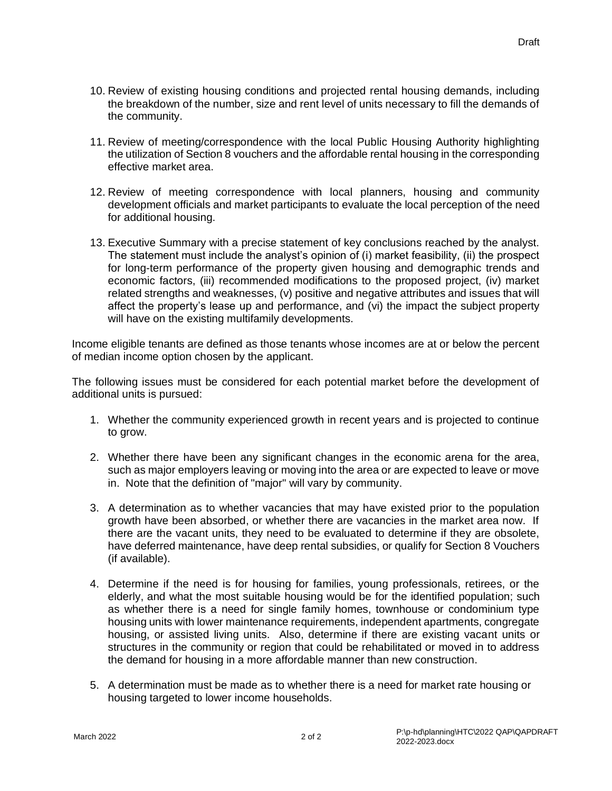- 10. Review of existing housing conditions and projected rental housing demands, including the breakdown of the number, size and rent level of units necessary to fill the demands of the community.
- 11. Review of meeting/correspondence with the local Public Housing Authority highlighting the utilization of Section 8 vouchers and the affordable rental housing in the corresponding effective market area.
- 12. Review of meeting correspondence with local planners, housing and community development officials and market participants to evaluate the local perception of the need for additional housing.
- 13. Executive Summary with a precise statement of key conclusions reached by the analyst. The statement must include the analyst's opinion of (i) market feasibility, (ii) the prospect for long-term performance of the property given housing and demographic trends and economic factors, (iii) recommended modifications to the proposed project, (iv) market related strengths and weaknesses, (v) positive and negative attributes and issues that will affect the property's lease up and performance, and (vi) the impact the subject property will have on the existing multifamily developments.

Income eligible tenants are defined as those tenants whose incomes are at or below the percent of median income option chosen by the applicant.

The following issues must be considered for each potential market before the development of additional units is pursued:

- 1. Whether the community experienced growth in recent years and is projected to continue to grow.
- 2. Whether there have been any significant changes in the economic arena for the area, such as major employers leaving or moving into the area or are expected to leave or move in. Note that the definition of "major" will vary by community.
- 3. A determination as to whether vacancies that may have existed prior to the population growth have been absorbed, or whether there are vacancies in the market area now. If there are the vacant units, they need to be evaluated to determine if they are obsolete, have deferred maintenance, have deep rental subsidies, or qualify for Section 8 Vouchers (if available).
- 4. Determine if the need is for housing for families, young professionals, retirees, or the elderly, and what the most suitable housing would be for the identified population; such as whether there is a need for single family homes, townhouse or condominium type housing units with lower maintenance requirements, independent apartments, congregate housing, or assisted living units. Also, determine if there are existing vacant units or structures in the community or region that could be rehabilitated or moved in to address the demand for housing in a more affordable manner than new construction.
- 5. A determination must be made as to whether there is a need for market rate housing or housing targeted to lower income households.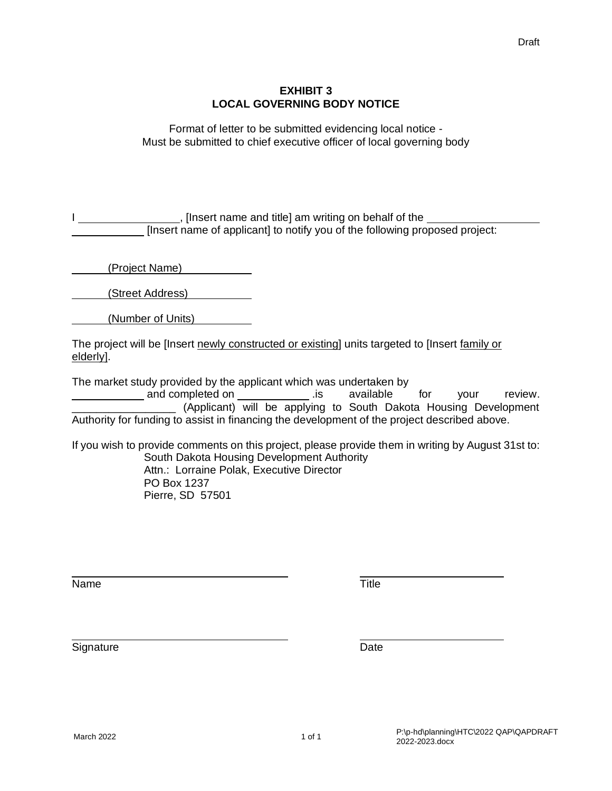#### **EXHIBIT 3 LOCAL GOVERNING BODY NOTICE**

Format of letter to be submitted evidencing local notice - Must be submitted to chief executive officer of local governing body

I contact The state of the state of the state of the state of the state of the state of the state of the state of the state of the state of the state of the state of the state of the state of the state of the state of the [Insert name of applicant] to notify you of the following proposed project:

(Project Name)

(Street Address)

(Number of Units)

The project will be [Insert newly constructed or existing] units targeted to [Insert family or elderly].

The market study provided by the applicant which was undertaken by

and completed on \_\_\_\_\_\_\_\_\_\_\_\_\_\_\_\_\_.is available for your review. \_\_\_\_\_\_\_\_\_\_\_\_\_\_\_\_\_ (Applicant) will be applying to South Dakota Housing Development Authority for funding to assist in financing the development of the project described above.

If you wish to provide comments on this project, please provide them in writing by August 31st to: South Dakota Housing Development Authority Attn.: Lorraine Polak, Executive Director PO Box 1237

Pierre, SD 57501

Name Title

Signature Date **Date**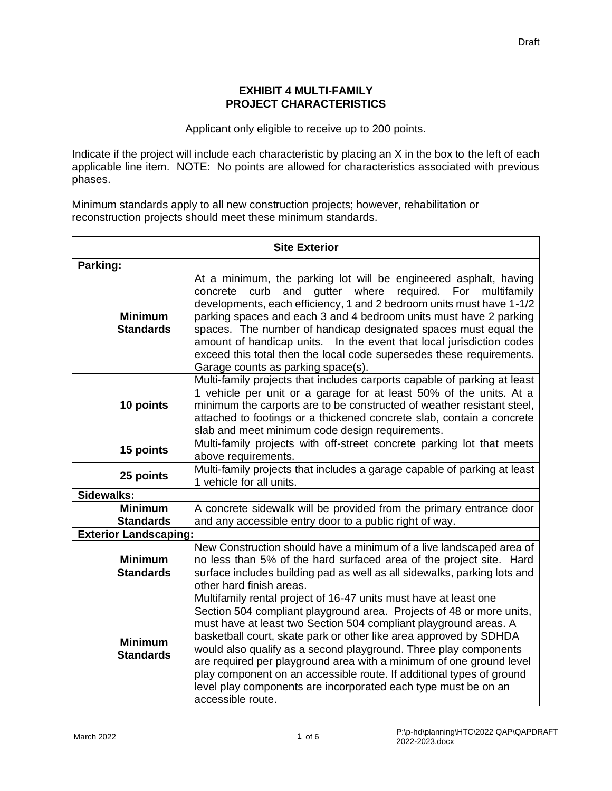#### **EXHIBIT 4 MULTI-FAMILY PROJECT CHARACTERISTICS**

Applicant only eligible to receive up to 200 points.

Indicate if the project will include each characteristic by placing an X in the box to the left of each applicable line item. NOTE: No points are allowed for characteristics associated with previous phases.

Minimum standards apply to all new construction projects; however, rehabilitation or reconstruction projects should meet these minimum standards.

| <b>Site Exterior</b> |                                    |                                                                                                                                                                                                                                                                                                                                                                                                                                                                                                                                                                                             |  |  |
|----------------------|------------------------------------|---------------------------------------------------------------------------------------------------------------------------------------------------------------------------------------------------------------------------------------------------------------------------------------------------------------------------------------------------------------------------------------------------------------------------------------------------------------------------------------------------------------------------------------------------------------------------------------------|--|--|
|                      | Parking:                           |                                                                                                                                                                                                                                                                                                                                                                                                                                                                                                                                                                                             |  |  |
|                      | <b>Minimum</b><br><b>Standards</b> | At a minimum, the parking lot will be engineered asphalt, having<br>gutter where<br>required. For<br>curb<br>and<br>multifamily<br>concrete<br>developments, each efficiency, 1 and 2 bedroom units must have 1-1/2<br>parking spaces and each 3 and 4 bedroom units must have 2 parking<br>spaces. The number of handicap designated spaces must equal the<br>amount of handicap units. In the event that local jurisdiction codes<br>exceed this total then the local code supersedes these requirements.<br>Garage counts as parking space(s).                                           |  |  |
|                      | 10 points                          | Multi-family projects that includes carports capable of parking at least<br>1 vehicle per unit or a garage for at least 50% of the units. At a<br>minimum the carports are to be constructed of weather resistant steel,<br>attached to footings or a thickened concrete slab, contain a concrete<br>slab and meet minimum code design requirements.                                                                                                                                                                                                                                        |  |  |
|                      | 15 points                          | Multi-family projects with off-street concrete parking lot that meets<br>above requirements.                                                                                                                                                                                                                                                                                                                                                                                                                                                                                                |  |  |
|                      | 25 points                          | Multi-family projects that includes a garage capable of parking at least<br>1 vehicle for all units.                                                                                                                                                                                                                                                                                                                                                                                                                                                                                        |  |  |
|                      | Sidewalks:                         |                                                                                                                                                                                                                                                                                                                                                                                                                                                                                                                                                                                             |  |  |
|                      | <b>Minimum</b>                     | A concrete sidewalk will be provided from the primary entrance door                                                                                                                                                                                                                                                                                                                                                                                                                                                                                                                         |  |  |
|                      | <b>Standards</b>                   | and any accessible entry door to a public right of way.                                                                                                                                                                                                                                                                                                                                                                                                                                                                                                                                     |  |  |
|                      | <b>Exterior Landscaping:</b>       |                                                                                                                                                                                                                                                                                                                                                                                                                                                                                                                                                                                             |  |  |
|                      | <b>Minimum</b><br><b>Standards</b> | New Construction should have a minimum of a live landscaped area of<br>no less than 5% of the hard surfaced area of the project site. Hard<br>surface includes building pad as well as all sidewalks, parking lots and<br>other hard finish areas.                                                                                                                                                                                                                                                                                                                                          |  |  |
|                      | <b>Minimum</b><br><b>Standards</b> | Multifamily rental project of 16-47 units must have at least one<br>Section 504 compliant playground area. Projects of 48 or more units,<br>must have at least two Section 504 compliant playground areas. A<br>basketball court, skate park or other like area approved by SDHDA<br>would also qualify as a second playground. Three play components<br>are required per playground area with a minimum of one ground level<br>play component on an accessible route. If additional types of ground<br>level play components are incorporated each type must be on an<br>accessible route. |  |  |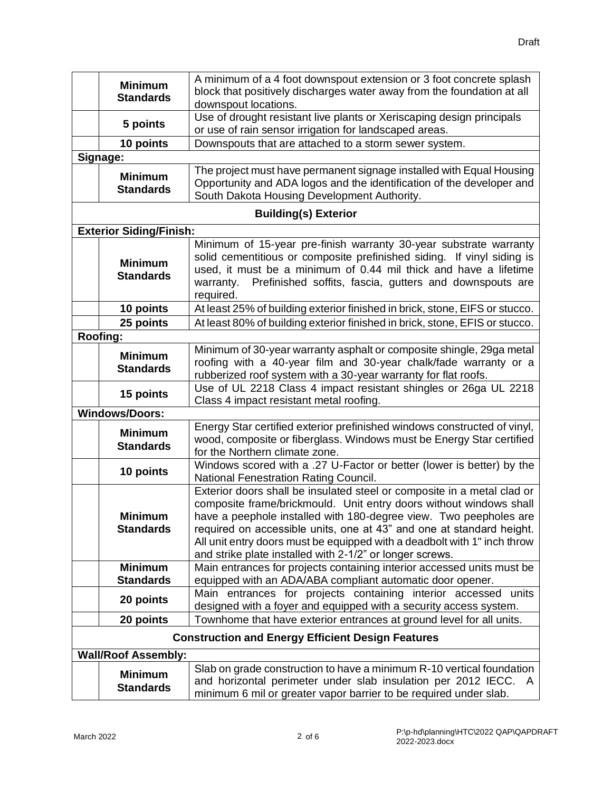|                                                          | <b>Minimum</b>                     | A minimum of a 4 foot downspout extension or 3 foot concrete splash                                                                      |
|----------------------------------------------------------|------------------------------------|------------------------------------------------------------------------------------------------------------------------------------------|
|                                                          | <b>Standards</b>                   | block that positively discharges water away from the foundation at all                                                                   |
|                                                          |                                    | downspout locations.<br>Use of drought resistant live plants or Xeriscaping design principals                                            |
|                                                          | 5 points                           | or use of rain sensor irrigation for landscaped areas.                                                                                   |
|                                                          | 10 points                          | Downspouts that are attached to a storm sewer system.                                                                                    |
|                                                          | Signage:                           |                                                                                                                                          |
|                                                          |                                    | The project must have permanent signage installed with Equal Housing                                                                     |
|                                                          | <b>Minimum</b><br><b>Standards</b> | Opportunity and ADA logos and the identification of the developer and                                                                    |
|                                                          |                                    | South Dakota Housing Development Authority.                                                                                              |
|                                                          |                                    | <b>Building(s) Exterior</b>                                                                                                              |
|                                                          | <b>Exterior Siding/Finish:</b>     |                                                                                                                                          |
|                                                          |                                    | Minimum of 15-year pre-finish warranty 30-year substrate warranty                                                                        |
|                                                          | <b>Minimum</b>                     | solid cementitious or composite prefinished siding. If vinyl siding is                                                                   |
|                                                          | <b>Standards</b>                   | used, it must be a minimum of 0.44 mil thick and have a lifetime<br>Prefinished soffits, fascia, gutters and downspouts are<br>warranty. |
|                                                          |                                    | required.                                                                                                                                |
|                                                          | 10 points                          | At least 25% of building exterior finished in brick, stone, EIFS or stucco.                                                              |
|                                                          | 25 points                          | At least 80% of building exterior finished in brick, stone, EFIS or stucco.                                                              |
|                                                          | Roofing:                           |                                                                                                                                          |
|                                                          | <b>Minimum</b>                     | Minimum of 30-year warranty asphalt or composite shingle, 29ga metal                                                                     |
|                                                          | <b>Standards</b>                   | roofing with a 40-year film and 30-year chalk/fade warranty or a                                                                         |
|                                                          |                                    | rubberized roof system with a 30-year warranty for flat roofs.                                                                           |
|                                                          | 15 points                          | Use of UL 2218 Class 4 impact resistant shingles or 26ga UL 2218                                                                         |
|                                                          | <b>Windows/Doors:</b>              | Class 4 impact resistant metal roofing.                                                                                                  |
|                                                          |                                    | Energy Star certified exterior prefinished windows constructed of vinyl,                                                                 |
|                                                          | <b>Minimum</b>                     | wood, composite or fiberglass. Windows must be Energy Star certified                                                                     |
|                                                          | <b>Standards</b>                   | for the Northern climate zone.                                                                                                           |
|                                                          | 10 points                          | Windows scored with a .27 U-Factor or better (lower is better) by the                                                                    |
|                                                          |                                    | <b>National Fenestration Rating Council.</b>                                                                                             |
|                                                          |                                    | Exterior doors shall be insulated steel or composite in a metal clad or                                                                  |
|                                                          | <b>Minimum</b>                     | composite frame/brickmould. Unit entry doors without windows shall<br>have a peephole installed with 180-degree view. Two peepholes are  |
|                                                          | <b>Standards</b>                   | required on accessible units, one at 43" and one at standard height.                                                                     |
|                                                          |                                    | All unit entry doors must be equipped with a deadbolt with 1" inch throw                                                                 |
|                                                          |                                    | and strike plate installed with 2-1/2" or longer screws.                                                                                 |
|                                                          | <b>Minimum</b>                     | Main entrances for projects containing interior accessed units must be                                                                   |
|                                                          | <b>Standards</b>                   | equipped with an ADA/ABA compliant automatic door opener.                                                                                |
|                                                          | 20 points                          | Main entrances for projects containing interior accessed units                                                                           |
|                                                          |                                    | designed with a foyer and equipped with a security access system.                                                                        |
|                                                          | 20 points                          | Townhome that have exterior entrances at ground level for all units.                                                                     |
| <b>Construction and Energy Efficient Design Features</b> |                                    |                                                                                                                                          |
|                                                          | <b>Wall/Roof Assembly:</b>         |                                                                                                                                          |
|                                                          | <b>Minimum</b>                     | Slab on grade construction to have a minimum R-10 vertical foundation                                                                    |
|                                                          | <b>Standards</b>                   | and horizontal perimeter under slab insulation per 2012 IECC.<br>A                                                                       |
|                                                          |                                    | minimum 6 mil or greater vapor barrier to be required under slab.                                                                        |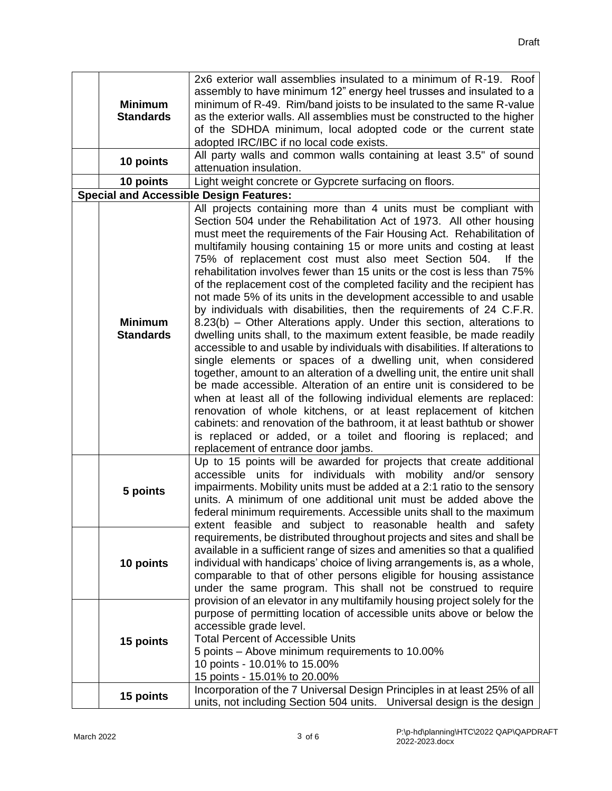| <b>Minimum</b><br><b>Standards</b> | 2x6 exterior wall assemblies insulated to a minimum of R-19. Roof<br>assembly to have minimum 12" energy heel trusses and insulated to a<br>minimum of R-49. Rim/band joists to be insulated to the same R-value<br>as the exterior walls. All assemblies must be constructed to the higher<br>of the SDHDA minimum, local adopted code or the current state                                                                                                                                                                                                                                                                                                                                                                                                                                                                                                                                                                                                                                                                                                                                                                                                                                                                                                                                                                                                                                                                                                |
|------------------------------------|-------------------------------------------------------------------------------------------------------------------------------------------------------------------------------------------------------------------------------------------------------------------------------------------------------------------------------------------------------------------------------------------------------------------------------------------------------------------------------------------------------------------------------------------------------------------------------------------------------------------------------------------------------------------------------------------------------------------------------------------------------------------------------------------------------------------------------------------------------------------------------------------------------------------------------------------------------------------------------------------------------------------------------------------------------------------------------------------------------------------------------------------------------------------------------------------------------------------------------------------------------------------------------------------------------------------------------------------------------------------------------------------------------------------------------------------------------------|
| 10 points                          | adopted IRC/IBC if no local code exists.<br>All party walls and common walls containing at least 3.5" of sound<br>attenuation insulation.                                                                                                                                                                                                                                                                                                                                                                                                                                                                                                                                                                                                                                                                                                                                                                                                                                                                                                                                                                                                                                                                                                                                                                                                                                                                                                                   |
| 10 points                          | Light weight concrete or Gypcrete surfacing on floors.                                                                                                                                                                                                                                                                                                                                                                                                                                                                                                                                                                                                                                                                                                                                                                                                                                                                                                                                                                                                                                                                                                                                                                                                                                                                                                                                                                                                      |
|                                    | <b>Special and Accessible Design Features:</b>                                                                                                                                                                                                                                                                                                                                                                                                                                                                                                                                                                                                                                                                                                                                                                                                                                                                                                                                                                                                                                                                                                                                                                                                                                                                                                                                                                                                              |
| <b>Minimum</b><br><b>Standards</b> | All projects containing more than 4 units must be compliant with<br>Section 504 under the Rehabilitation Act of 1973. All other housing<br>must meet the requirements of the Fair Housing Act. Rehabilitation of<br>multifamily housing containing 15 or more units and costing at least<br>75% of replacement cost must also meet Section 504.<br>If the<br>rehabilitation involves fewer than 15 units or the cost is less than 75%<br>of the replacement cost of the completed facility and the recipient has<br>not made 5% of its units in the development accessible to and usable<br>by individuals with disabilities, then the requirements of 24 C.F.R.<br>8.23(b) – Other Alterations apply. Under this section, alterations to<br>dwelling units shall, to the maximum extent feasible, be made readily<br>accessible to and usable by individuals with disabilities. If alterations to<br>single elements or spaces of a dwelling unit, when considered<br>together, amount to an alteration of a dwelling unit, the entire unit shall<br>be made accessible. Alteration of an entire unit is considered to be<br>when at least all of the following individual elements are replaced:<br>renovation of whole kitchens, or at least replacement of kitchen<br>cabinets: and renovation of the bathroom, it at least bathtub or shower<br>is replaced or added, or a toilet and flooring is replaced; and<br>replacement of entrance door jambs. |
| 5 points                           | Up to 15 points will be awarded for projects that create additional<br>accessible units for individuals with mobility and/or sensory<br>impairments. Mobility units must be added at a 2:1 ratio to the sensory<br>units. A minimum of one additional unit must be added above the<br>federal minimum requirements. Accessible units shall to the maximum<br>extent feasible and subject to reasonable health and safety                                                                                                                                                                                                                                                                                                                                                                                                                                                                                                                                                                                                                                                                                                                                                                                                                                                                                                                                                                                                                                    |
| 10 points                          | requirements, be distributed throughout projects and sites and shall be<br>available in a sufficient range of sizes and amenities so that a qualified<br>individual with handicaps' choice of living arrangements is, as a whole,<br>comparable to that of other persons eligible for housing assistance<br>under the same program. This shall not be construed to require<br>provision of an elevator in any multifamily housing project solely for the                                                                                                                                                                                                                                                                                                                                                                                                                                                                                                                                                                                                                                                                                                                                                                                                                                                                                                                                                                                                    |
| 15 points                          | purpose of permitting location of accessible units above or below the<br>accessible grade level.<br><b>Total Percent of Accessible Units</b><br>5 points – Above minimum requirements to 10.00%<br>10 points - 10.01% to 15.00%<br>15 points - 15.01% to 20.00%<br>Incorporation of the 7 Universal Design Principles in at least 25% of all                                                                                                                                                                                                                                                                                                                                                                                                                                                                                                                                                                                                                                                                                                                                                                                                                                                                                                                                                                                                                                                                                                                |
| 15 points                          | units, not including Section 504 units. Universal design is the design                                                                                                                                                                                                                                                                                                                                                                                                                                                                                                                                                                                                                                                                                                                                                                                                                                                                                                                                                                                                                                                                                                                                                                                                                                                                                                                                                                                      |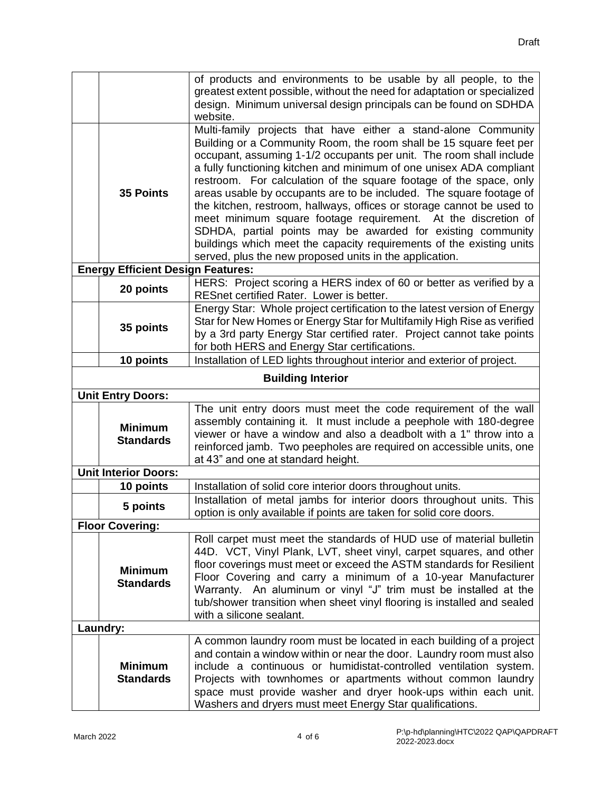|                          |                                          | of products and environments to be usable by all people, to the                                                                                                                                                                                                                                                                                                                                                                                                                                                                                                           |  |
|--------------------------|------------------------------------------|---------------------------------------------------------------------------------------------------------------------------------------------------------------------------------------------------------------------------------------------------------------------------------------------------------------------------------------------------------------------------------------------------------------------------------------------------------------------------------------------------------------------------------------------------------------------------|--|
|                          |                                          | greatest extent possible, without the need for adaptation or specialized                                                                                                                                                                                                                                                                                                                                                                                                                                                                                                  |  |
|                          |                                          | design. Minimum universal design principals can be found on SDHDA<br>website.                                                                                                                                                                                                                                                                                                                                                                                                                                                                                             |  |
|                          | <b>35 Points</b>                         | Multi-family projects that have either a stand-alone Community<br>Building or a Community Room, the room shall be 15 square feet per<br>occupant, assuming 1-1/2 occupants per unit. The room shall include<br>a fully functioning kitchen and minimum of one unisex ADA compliant<br>restroom. For calculation of the square footage of the space, only<br>areas usable by occupants are to be included. The square footage of<br>the kitchen, restroom, hallways, offices or storage cannot be used to<br>meet minimum square footage requirement. At the discretion of |  |
|                          |                                          | SDHDA, partial points may be awarded for existing community<br>buildings which meet the capacity requirements of the existing units<br>served, plus the new proposed units in the application.                                                                                                                                                                                                                                                                                                                                                                            |  |
|                          | <b>Energy Efficient Design Features:</b> |                                                                                                                                                                                                                                                                                                                                                                                                                                                                                                                                                                           |  |
|                          | 20 points                                | HERS: Project scoring a HERS index of 60 or better as verified by a<br>RESnet certified Rater. Lower is better.                                                                                                                                                                                                                                                                                                                                                                                                                                                           |  |
|                          | 35 points                                | Energy Star: Whole project certification to the latest version of Energy<br>Star for New Homes or Energy Star for Multifamily High Rise as verified<br>by a 3rd party Energy Star certified rater. Project cannot take points<br>for both HERS and Energy Star certifications.                                                                                                                                                                                                                                                                                            |  |
|                          | 10 points                                | Installation of LED lights throughout interior and exterior of project.                                                                                                                                                                                                                                                                                                                                                                                                                                                                                                   |  |
|                          |                                          |                                                                                                                                                                                                                                                                                                                                                                                                                                                                                                                                                                           |  |
| <b>Building Interior</b> |                                          |                                                                                                                                                                                                                                                                                                                                                                                                                                                                                                                                                                           |  |
|                          | <b>Unit Entry Doors:</b>                 | The unit entry doors must meet the code requirement of the wall                                                                                                                                                                                                                                                                                                                                                                                                                                                                                                           |  |
|                          | <b>Minimum</b><br><b>Standards</b>       | assembly containing it. It must include a peephole with 180-degree<br>viewer or have a window and also a deadbolt with a 1" throw into a<br>reinforced jamb. Two peepholes are required on accessible units, one<br>at 43" and one at standard height.                                                                                                                                                                                                                                                                                                                    |  |
|                          | <b>Unit Interior Doors:</b>              |                                                                                                                                                                                                                                                                                                                                                                                                                                                                                                                                                                           |  |
|                          | 10 points                                | Installation of solid core interior doors throughout units.                                                                                                                                                                                                                                                                                                                                                                                                                                                                                                               |  |
|                          | 5 points                                 | Installation of metal jambs for interior doors throughout units. This<br>option is only available if points are taken for solid core doors.                                                                                                                                                                                                                                                                                                                                                                                                                               |  |
|                          | <b>Floor Covering:</b>                   |                                                                                                                                                                                                                                                                                                                                                                                                                                                                                                                                                                           |  |
|                          | <b>Minimum</b><br><b>Standards</b>       | Roll carpet must meet the standards of HUD use of material bulletin<br>44D. VCT, Vinyl Plank, LVT, sheet vinyl, carpet squares, and other<br>floor coverings must meet or exceed the ASTM standards for Resilient<br>Floor Covering and carry a minimum of a 10-year Manufacturer<br>Warranty. An aluminum or vinyl "J" trim must be installed at the<br>tub/shower transition when sheet vinyl flooring is installed and sealed<br>with a silicone sealant.                                                                                                              |  |
|                          | Laundry:                                 |                                                                                                                                                                                                                                                                                                                                                                                                                                                                                                                                                                           |  |
|                          | <b>Minimum</b><br><b>Standards</b>       | A common laundry room must be located in each building of a project<br>and contain a window within or near the door. Laundry room must also<br>include a continuous or humidistat-controlled ventilation system.<br>Projects with townhomes or apartments without common laundry<br>space must provide washer and dryer hook-ups within each unit.<br>Washers and dryers must meet Energy Star qualifications.                                                                                                                                                            |  |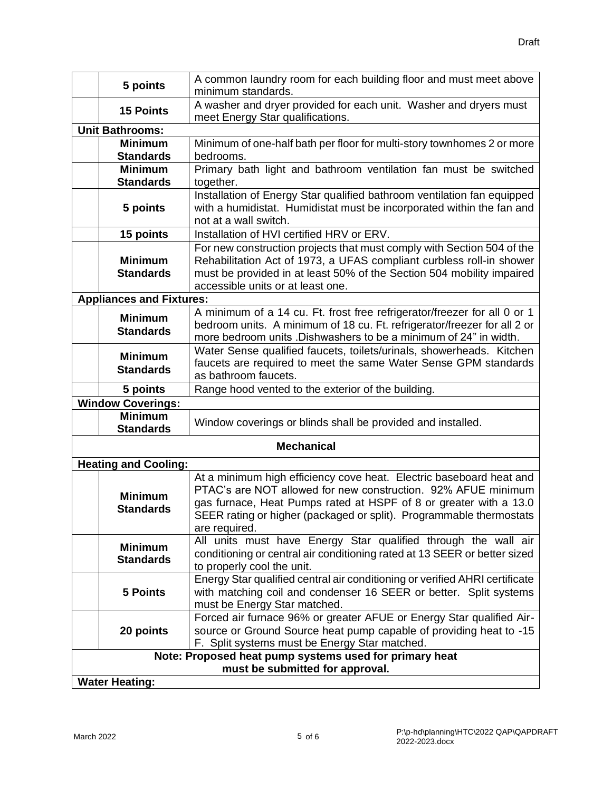| 5 points                           | A common laundry room for each building floor and must meet above<br>minimum standards.               |  |
|------------------------------------|-------------------------------------------------------------------------------------------------------|--|
| <b>15 Points</b>                   | A washer and dryer provided for each unit. Washer and dryers must<br>meet Energy Star qualifications. |  |
| <b>Unit Bathrooms:</b>             |                                                                                                       |  |
| <b>Minimum</b>                     | Minimum of one-half bath per floor for multi-story townhomes 2 or more                                |  |
| <b>Standards</b>                   | bedrooms.                                                                                             |  |
| <b>Minimum</b>                     | Primary bath light and bathroom ventilation fan must be switched                                      |  |
| <b>Standards</b>                   | together.                                                                                             |  |
|                                    | Installation of Energy Star qualified bathroom ventilation fan equipped                               |  |
| 5 points                           | with a humidistat. Humidistat must be incorporated within the fan and                                 |  |
|                                    | not at a wall switch.                                                                                 |  |
| 15 points                          | Installation of HVI certified HRV or ERV.                                                             |  |
|                                    | For new construction projects that must comply with Section 504 of the                                |  |
| <b>Minimum</b>                     | Rehabilitation Act of 1973, a UFAS compliant curbless roll-in shower                                  |  |
| <b>Standards</b>                   | must be provided in at least 50% of the Section 504 mobility impaired                                 |  |
|                                    | accessible units or at least one.                                                                     |  |
| <b>Appliances and Fixtures:</b>    |                                                                                                       |  |
|                                    | A minimum of a 14 cu. Ft. frost free refrigerator/freezer for all 0 or 1                              |  |
| <b>Minimum</b><br><b>Standards</b> | bedroom units. A minimum of 18 cu. Ft. refrigerator/freezer for all 2 or                              |  |
|                                    | more bedroom units .Dishwashers to be a minimum of 24" in width.                                      |  |
| <b>Minimum</b>                     | Water Sense qualified faucets, toilets/urinals, showerheads. Kitchen                                  |  |
| <b>Standards</b>                   | faucets are required to meet the same Water Sense GPM standards                                       |  |
|                                    | as bathroom faucets.                                                                                  |  |
| 5 points                           | Range hood vented to the exterior of the building.                                                    |  |
| <b>Window Coverings:</b>           |                                                                                                       |  |
| <b>Minimum</b><br><b>Standards</b> | Window coverings or blinds shall be provided and installed.                                           |  |
|                                    | <b>Mechanical</b>                                                                                     |  |
| <b>Heating and Cooling:</b>        |                                                                                                       |  |
|                                    | At a minimum high efficiency cove heat. Electric baseboard heat and                                   |  |
|                                    | PTAC's are NOT allowed for new construction. 92% AFUE minimum                                         |  |
| <b>Minimum</b>                     | gas furnace, Heat Pumps rated at HSPF of 8 or greater with a 13.0                                     |  |
| <b>Standards</b>                   | SEER rating or higher (packaged or split). Programmable thermostats                                   |  |
|                                    | are required.                                                                                         |  |
|                                    | All units must have Energy Star qualified through the wall air                                        |  |
| <b>Minimum</b>                     | conditioning or central air conditioning rated at 13 SEER or better sized                             |  |
| <b>Standards</b>                   | to properly cool the unit.                                                                            |  |
|                                    | Energy Star qualified central air conditioning or verified AHRI certificate                           |  |
| <b>5 Points</b>                    | with matching coil and condenser 16 SEER or better. Split systems                                     |  |
|                                    | must be Energy Star matched.                                                                          |  |
|                                    | Forced air furnace 96% or greater AFUE or Energy Star qualified Air-                                  |  |
| 20 points                          | source or Ground Source heat pump capable of providing heat to -15                                    |  |
|                                    | F. Split systems must be Energy Star matched.                                                         |  |
|                                    | Note: Proposed heat pump systems used for primary heat                                                |  |
| must be submitted for approval.    |                                                                                                       |  |
| <b>Water Heating:</b>              |                                                                                                       |  |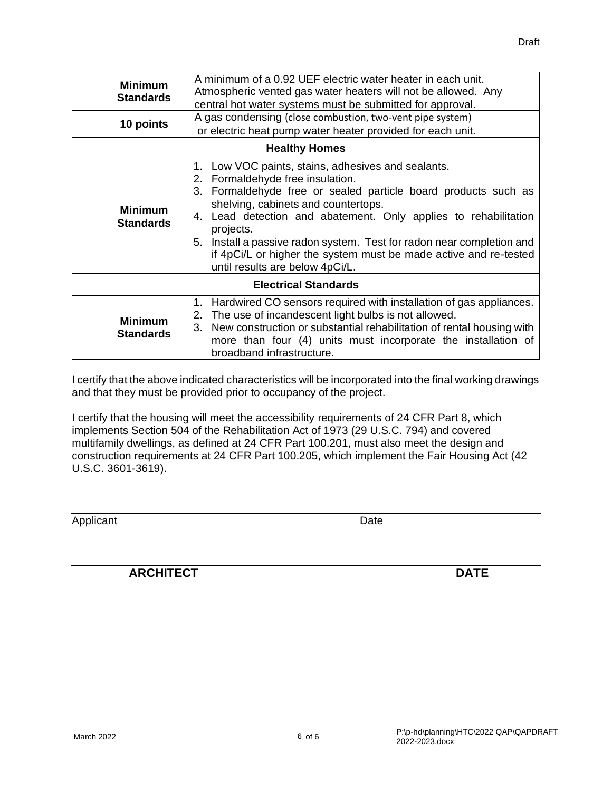|                             | <b>Minimum</b><br><b>Standards</b><br>10 points | A minimum of a 0.92 UEF electric water heater in each unit.<br>Atmospheric vented gas water heaters will not be allowed. Any<br>central hot water systems must be submitted for approval.<br>A gas condensing (close combustion, two-vent pipe system)<br>or electric heat pump water heater provided for each unit.<br><b>Healthy Homes</b>                                                                                                                       |  |
|-----------------------------|-------------------------------------------------|--------------------------------------------------------------------------------------------------------------------------------------------------------------------------------------------------------------------------------------------------------------------------------------------------------------------------------------------------------------------------------------------------------------------------------------------------------------------|--|
|                             | <b>Minimum</b><br><b>Standards</b>              | 1. Low VOC paints, stains, adhesives and sealants.<br>2. Formaldehyde free insulation.<br>3. Formaldehyde free or sealed particle board products such as<br>shelving, cabinets and countertops.<br>Lead detection and abatement. Only applies to rehabilitation<br>4.<br>projects.<br>5. Install a passive radon system. Test for radon near completion and<br>if 4pCi/L or higher the system must be made active and re-tested<br>until results are below 4pCi/L. |  |
| <b>Electrical Standards</b> |                                                 |                                                                                                                                                                                                                                                                                                                                                                                                                                                                    |  |
|                             | <b>Minimum</b><br><b>Standards</b>              | Hardwired CO sensors required with installation of gas appliances.<br>1.<br>2. The use of incandescent light bulbs is not allowed.<br>3. New construction or substantial rehabilitation of rental housing with<br>more than four (4) units must incorporate the installation of<br>broadband infrastructure.                                                                                                                                                       |  |

I certify that the above indicated characteristics will be incorporated into the final working drawings and that they must be provided prior to occupancy of the project.

I certify that the housing will meet the accessibility requirements of 24 CFR Part 8, which implements Section 504 of the Rehabilitation Act of 1973 (29 U.S.C. 794) and covered multifamily dwellings, as defined at 24 CFR Part 100.201, must also meet the design and construction requirements at 24 CFR Part 100.205, which implement the Fair Housing Act (42 U.S.C. 3601-3619).

Applicant Date Date

**ARCHITECT DATE**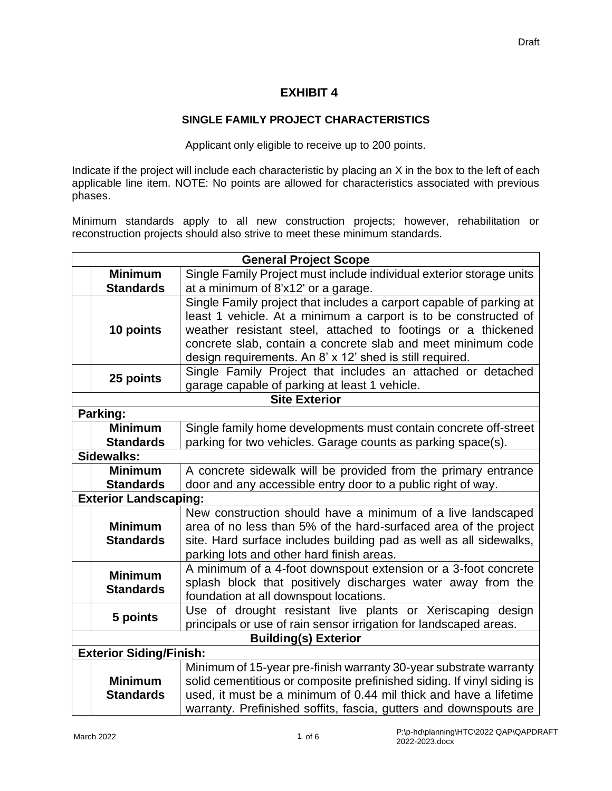# **EXHIBIT 4**

## **SINGLE FAMILY PROJECT CHARACTERISTICS**

Applicant only eligible to receive up to 200 points.

Indicate if the project will include each characteristic by placing an X in the box to the left of each applicable line item. NOTE: No points are allowed for characteristics associated with previous phases.

Minimum standards apply to all new construction projects; however, rehabilitation or reconstruction projects should also strive to meet these minimum standards.

| <b>General Project Scope</b> |                                |                                                                        |
|------------------------------|--------------------------------|------------------------------------------------------------------------|
|                              | <b>Minimum</b>                 | Single Family Project must include individual exterior storage units   |
|                              | <b>Standards</b>               | at a minimum of 8'x12' or a garage.                                    |
|                              |                                | Single Family project that includes a carport capable of parking at    |
|                              |                                | least 1 vehicle. At a minimum a carport is to be constructed of        |
|                              | 10 points                      | weather resistant steel, attached to footings or a thickened           |
|                              |                                | concrete slab, contain a concrete slab and meet minimum code           |
|                              |                                | design requirements. An 8' x 12' shed is still required.               |
|                              |                                | Single Family Project that includes an attached or detached            |
|                              | 25 points                      | garage capable of parking at least 1 vehicle.                          |
|                              |                                | <b>Site Exterior</b>                                                   |
|                              | Parking:                       |                                                                        |
|                              | <b>Minimum</b>                 | Single family home developments must contain concrete off-street       |
|                              | <b>Standards</b>               | parking for two vehicles. Garage counts as parking space(s).           |
|                              | Sidewalks:                     |                                                                        |
|                              | <b>Minimum</b>                 | A concrete sidewalk will be provided from the primary entrance         |
|                              | <b>Standards</b>               | door and any accessible entry door to a public right of way.           |
|                              | <b>Exterior Landscaping:</b>   |                                                                        |
|                              |                                | New construction should have a minimum of a live landscaped            |
|                              | <b>Minimum</b>                 | area of no less than 5% of the hard-surfaced area of the project       |
|                              | <b>Standards</b>               | site. Hard surface includes building pad as well as all sidewalks,     |
|                              |                                | parking lots and other hard finish areas.                              |
|                              | <b>Minimum</b>                 | A minimum of a 4-foot downspout extension or a 3-foot concrete         |
|                              | <b>Standards</b>               | splash block that positively discharges water away from the            |
|                              |                                | foundation at all downspout locations.                                 |
|                              | 5 points                       | Use of drought resistant live plants or Xeriscaping design             |
|                              |                                | principals or use of rain sensor irrigation for landscaped areas.      |
| <b>Building(s) Exterior</b>  |                                |                                                                        |
|                              | <b>Exterior Siding/Finish:</b> |                                                                        |
|                              |                                | Minimum of 15-year pre-finish warranty 30-year substrate warranty      |
|                              | <b>Minimum</b>                 | solid cementitious or composite prefinished siding. If vinyl siding is |
|                              | <b>Standards</b>               | used, it must be a minimum of 0.44 mil thick and have a lifetime       |
|                              |                                | warranty. Prefinished soffits, fascia, gutters and downspouts are      |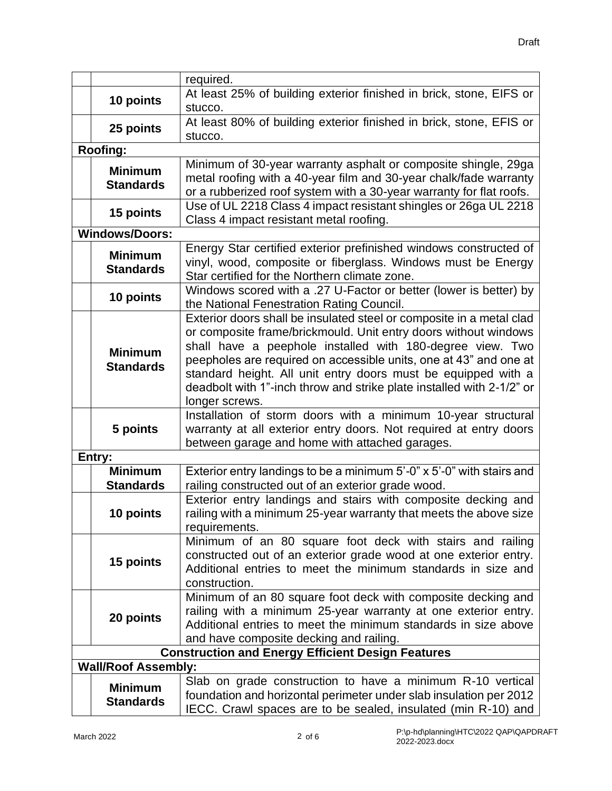|  |                            | required.                                                             |
|--|----------------------------|-----------------------------------------------------------------------|
|  |                            | At least 25% of building exterior finished in brick, stone, EIFS or   |
|  | 10 points                  | stucco.                                                               |
|  |                            | At least 80% of building exterior finished in brick, stone, EFIS or   |
|  | 25 points                  | stucco.                                                               |
|  | <b>Roofing:</b>            |                                                                       |
|  | <b>Minimum</b>             | Minimum of 30-year warranty asphalt or composite shingle, 29ga        |
|  | <b>Standards</b>           | metal roofing with a 40-year film and 30-year chalk/fade warranty     |
|  |                            | or a rubberized roof system with a 30-year warranty for flat roofs.   |
|  | 15 points                  | Use of UL 2218 Class 4 impact resistant shingles or 26ga UL 2218      |
|  |                            | Class 4 impact resistant metal roofing.                               |
|  | <b>Windows/Doors:</b>      |                                                                       |
|  | <b>Minimum</b>             | Energy Star certified exterior prefinished windows constructed of     |
|  | <b>Standards</b>           | vinyl, wood, composite or fiberglass. Windows must be Energy          |
|  |                            | Star certified for the Northern climate zone.                         |
|  | 10 points                  | Windows scored with a .27 U-Factor or better (lower is better) by     |
|  |                            | the National Fenestration Rating Council.                             |
|  |                            | Exterior doors shall be insulated steel or composite in a metal clad  |
|  |                            | or composite frame/brickmould. Unit entry doors without windows       |
|  | <b>Minimum</b>             | shall have a peephole installed with 180-degree view. Two             |
|  | <b>Standards</b>           | peepholes are required on accessible units, one at 43" and one at     |
|  |                            | standard height. All unit entry doors must be equipped with a         |
|  |                            | deadbolt with 1"-inch throw and strike plate installed with 2-1/2" or |
|  |                            | longer screws.                                                        |
|  |                            | Installation of storm doors with a minimum 10-year structural         |
|  | 5 points                   | warranty at all exterior entry doors. Not required at entry doors     |
|  |                            | between garage and home with attached garages.                        |
|  | Entry:                     |                                                                       |
|  | <b>Minimum</b>             | Exterior entry landings to be a minimum 5'-0" x 5'-0" with stairs and |
|  | <b>Standards</b>           | railing constructed out of an exterior grade wood.                    |
|  |                            | Exterior entry landings and stairs with composite decking and         |
|  | 10 points                  | railing with a minimum 25-year warranty that meets the above size     |
|  |                            | requirements.                                                         |
|  |                            | Minimum of an 80 square foot deck with stairs and railing             |
|  | 15 points                  | constructed out of an exterior grade wood at one exterior entry.      |
|  |                            | Additional entries to meet the minimum standards in size and          |
|  |                            | construction.                                                         |
|  |                            | Minimum of an 80 square foot deck with composite decking and          |
|  | 20 points                  | railing with a minimum 25-year warranty at one exterior entry.        |
|  |                            | Additional entries to meet the minimum standards in size above        |
|  |                            | and have composite decking and railing.                               |
|  |                            | <b>Construction and Energy Efficient Design Features</b>              |
|  | <b>Wall/Roof Assembly:</b> |                                                                       |
|  | <b>Minimum</b>             | Slab on grade construction to have a minimum R-10 vertical            |
|  | <b>Standards</b>           | foundation and horizontal perimeter under slab insulation per 2012    |
|  |                            | IECC. Crawl spaces are to be sealed, insulated (min R-10) and         |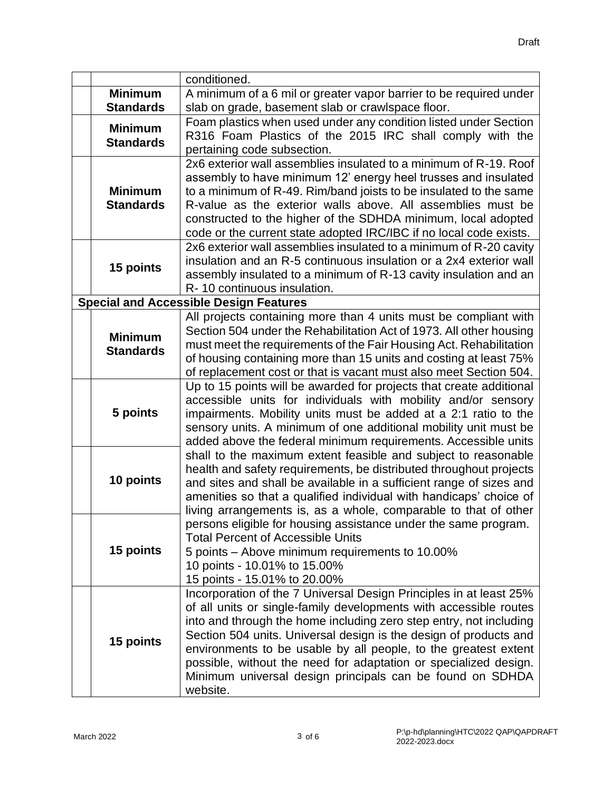|  |                  | conditioned.                                                                                                                            |
|--|------------------|-----------------------------------------------------------------------------------------------------------------------------------------|
|  | <b>Minimum</b>   | A minimum of a 6 mil or greater vapor barrier to be required under                                                                      |
|  | <b>Standards</b> | slab on grade, basement slab or crawlspace floor.                                                                                       |
|  | <b>Minimum</b>   | Foam plastics when used under any condition listed under Section                                                                        |
|  | <b>Standards</b> | R316 Foam Plastics of the 2015 IRC shall comply with the                                                                                |
|  |                  | pertaining code subsection.                                                                                                             |
|  |                  | 2x6 exterior wall assemblies insulated to a minimum of R-19. Roof                                                                       |
|  |                  | assembly to have minimum 12' energy heel trusses and insulated                                                                          |
|  | <b>Minimum</b>   | to a minimum of R-49. Rim/band joists to be insulated to the same                                                                       |
|  | <b>Standards</b> | R-value as the exterior walls above. All assemblies must be                                                                             |
|  |                  | constructed to the higher of the SDHDA minimum, local adopted                                                                           |
|  |                  | code or the current state adopted IRC/IBC if no local code exists.                                                                      |
|  |                  | 2x6 exterior wall assemblies insulated to a minimum of R-20 cavity                                                                      |
|  | 15 points        | insulation and an R-5 continuous insulation or a 2x4 exterior wall                                                                      |
|  |                  | assembly insulated to a minimum of R-13 cavity insulation and an                                                                        |
|  |                  | R-10 continuous insulation.                                                                                                             |
|  |                  | <b>Special and Accessible Design Features</b>                                                                                           |
|  |                  | All projects containing more than 4 units must be compliant with<br>Section 504 under the Rehabilitation Act of 1973. All other housing |
|  | <b>Minimum</b>   | must meet the requirements of the Fair Housing Act. Rehabilitation                                                                      |
|  | <b>Standards</b> | of housing containing more than 15 units and costing at least 75%                                                                       |
|  |                  | of replacement cost or that is vacant must also meet Section 504.                                                                       |
|  |                  | Up to 15 points will be awarded for projects that create additional                                                                     |
|  |                  | accessible units for individuals with mobility and/or sensory                                                                           |
|  | 5 points         | impairments. Mobility units must be added at a 2:1 ratio to the                                                                         |
|  |                  | sensory units. A minimum of one additional mobility unit must be                                                                        |
|  |                  | added above the federal minimum requirements. Accessible units                                                                          |
|  |                  | shall to the maximum extent feasible and subject to reasonable                                                                          |
|  |                  | health and safety requirements, be distributed throughout projects                                                                      |
|  | 10 points        | and sites and shall be available in a sufficient range of sizes and                                                                     |
|  |                  | amenities so that a qualified individual with handicaps' choice of                                                                      |
|  |                  | living arrangements is, as a whole, comparable to that of other                                                                         |
|  |                  | persons eligible for housing assistance under the same program.                                                                         |
|  | 15 points        | <b>Total Percent of Accessible Units</b>                                                                                                |
|  |                  | 5 points – Above minimum requirements to 10.00%                                                                                         |
|  |                  | 10 points - 10.01% to 15.00%<br>15 points - 15.01% to 20.00%                                                                            |
|  |                  | Incorporation of the 7 Universal Design Principles in at least 25%                                                                      |
|  |                  | of all units or single-family developments with accessible routes                                                                       |
|  |                  | into and through the home including zero step entry, not including                                                                      |
|  | 15 points        | Section 504 units. Universal design is the design of products and                                                                       |
|  |                  | environments to be usable by all people, to the greatest extent                                                                         |
|  |                  | possible, without the need for adaptation or specialized design.                                                                        |
|  |                  | Minimum universal design principals can be found on SDHDA                                                                               |
|  |                  | website.                                                                                                                                |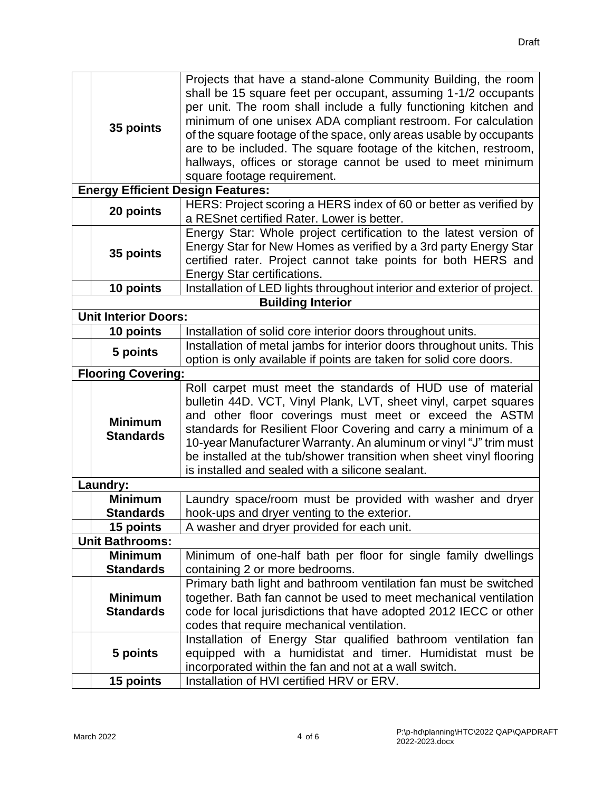|  |                             | Projects that have a stand-alone Community Building, the room           |
|--|-----------------------------|-------------------------------------------------------------------------|
|  |                             | shall be 15 square feet per occupant, assuming 1-1/2 occupants          |
|  | 35 points                   | per unit. The room shall include a fully functioning kitchen and        |
|  |                             | minimum of one unisex ADA compliant restroom. For calculation           |
|  |                             | of the square footage of the space, only areas usable by occupants      |
|  |                             | are to be included. The square footage of the kitchen, restroom,        |
|  |                             | hallways, offices or storage cannot be used to meet minimum             |
|  |                             | square footage requirement.                                             |
|  |                             | <b>Energy Efficient Design Features:</b>                                |
|  | 20 points                   | HERS: Project scoring a HERS index of 60 or better as verified by       |
|  |                             | a RESnet certified Rater. Lower is better.                              |
|  |                             | Energy Star: Whole project certification to the latest version of       |
|  | 35 points                   | Energy Star for New Homes as verified by a 3rd party Energy Star        |
|  |                             | certified rater. Project cannot take points for both HERS and           |
|  |                             | <b>Energy Star certifications.</b>                                      |
|  | 10 points                   | Installation of LED lights throughout interior and exterior of project. |
|  |                             | <b>Building Interior</b>                                                |
|  | <b>Unit Interior Doors:</b> |                                                                         |
|  | 10 points                   | Installation of solid core interior doors throughout units.             |
|  | 5 points                    | Installation of metal jambs for interior doors throughout units. This   |
|  |                             | option is only available if points are taken for solid core doors.      |
|  | <b>Flooring Covering:</b>   |                                                                         |
|  |                             | Roll carpet must meet the standards of HUD use of material              |
|  |                             | bulletin 44D. VCT, Vinyl Plank, LVT, sheet vinyl, carpet squares        |
|  | <b>Minimum</b>              | and other floor coverings must meet or exceed the ASTM                  |
|  | <b>Standards</b>            | standards for Resilient Floor Covering and carry a minimum of a         |
|  |                             | 10-year Manufacturer Warranty. An aluminum or vinyl "J" trim must       |
|  |                             | be installed at the tub/shower transition when sheet vinyl flooring     |
|  |                             | is installed and sealed with a silicone sealant.                        |
|  | Laundry:                    |                                                                         |
|  | <b>Minimum</b>              | Laundry space/room must be provided with washer and dryer               |
|  | <b>Standards</b>            | hook-ups and dryer venting to the exterior.                             |
|  | 15 points                   | A washer and dryer provided for each unit.                              |
|  | <b>Unit Bathrooms:</b>      |                                                                         |
|  | <b>Minimum</b>              | Minimum of one-half bath per floor for single family dwellings          |
|  | <b>Standards</b>            | containing 2 or more bedrooms.                                          |
|  |                             | Primary bath light and bathroom ventilation fan must be switched        |
|  | <b>Minimum</b>              | together. Bath fan cannot be used to meet mechanical ventilation        |
|  | <b>Standards</b>            | code for local jurisdictions that have adopted 2012 IECC or other       |
|  |                             | codes that require mechanical ventilation.                              |
|  |                             | Installation of Energy Star qualified bathroom ventilation fan          |
|  | 5 points                    | equipped with a humidistat and timer. Humidistat must be                |
|  |                             | incorporated within the fan and not at a wall switch.                   |
|  | 15 points                   | Installation of HVI certified HRV or ERV.                               |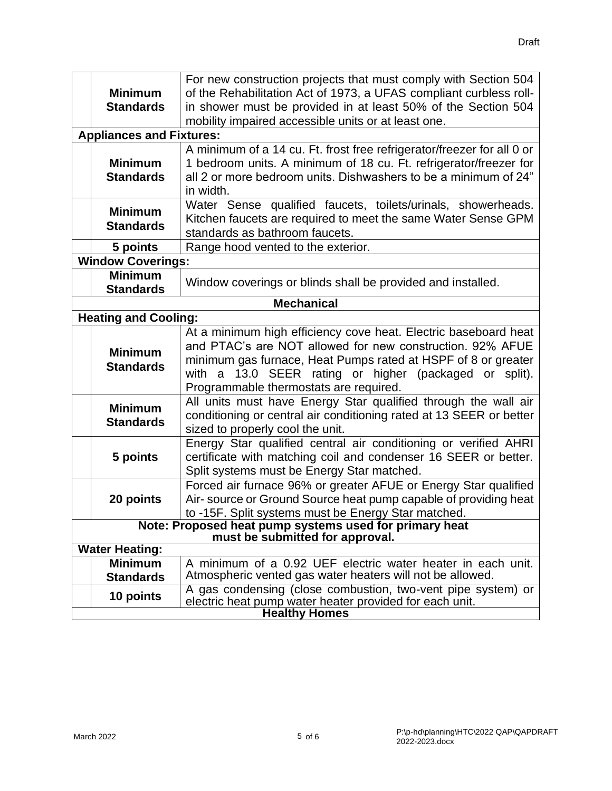|                             | For new construction projects that must comply with Section 504                           |                                                                        |  |  |
|-----------------------------|-------------------------------------------------------------------------------------------|------------------------------------------------------------------------|--|--|
|                             | <b>Minimum</b>                                                                            | of the Rehabilitation Act of 1973, a UFAS compliant curbless roll-     |  |  |
|                             | <b>Standards</b>                                                                          | in shower must be provided in at least 50% of the Section 504          |  |  |
|                             |                                                                                           | mobility impaired accessible units or at least one.                    |  |  |
|                             | <b>Appliances and Fixtures:</b>                                                           |                                                                        |  |  |
|                             |                                                                                           | A minimum of a 14 cu. Ft. frost free refrigerator/freezer for all 0 or |  |  |
|                             | <b>Minimum</b>                                                                            | 1 bedroom units. A minimum of 18 cu. Ft. refrigerator/freezer for      |  |  |
|                             | <b>Standards</b>                                                                          | all 2 or more bedroom units. Dishwashers to be a minimum of 24"        |  |  |
|                             |                                                                                           | in width.                                                              |  |  |
|                             | <b>Minimum</b>                                                                            | Water Sense qualified faucets, toilets/urinals, showerheads.           |  |  |
|                             | <b>Standards</b>                                                                          | Kitchen faucets are required to meet the same Water Sense GPM          |  |  |
|                             |                                                                                           | standards as bathroom faucets.                                         |  |  |
|                             | 5 points                                                                                  | Range hood vented to the exterior.                                     |  |  |
|                             | <b>Window Coverings:</b>                                                                  |                                                                        |  |  |
|                             | <b>Minimum</b>                                                                            | Window coverings or blinds shall be provided and installed.            |  |  |
|                             | <b>Standards</b>                                                                          |                                                                        |  |  |
| <b>Mechanical</b>           |                                                                                           |                                                                        |  |  |
| <b>Heating and Cooling:</b> |                                                                                           |                                                                        |  |  |
|                             | At a minimum high efficiency cove heat. Electric baseboard heat                           |                                                                        |  |  |
|                             | <b>Minimum</b>                                                                            | and PTAC's are NOT allowed for new construction. 92% AFUE              |  |  |
|                             | <b>Standards</b>                                                                          | minimum gas furnace, Heat Pumps rated at HSPF of 8 or greater          |  |  |
|                             |                                                                                           | 13.0 SEER rating or higher (packaged or split).<br>with<br>a           |  |  |
|                             | Programmable thermostats are required.                                                    |                                                                        |  |  |
|                             | <b>Minimum</b>                                                                            | All units must have Energy Star qualified through the wall air         |  |  |
|                             | <b>Standards</b>                                                                          | conditioning or central air conditioning rated at 13 SEER or better    |  |  |
|                             |                                                                                           | sized to properly cool the unit.                                       |  |  |
|                             |                                                                                           | Energy Star qualified central air conditioning or verified AHRI        |  |  |
|                             | 5 points                                                                                  | certificate with matching coil and condenser 16 SEER or better.        |  |  |
|                             |                                                                                           | Split systems must be Energy Star matched.                             |  |  |
|                             |                                                                                           | Forced air furnace 96% or greater AFUE or Energy Star qualified        |  |  |
|                             | 20 points                                                                                 | Air- source or Ground Source heat pump capable of providing heat       |  |  |
|                             |                                                                                           | to -15F. Split systems must be Energy Star matched.                    |  |  |
|                             | Note: Proposed heat pump systems used for primary heat<br>must be submitted for approval. |                                                                        |  |  |
|                             | <b>Water Heating:</b>                                                                     |                                                                        |  |  |
|                             | <b>Minimum</b>                                                                            | A minimum of a 0.92 UEF electric water heater in each unit.            |  |  |
|                             | <b>Standards</b>                                                                          | Atmospheric vented gas water heaters will not be allowed.              |  |  |
|                             | 10 points                                                                                 | A gas condensing (close combustion, two-vent pipe system) or           |  |  |
|                             |                                                                                           | electric heat pump water heater provided for each unit.                |  |  |
|                             |                                                                                           | <b>Healthy Homes</b>                                                   |  |  |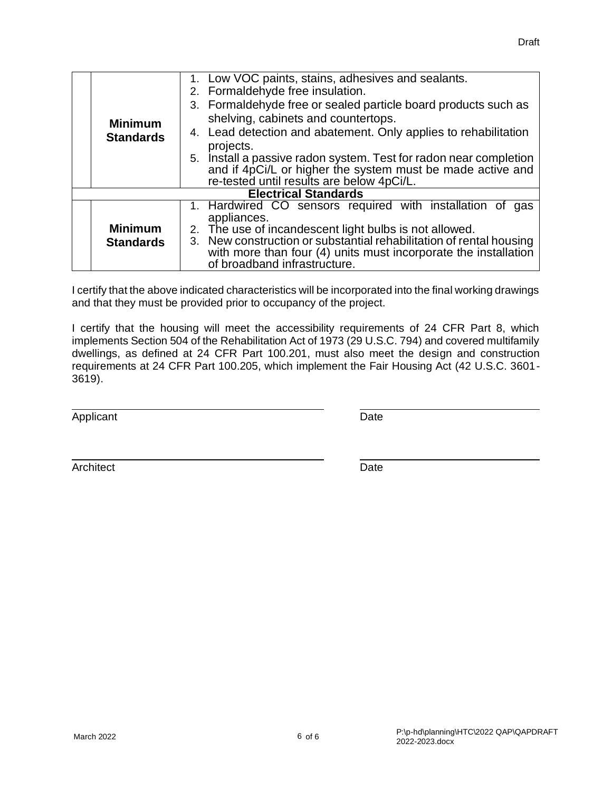|                             | <b>Minimum</b><br><b>Standards</b> | 1. Low VOC paints, stains, adhesives and sealants.                  |  |  |
|-----------------------------|------------------------------------|---------------------------------------------------------------------|--|--|
|                             |                                    | 2. Formaldehyde free insulation.                                    |  |  |
|                             |                                    | 3. Formaldehyde free or sealed particle board products such as      |  |  |
|                             |                                    | shelving, cabinets and countertops.                                 |  |  |
|                             |                                    | 4. Lead detection and abatement. Only applies to rehabilitation     |  |  |
|                             |                                    | projects.                                                           |  |  |
|                             |                                    | 5. Install a passive radon system. Test for radon near completion   |  |  |
|                             |                                    | and if 4pCi/L or higher the system must be made active and          |  |  |
|                             |                                    | re-tested until results are below 4pCi/L.                           |  |  |
| <b>Electrical Standards</b> |                                    |                                                                     |  |  |
|                             |                                    | 1. Hardwired CO sensors required with installation of<br>gas        |  |  |
|                             | <b>Minimum</b><br><b>Standards</b> | appliances.                                                         |  |  |
|                             |                                    | 2. The use of incandescent light bulbs is not allowed.              |  |  |
|                             |                                    | 3. New construction or substantial rehabilitation of rental housing |  |  |
|                             |                                    | with more than four (4) units must incorporate the installation     |  |  |
|                             |                                    | of broadband infrastructure.                                        |  |  |

I certify that the above indicated characteristics will be incorporated into the final working drawings and that they must be provided prior to occupancy of the project.

I certify that the housing will meet the accessibility requirements of 24 CFR Part 8, which implements Section 504 of the Rehabilitation Act of 1973 (29 U.S.C. 794) and covered multifamily dwellings, as defined at 24 CFR Part 100.201, must also meet the design and construction requirements at 24 CFR Part 100.205, which implement the Fair Housing Act (42 U.S.C. 3601- 3619).

Applicant Date **Date** 

Architect Date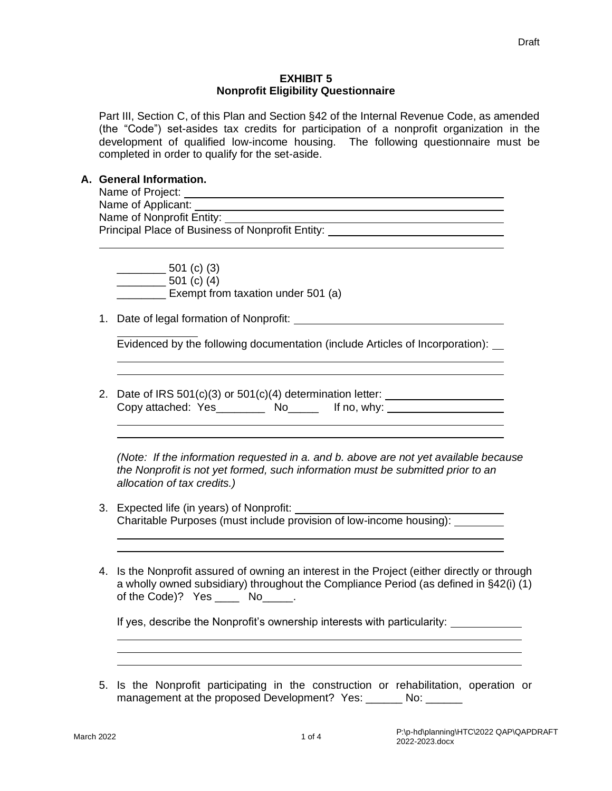#### **EXHIBIT 5 Nonprofit Eligibility Questionnaire**

Part III, Section C, of this Plan and Section §42 of the Internal Revenue Code, as amended (the "Code") set-asides tax credits for participation of a nonprofit organization in the development of qualified low-income housing. The following questionnaire must be completed in order to qualify for the set-aside.

#### **A. General Information.**

| Name of Project:                                 |  |
|--------------------------------------------------|--|
| Name of Applicant:                               |  |
| Name of Nonprofit Entity:                        |  |
| Principal Place of Business of Nonprofit Entity: |  |
|                                                  |  |

 $\frac{1}{2}$  501 (c) (3)  $501$  (c) (4) **Exempt from taxation under 501 (a)** 

1. Date of legal formation of Nonprofit:

Evidenced by the following documentation (include Articles of Incorporation):

2. Date of IRS  $501(c)(3)$  or  $501(c)(4)$  determination letter: Copy attached: Yes\_\_\_\_\_\_\_\_ No\_\_\_\_\_ If no, why:

*(Note: If the information requested in a. and b. above are not yet available because the Nonprofit is not yet formed, such information must be submitted prior to an allocation of tax credits.)*

- 3. Expected life (in years) of Nonprofit: Charitable Purposes (must include provision of low-income housing):
- 4. Is the Nonprofit assured of owning an interest in the Project (either directly or through a wholly owned subsidiary) throughout the Compliance Period (as defined in §42(i) (1) of the Code)? Yes \_\_\_\_\_ No\_\_\_\_\_.

If yes, describe the Nonprofit's ownership interests with particularity:

5. Is the Nonprofit participating in the construction or rehabilitation, operation or management at the proposed Development? Yes: \_\_\_\_\_\_ No: \_\_\_\_\_\_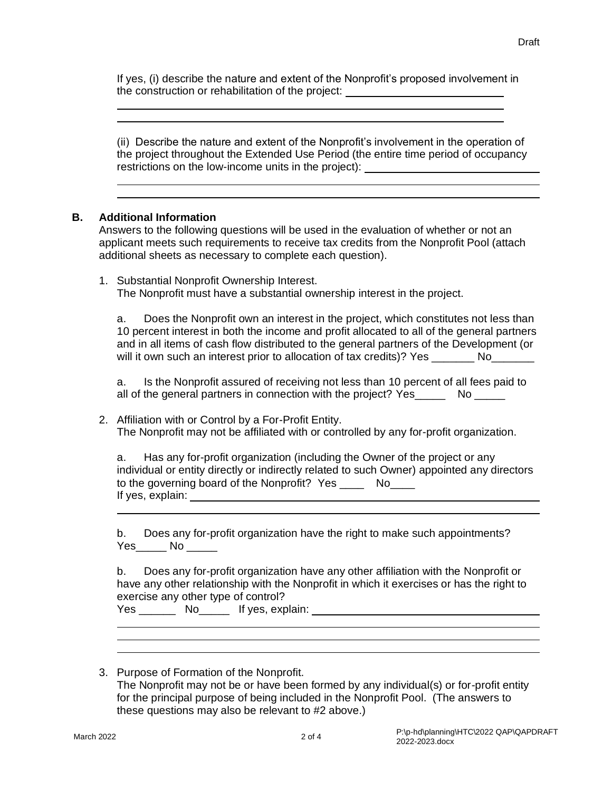If yes, (i) describe the nature and extent of the Nonprofit's proposed involvement in the construction or rehabilitation of the project:

(ii) Describe the nature and extent of the Nonprofit's involvement in the operation of the project throughout the Extended Use Period (the entire time period of occupancy restrictions on the low-income units in the project):

## **B. Additional Information**

Answers to the following questions will be used in the evaluation of whether or not an applicant meets such requirements to receive tax credits from the Nonprofit Pool (attach additional sheets as necessary to complete each question).

1. Substantial Nonprofit Ownership Interest. The Nonprofit must have a substantial ownership interest in the project.

a. Does the Nonprofit own an interest in the project, which constitutes not less than 10 percent interest in both the income and profit allocated to all of the general partners and in all items of cash flow distributed to the general partners of the Development (or will it own such an interest prior to allocation of tax credits)? Yes No

a. Is the Nonprofit assured of receiving not less than 10 percent of all fees paid to all of the general partners in connection with the project? Yes No No No Republic Refshare Refshare

2. Affiliation with or Control by a For-Profit Entity. The Nonprofit may not be affiliated with or controlled by any for-profit organization.

a. Has any for-profit organization (including the Owner of the project or any individual or entity directly or indirectly related to such Owner) appointed any directors to the governing board of the Nonprofit? Yes \_\_\_\_\_\_ No\_\_\_\_ If yes, explain:

b. Does any for-profit organization have the right to make such appointments? Yes No No

b. Does any for-profit organization have any other affiliation with the Nonprofit or have any other relationship with the Nonprofit in which it exercises or has the right to exercise any other type of control?

|  | Yes | No |  | If yes, explain: |
|--|-----|----|--|------------------|
|--|-----|----|--|------------------|

3. Purpose of Formation of the Nonprofit. The Nonprofit may not be or have been formed by any individual(s) or for-profit entity for the principal purpose of being included in the Nonprofit Pool. (The answers to these questions may also be relevant to #2 above.)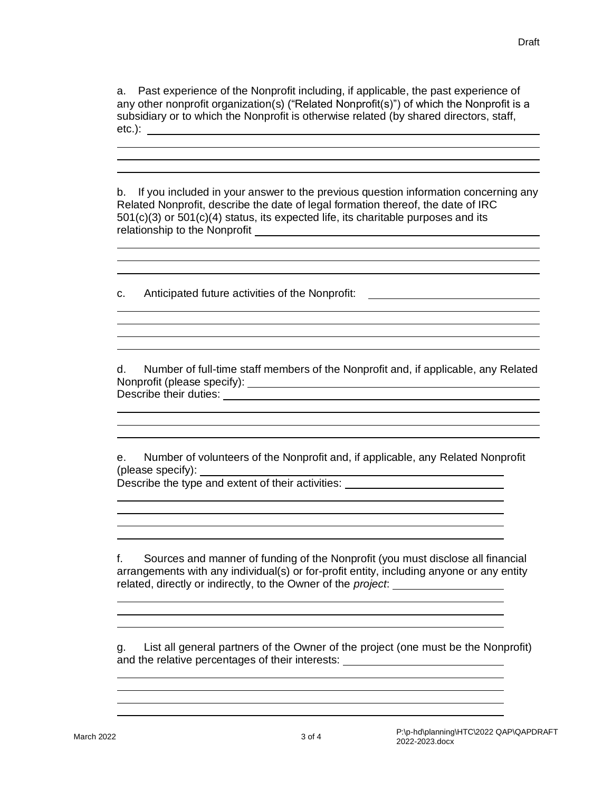j.

a. Past experience of the Nonprofit including, if applicable, the past experience of any other nonprofit organization(s) ("Related Nonprofit(s)") of which the Nonprofit is a subsidiary or to which the Nonprofit is otherwise related (by shared directors, staff, etc.):

b. If you included in your answer to the previous question information concerning any Related Nonprofit, describe the date of legal formation thereof, the date of IRC 501(c)(3) or 501(c)(4) status, its expected life, its charitable purposes and its relationship to the Nonprofit

c. Anticipated future activities of the Nonprofit:

d. Number of full-time staff members of the Nonprofit and, if applicable, any Related Nonprofit (please specify): Describe their duties: <u>example the intervention</u> of the set of the set of the set of the set of the set of the set of the set of the set of the set of the set of the set of the set of the set of the set of the set of the

and the control of the control of the control of the control of the control of the control of the control of the

<u> 1980 - Johann Barn, mars ann an t-Amhain Aonaich ann an t-Aonaich ann an t-Aonaich ann an t-Aonaich ann an t-</u>

e. Number of volunteers of the Nonprofit and, if applicable, any Related Nonprofit (please specify):

Describe the type and extent of their activities:

f. Sources and manner of funding of the Nonprofit (you must disclose all financial arrangements with any individual(s) or for-profit entity, including anyone or any entity related, directly or indirectly, to the Owner of the *project*:

<u> 1989 - Johann Stoff, amerikansk politiker (\* 1908)</u>

g. List all general partners of the Owner of the project (one must be the Nonprofit) and the relative percentages of their interests: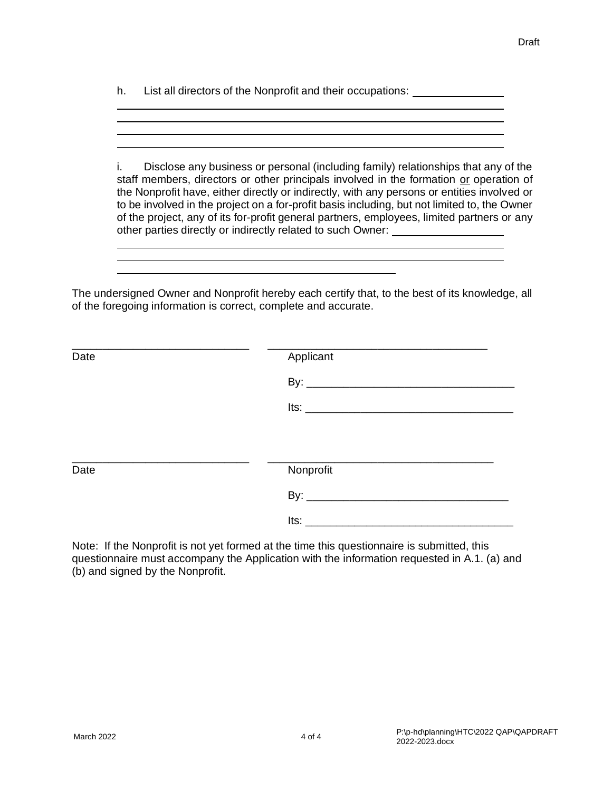h. List all directors of the Nonprofit and their occupations:

i. Disclose any business or personal (including family) relationships that any of the staff members, directors or other principals involved in the formation or operation of the Nonprofit have, either directly or indirectly, with any persons or entities involved or to be involved in the project on a for-profit basis including, but not limited to, the Owner of the project, any of its for-profit general partners, employees, limited partners or any other parties directly or indirectly related to such Owner:

The undersigned Owner and Nonprofit hereby each certify that, to the best of its knowledge, all of the foregoing information is correct, complete and accurate.

| Date | Applicant                                 |  |
|------|-------------------------------------------|--|
|      |                                           |  |
|      | <u>Its: _____________________________</u> |  |
|      |                                           |  |
| Date | Nonprofit                                 |  |
|      |                                           |  |
|      |                                           |  |

Note: If the Nonprofit is not yet formed at the time this questionnaire is submitted, this questionnaire must accompany the Application with the information requested in A.1. (a) and (b) and signed by the Nonprofit.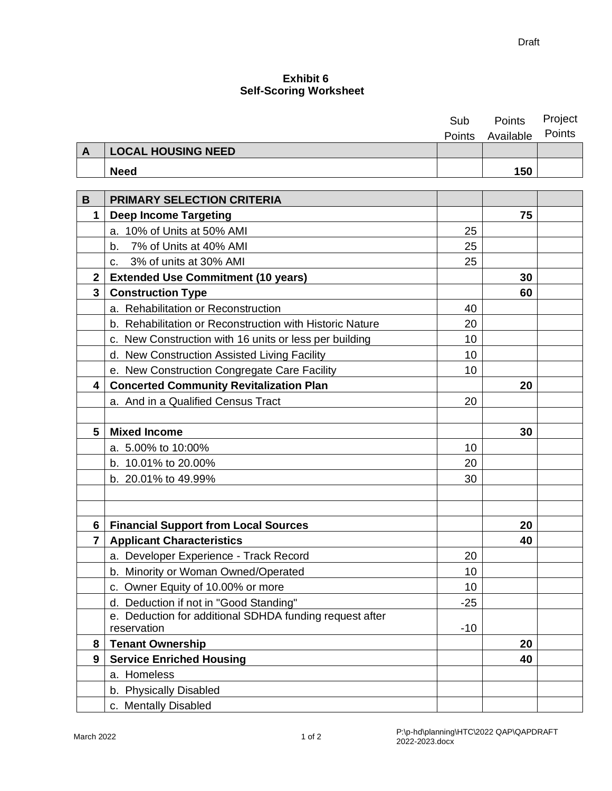## **Exhibit 6 Self-Scoring Worksheet**

|              |                                                          | Sub    | Points    | Project |
|--------------|----------------------------------------------------------|--------|-----------|---------|
|              |                                                          | Points | Available | Points  |
| A            | <b>LOCAL HOUSING NEED</b>                                |        |           |         |
|              | <b>Need</b>                                              |        | 150       |         |
|              |                                                          |        |           |         |
| B            | <b>PRIMARY SELECTION CRITERIA</b>                        |        |           |         |
| $\mathbf{1}$ | <b>Deep Income Targeting</b>                             |        | 75        |         |
|              | a. 10% of Units at 50% AMI                               | 25     |           |         |
|              | b. 7% of Units at 40% AMI                                | 25     |           |         |
|              | c. 3% of units at 30% AMI                                | 25     |           |         |
| $\mathbf{2}$ | <b>Extended Use Commitment (10 years)</b>                |        | 30        |         |
| 3            | <b>Construction Type</b>                                 |        | 60        |         |
|              | a. Rehabilitation or Reconstruction                      | 40     |           |         |
|              | b. Rehabilitation or Reconstruction with Historic Nature | 20     |           |         |
|              | c. New Construction with 16 units or less per building   | 10     |           |         |
|              | d. New Construction Assisted Living Facility             | 10     |           |         |
|              | e. New Construction Congregate Care Facility             | 10     |           |         |
| 4            | <b>Concerted Community Revitalization Plan</b>           |        | 20        |         |
|              | a. And in a Qualified Census Tract                       | 20     |           |         |
|              |                                                          |        |           |         |
| 5            | <b>Mixed Income</b>                                      |        | 30        |         |
|              | a. 5.00% to 10:00%                                       | 10     |           |         |
|              | b. 10.01% to 20.00%                                      | 20     |           |         |
|              | b. 20.01% to 49.99%                                      | 30     |           |         |
|              |                                                          |        |           |         |
|              |                                                          |        |           |         |
| 6            | <b>Financial Support from Local Sources</b>              |        | 20        |         |
| 7            | <b>Applicant Characteristics</b>                         |        | 40        |         |
|              | a. Developer Experience - Track Record                   | 20     |           |         |
|              | b. Minority or Woman Owned/Operated                      | 10     |           |         |
|              | c. Owner Equity of 10.00% or more                        | 10     |           |         |
|              | d. Deduction if not in "Good Standing"                   | $-25$  |           |         |
|              | e. Deduction for additional SDHDA funding request after  |        |           |         |
|              | reservation                                              | $-10$  |           |         |
| 8            | <b>Tenant Ownership</b>                                  |        | 20        |         |
| 9            | <b>Service Enriched Housing</b>                          |        | 40        |         |
|              | a. Homeless                                              |        |           |         |
|              | b. Physically Disabled                                   |        |           |         |
|              | c. Mentally Disabled                                     |        |           |         |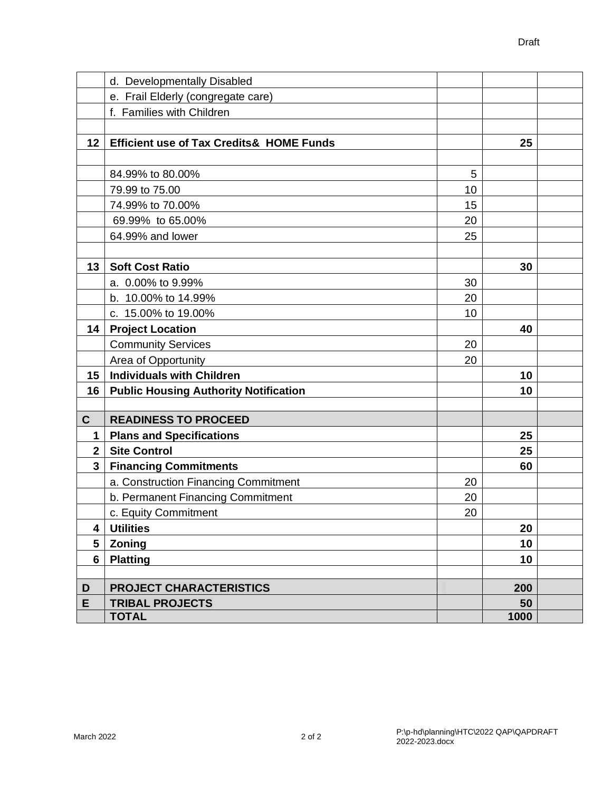|                | d. Developmentally Disabled                         |    |      |  |
|----------------|-----------------------------------------------------|----|------|--|
|                | e. Frail Elderly (congregate care)                  |    |      |  |
|                | f. Families with Children                           |    |      |  |
|                |                                                     |    |      |  |
| 12             | <b>Efficient use of Tax Credits&amp; HOME Funds</b> |    | 25   |  |
|                |                                                     |    |      |  |
|                | 84.99% to 80.00%                                    | 5  |      |  |
|                | 79.99 to 75.00                                      | 10 |      |  |
|                | 74.99% to 70.00%                                    | 15 |      |  |
|                | 69.99% to 65.00%                                    | 20 |      |  |
|                | 64.99% and lower                                    | 25 |      |  |
|                |                                                     |    |      |  |
| 13             | <b>Soft Cost Ratio</b>                              |    | 30   |  |
|                | a. 0.00% to 9.99%                                   | 30 |      |  |
|                | b. 10.00% to 14.99%                                 | 20 |      |  |
|                | c. 15.00% to 19.00%                                 | 10 |      |  |
| 14             | <b>Project Location</b>                             |    | 40   |  |
|                | <b>Community Services</b>                           | 20 |      |  |
|                | Area of Opportunity                                 | 20 |      |  |
| 15             | <b>Individuals with Children</b>                    |    | 10   |  |
| 16             | <b>Public Housing Authority Notification</b>        |    | 10   |  |
|                |                                                     |    |      |  |
| $\mathbf{C}$   | <b>READINESS TO PROCEED</b>                         |    |      |  |
| 1              | <b>Plans and Specifications</b>                     |    | 25   |  |
| $\overline{2}$ | <b>Site Control</b>                                 |    | 25   |  |
| $\mathbf{3}$   | <b>Financing Commitments</b>                        |    | 60   |  |
|                | a. Construction Financing Commitment                | 20 |      |  |
|                | b. Permanent Financing Commitment                   | 20 |      |  |
|                | c. Equity Commitment                                | 20 |      |  |
| 4              | <b>Utilities</b>                                    |    | 20   |  |
| 5              | Zoning                                              |    | 10   |  |
| 6              | <b>Platting</b>                                     |    | 10   |  |
|                |                                                     |    |      |  |
| D              | <b>PROJECT CHARACTERISTICS</b>                      |    | 200  |  |
| E              | <b>TRIBAL PROJECTS</b>                              |    | 50   |  |
|                | <b>TOTAL</b>                                        |    | 1000 |  |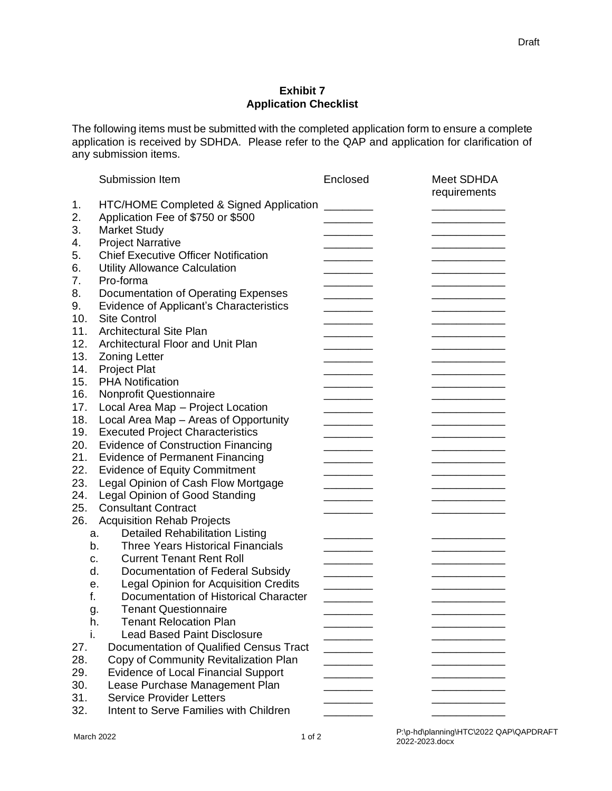## **Exhibit 7 Application Checklist**

The following items must be submitted with the completed application form to ensure a complete application is received by SDHDA. Please refer to the QAP and application for clarification of any submission items.

|            | Submission Item                                                           | Enclosed | Meet SDHDA<br>requirements |
|------------|---------------------------------------------------------------------------|----------|----------------------------|
| 1.         | HTC/HOME Completed & Signed Application                                   |          |                            |
| 2.         | Application Fee of \$750 or \$500                                         |          |                            |
| 3.         | <b>Market Study</b>                                                       |          |                            |
| 4.         | <b>Project Narrative</b>                                                  |          |                            |
| 5.         | <b>Chief Executive Officer Notification</b>                               |          |                            |
| 6.         | <b>Utility Allowance Calculation</b>                                      |          |                            |
| 7.         | Pro-forma                                                                 |          |                            |
| 8.         | Documentation of Operating Expenses                                       |          |                            |
| 9.         | Evidence of Applicant's Characteristics                                   |          |                            |
| 10.        | <b>Site Control</b>                                                       |          |                            |
| 11.        | <b>Architectural Site Plan</b>                                            |          |                            |
| 12.        | Architectural Floor and Unit Plan                                         |          |                            |
| 13.        | <b>Zoning Letter</b>                                                      |          |                            |
| 14.        | <b>Project Plat</b>                                                       |          |                            |
| 15.        | <b>PHA Notification</b>                                                   |          |                            |
| 16.        | <b>Nonprofit Questionnaire</b>                                            |          |                            |
| 17.        | Local Area Map - Project Location                                         |          |                            |
| 18.        | Local Area Map - Areas of Opportunity                                     |          |                            |
| 19.        | <b>Executed Project Characteristics</b>                                   |          |                            |
| 20.        | <b>Evidence of Construction Financing</b>                                 |          |                            |
| 21.        | <b>Evidence of Permanent Financing</b>                                    |          |                            |
| 22.        | <b>Evidence of Equity Commitment</b>                                      |          |                            |
| 23.        | Legal Opinion of Cash Flow Mortgage                                       |          |                            |
| 24.        | <b>Legal Opinion of Good Standing</b>                                     |          |                            |
| 25.        | <b>Consultant Contract</b>                                                |          |                            |
| 26.        | <b>Acquisition Rehab Projects</b>                                         |          |                            |
| a.         | <b>Detailed Rehabilitation Listing</b>                                    |          |                            |
| b.         | <b>Three Years Historical Financials</b>                                  |          |                            |
| c.         | <b>Current Tenant Rent Roll</b>                                           |          |                            |
| d.         | Documentation of Federal Subsidy                                          |          |                            |
| е.         | <b>Legal Opinion for Acquisition Credits</b>                              |          |                            |
| f.         | Documentation of Historical Character                                     |          |                            |
|            | <b>Tenant Questionnaire</b>                                               |          |                            |
| g.<br>h.   | <b>Tenant Relocation Plan</b>                                             |          |                            |
| i.         | <b>Lead Based Paint Disclosure</b>                                        |          |                            |
| 27.        | Documentation of Qualified Census Tract                                   |          |                            |
| 28.        | Copy of Community Revitalization Plan                                     |          |                            |
| 29.        | <b>Evidence of Local Financial Support</b>                                |          |                            |
| 30.        | Lease Purchase Management Plan                                            |          |                            |
|            |                                                                           |          |                            |
|            |                                                                           |          |                            |
| 31.<br>32. | <b>Service Provider Letters</b><br>Intent to Serve Families with Children |          |                            |

P:\p-hd\planning\HTC\2022 QAP\QAPDRAFT 2022-2023.docx